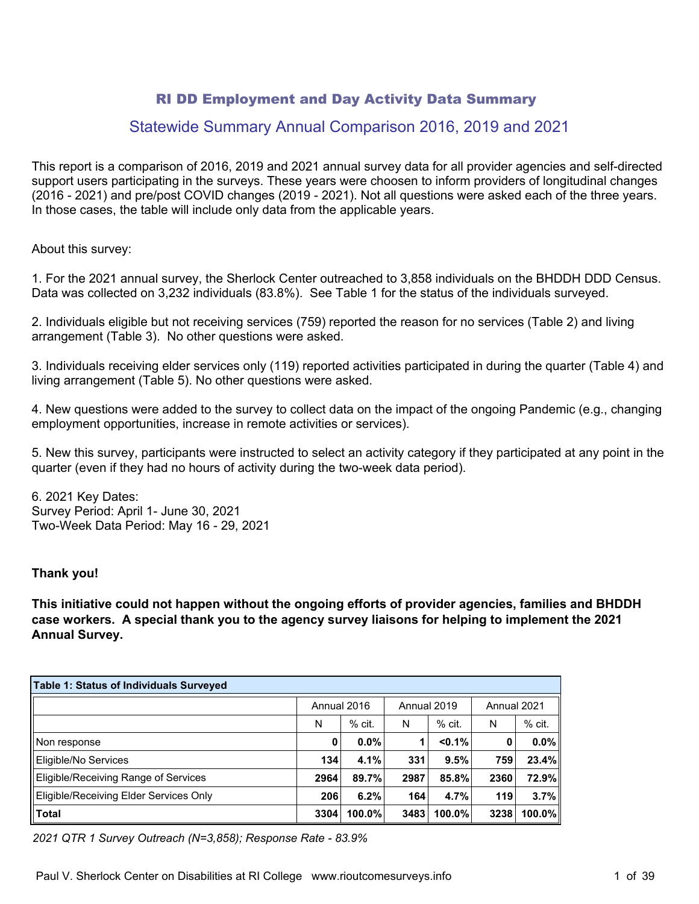# RI DD Employment and Day Activity Data Summary

# Statewide Summary Annual Comparison 2016, 2019 and 2021

This report is a comparison of 2016, 2019 and 2021 annual survey data for all provider agencies and self-directed support users participating in the surveys. These years were choosen to inform providers of longitudinal changes (2016 - 2021) and pre/post COVID changes (2019 - 2021). Not all questions were asked each of the three years. In those cases, the table will include only data from the applicable years.

About this survey:

1. For the 2021 annual survey, the Sherlock Center outreached to 3,858 individuals on the BHDDH DDD Census. Data was collected on 3,232 individuals (83.8%). See Table 1 for the status of the individuals surveyed.

2. Individuals eligible but not receiving services (759) reported the reason for no services (Table 2) and living arrangement (Table 3). No other questions were asked.

3. Individuals receiving elder services only (119) reported activities participated in during the quarter (Table 4) and living arrangement (Table 5). No other questions were asked.

4. New questions were added to the survey to collect data on the impact of the ongoing Pandemic (e.g., changing employment opportunities, increase in remote activities or services).

5. New this survey, participants were instructed to select an activity category if they participated at any point in the quarter (even if they had no hours of activity during the two-week data period).

6. 2021 Key Dates: Survey Period: April 1- June 30, 2021 Two-Week Data Period: May 16 - 29, 2021

#### **Thank you!**

**This initiative could not happen without the ongoing efforts of provider agencies, families and BHDDH case workers. A special thank you to the agency survey liaisons for helping to implement the 2021 Annual Survey.**

| <b>Table 1: Status of Individuals Surveyed</b> |             |          |             |           |             |          |  |  |
|------------------------------------------------|-------------|----------|-------------|-----------|-------------|----------|--|--|
|                                                | Annual 2016 |          | Annual 2019 |           | Annual 2021 |          |  |  |
|                                                | N           | $%$ cit. | N           | $%$ cit.  | N           | $%$ cit. |  |  |
| Non response                                   | 0           | $0.0\%$  |             | $< 0.1\%$ | 0           | $0.0\%$  |  |  |
| Eligible/No Services                           | 134         | 4.1%     | 331         | 9.5%      | 759         | 23.4%    |  |  |
| Eligible/Receiving Range of Services           | 2964        | 89.7%    | 2987        | 85.8%     | 2360        | 72.9%    |  |  |
| Eligible/Receiving Elder Services Only         | 206         | 6.2%     | 164         | 4.7%      | 119         | 3.7%     |  |  |
| <b>Total</b>                                   | 3304        | 100.0%   | 3483        | 100.0%    | 3238        | 100.0%   |  |  |

*2021 QTR 1 Survey Outreach (N=3,858); Response Rate - 83.9%*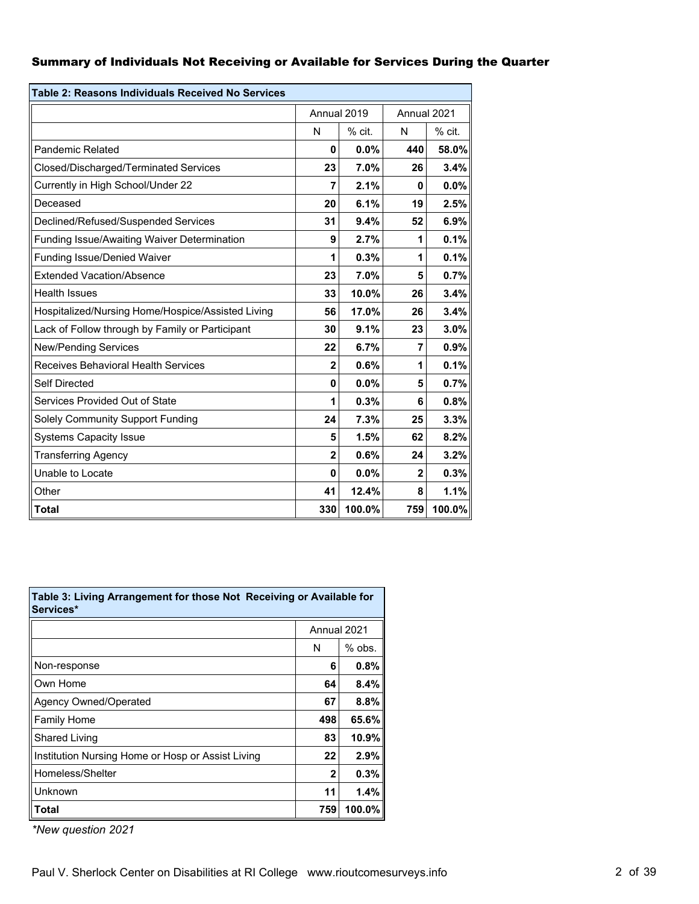#### Summary of Individuals Not Receiving or Available for Services During the Quarter

| Table 2: Reasons Individuals Received No Services |                |             |              |             |  |  |
|---------------------------------------------------|----------------|-------------|--------------|-------------|--|--|
|                                                   |                | Annual 2019 |              | Annual 2021 |  |  |
|                                                   | N              | $%$ cit.    | N            | % cit.      |  |  |
| <b>Pandemic Related</b>                           | 0              | $0.0\%$     | 440          | 58.0%       |  |  |
| Closed/Discharged/Terminated Services             | 23             | 7.0%        | 26           | 3.4%        |  |  |
| Currently in High School/Under 22                 | 7              | 2.1%        | 0            | 0.0%        |  |  |
| Deceased                                          | 20             | 6.1%        | 19           | 2.5%        |  |  |
| Declined/Refused/Suspended Services               | 31             | 9.4%        | 52           | 6.9%        |  |  |
| Funding Issue/Awaiting Waiver Determination       | 9              | 2.7%        | 1            | 0.1%        |  |  |
| <b>Funding Issue/Denied Waiver</b>                | 1              | 0.3%        | 1            | 0.1%        |  |  |
| <b>Extended Vacation/Absence</b>                  | 23             | 7.0%        | 5            | 0.7%        |  |  |
| <b>Health Issues</b>                              | 33             | 10.0%       | 26           | 3.4%        |  |  |
| Hospitalized/Nursing Home/Hospice/Assisted Living | 56             | 17.0%       | 26           | 3.4%        |  |  |
| Lack of Follow through by Family or Participant   | 30             | 9.1%        | 23           | 3.0%        |  |  |
| <b>New/Pending Services</b>                       | 22             | 6.7%        | 7            | 0.9%        |  |  |
| Receives Behavioral Health Services               | $\overline{2}$ | 0.6%        | 1            | 0.1%        |  |  |
| <b>Self Directed</b>                              | 0              | 0.0%        | 5            | 0.7%        |  |  |
| Services Provided Out of State                    | 1              | 0.3%        | 6            | 0.8%        |  |  |
| Solely Community Support Funding                  | 24             | 7.3%        | 25           | 3.3%        |  |  |
| <b>Systems Capacity Issue</b>                     | 5              | 1.5%        | 62           | 8.2%        |  |  |
| <b>Transferring Agency</b>                        | $\overline{2}$ | 0.6%        | 24           | 3.2%        |  |  |
| Unable to Locate                                  | 0              | 0.0%        | $\mathbf{2}$ | 0.3%        |  |  |
| Other                                             | 41             | 12.4%       | 8            | 1.1%        |  |  |
| <b>Total</b>                                      | 330            | 100.0%      | 759          | 100.0%      |  |  |

| Table 3: Living Arrangement for those Not Receiving or Available for<br>Services* |              |          |
|-----------------------------------------------------------------------------------|--------------|----------|
|                                                                                   | Annual 2021  |          |
|                                                                                   | N            | $%$ obs. |
| Non-response                                                                      | 6            | 0.8%     |
| Own Home                                                                          | 64           | 8.4%     |
| <b>Agency Owned/Operated</b>                                                      | 67           | 8.8%     |
| Family Home                                                                       | 498          | 65.6%    |
| <b>Shared Living</b>                                                              | 83           | 10.9%    |
| Institution Nursing Home or Hosp or Assist Living                                 | 22           | 2.9%     |
| Homeless/Shelter                                                                  | $\mathbf{2}$ | 0.3%     |
| Unknown                                                                           | 11           | 1.4%     |
| Total                                                                             | 759          | 100.0%   |

*\*New question 2021*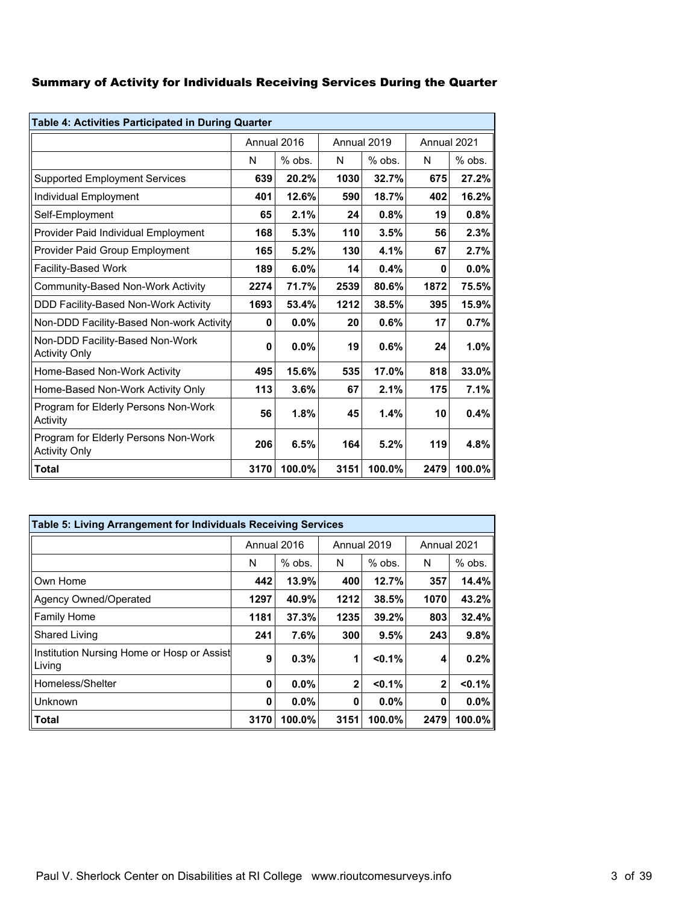### Summary of Activity for Individuals Receiving Services During the Quarter

| Table 4: Activities Participated in During Quarter           |      |             |             |          |             |          |  |
|--------------------------------------------------------------|------|-------------|-------------|----------|-------------|----------|--|
|                                                              |      | Annual 2016 | Annual 2019 |          | Annual 2021 |          |  |
|                                                              | N    | $%$ obs.    | N           | $%$ obs. | N           | $%$ obs. |  |
| <b>Supported Employment Services</b>                         | 639  | 20.2%       | 1030        | 32.7%    | 675         | 27.2%    |  |
| Individual Employment                                        | 401  | 12.6%       | 590         | 18.7%    | 402         | 16.2%    |  |
| Self-Employment                                              | 65   | 2.1%        | 24          | 0.8%     | 19          | 0.8%     |  |
| Provider Paid Individual Employment                          | 168  | 5.3%        | 110         | 3.5%     | 56          | 2.3%     |  |
| Provider Paid Group Employment                               | 165  | 5.2%        | 130         | 4.1%     | 67          | 2.7%     |  |
| Facility-Based Work                                          | 189  | 6.0%        | 14          | 0.4%     | 0           | 0.0%     |  |
| Community-Based Non-Work Activity                            | 2274 | 71.7%       | 2539        | 80.6%    | 1872        | 75.5%    |  |
| DDD Facility-Based Non-Work Activity                         | 1693 | 53.4%       | 1212        | 38.5%    | 395         | 15.9%    |  |
| Non-DDD Facility-Based Non-work Activity                     | 0    | 0.0%        | 20          | 0.6%     | 17          | 0.7%     |  |
| Non-DDD Facility-Based Non-Work<br><b>Activity Only</b>      | 0    | 0.0%        | 19          | 0.6%     | 24          | 1.0%     |  |
| Home-Based Non-Work Activity                                 | 495  | 15.6%       | 535         | 17.0%    | 818         | 33.0%    |  |
| Home-Based Non-Work Activity Only                            | 113  | 3.6%        | 67          | 2.1%     | 175         | 7.1%     |  |
| Program for Elderly Persons Non-Work<br>Activity             | 56   | 1.8%        | 45          | 1.4%     | 10          | 0.4%     |  |
| Program for Elderly Persons Non-Work<br><b>Activity Only</b> | 206  | 6.5%        | 164         | 5.2%     | 119         | 4.8%     |  |
| <b>Total</b>                                                 | 3170 | 100.0%      | 3151        | 100.0%   | 2479        | 100.0%   |  |

| Table 5: Living Arrangement for Individuals Receiving Services |      |             |              |             |              |           |  |  |
|----------------------------------------------------------------|------|-------------|--------------|-------------|--------------|-----------|--|--|
|                                                                |      | Annual 2016 |              | Annual 2019 | Annual 2021  |           |  |  |
|                                                                | N    | $%$ obs.    | N            | $%$ obs.    | N            | $%$ obs.  |  |  |
| Own Home                                                       | 442  | 13.9%       | 400          | 12.7%       | 357          | 14.4%     |  |  |
| Agency Owned/Operated                                          | 1297 | 40.9%       | 1212         | 38.5%       | 1070         | 43.2%     |  |  |
| <b>Family Home</b>                                             | 1181 | 37.3%       | 1235         | 39.2%       | 803          | 32.4%     |  |  |
| <b>Shared Living</b>                                           | 241  | 7.6%        | 300          | 9.5%        | 243          | 9.8%      |  |  |
| Institution Nursing Home or Hosp or Assist<br>Living           | 9    | 0.3%        | 1            | $< 0.1\%$   | 4            | 0.2%      |  |  |
| Homeless/Shelter                                               | 0    | 0.0%        | $\mathbf{2}$ | < 0.1%      | $\mathbf{2}$ | < 0.1%    |  |  |
| Unknown                                                        | 0    | 0.0%        | 0            | 0.0%        | 0            | $0.0\%$   |  |  |
| <b>Total</b>                                                   | 3170 | 100.0%      | 3151         | 100.0%      | 2479         | $100.0\%$ |  |  |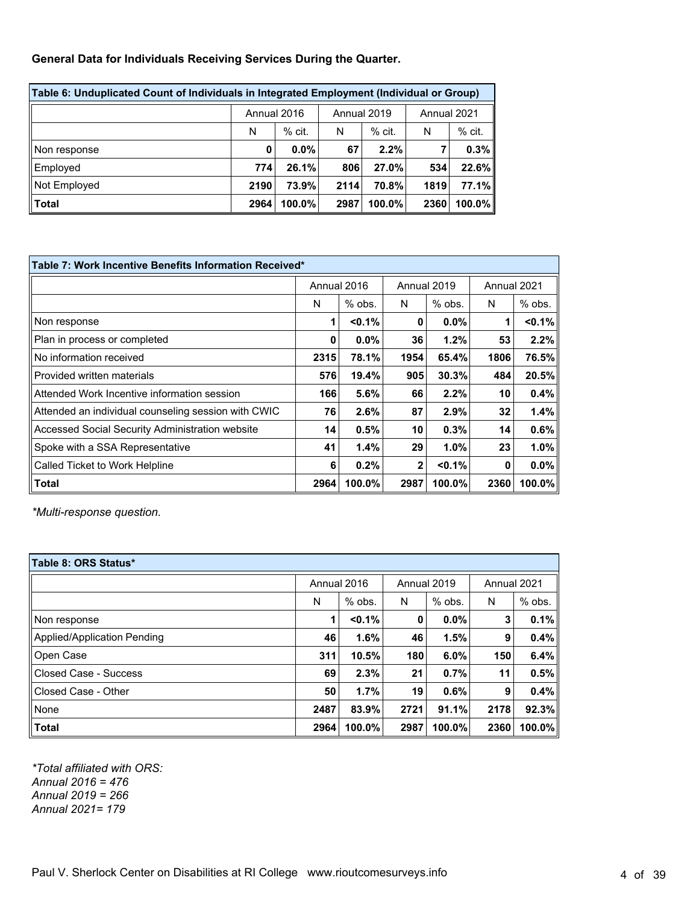#### **General Data for Individuals Receiving Services During the Quarter.**

| Table 6: Unduplicated Count of Individuals in Integrated Employment (Individual or Group) |             |          |             |         |             |           |  |
|-------------------------------------------------------------------------------------------|-------------|----------|-------------|---------|-------------|-----------|--|
|                                                                                           | Annual 2016 |          | Annual 2019 |         | Annual 2021 |           |  |
|                                                                                           | N           | $%$ cit. | N           | $%$ cit | N           | $%$ cit.  |  |
| Non response                                                                              | 0           | $0.0\%$  | 67          | 2.2%    |             | 0.3%      |  |
| Employed                                                                                  | 774         | 26.1%    | 806         | 27.0%   | 534         | 22.6%     |  |
| Not Employed                                                                              | 2190        | 73.9%    | 2114        | 70.8%   | 1819        | 77.1%     |  |
| Total                                                                                     | 2964        | 100.0%   | 2987        | 100.0%  | 2360        | $100.0\%$ |  |

| Table 7: Work Incentive Benefits Information Received* |      |             |      |             |             |           |  |
|--------------------------------------------------------|------|-------------|------|-------------|-------------|-----------|--|
|                                                        |      | Annual 2016 |      | Annual 2019 | Annual 2021 |           |  |
|                                                        | N    | $%$ obs.    | N    | $%$ obs.    | N           | % obs.    |  |
| Non response                                           |      | $< 0.1\%$   | 0    | 0.0%        |             | $< 0.1\%$ |  |
| Plan in process or completed                           | 0    | $0.0\%$     | 36   | 1.2%        | 53          | 2.2%      |  |
| No information received                                | 2315 | 78.1%       | 1954 | 65.4%       | 1806        | 76.5%     |  |
| Provided written materials                             | 576  | 19.4%       | 905  | 30.3%       | 484         | 20.5%     |  |
| Attended Work Incentive information session            | 166  | 5.6%        | 66   | $2.2\%$     | 10          | 0.4%      |  |
| Attended an individual counseling session with CWIC    | 76   | 2.6%        | 87   | 2.9%        | 32          | 1.4%      |  |
| Accessed Social Security Administration website        | 14   | 0.5%        | 10   | 0.3%        | 14          | 0.6%      |  |
| Spoke with a SSA Representative                        | 41   | 1.4%        | 29   | 1.0%        | 23          | 1.0%      |  |
| Called Ticket to Work Helpline                         | 6    | 0.2%        | 2    | < 0.1%      | 0           | 0.0%      |  |
| Total                                                  | 2964 | 100.0%      | 2987 | 100.0%      | 2360        | 100.0%    |  |

*\*Multi-response question.*

| Table 8: ORS Status*        |             |          |             |          |             |          |  |  |
|-----------------------------|-------------|----------|-------------|----------|-------------|----------|--|--|
|                             | Annual 2016 |          | Annual 2019 |          | Annual 2021 |          |  |  |
|                             | N           | $%$ obs. | N           | $%$ obs. | N           | $%$ obs. |  |  |
| Non response                | 1           | < 0.1%   | 0           | $0.0\%$  | 3           | 0.1%     |  |  |
| Applied/Application Pending | 46          | 1.6%     | 46          | 1.5%     | 9           | 0.4%     |  |  |
| Open Case                   | 311         | 10.5%    | 180         | 6.0%     | 150         | 6.4%     |  |  |
| Closed Case - Success       | 69          | 2.3%     | 21          | 0.7%     | 11          | 0.5%     |  |  |
| Closed Case - Other         | 50          | 1.7%     | 19          | 0.6%     | 9           | 0.4%     |  |  |
| None                        | 2487        | 83.9%    | 2721        | 91.1%    | 2178        | 92.3%    |  |  |
| Total                       | 2964        | 100.0%   | 2987        | 100.0%   | 2360        | 100.0%   |  |  |

*\*Total affiliated with ORS: Annual 2016 = 476 Annual 2019 = 266 Annual 2021= 179*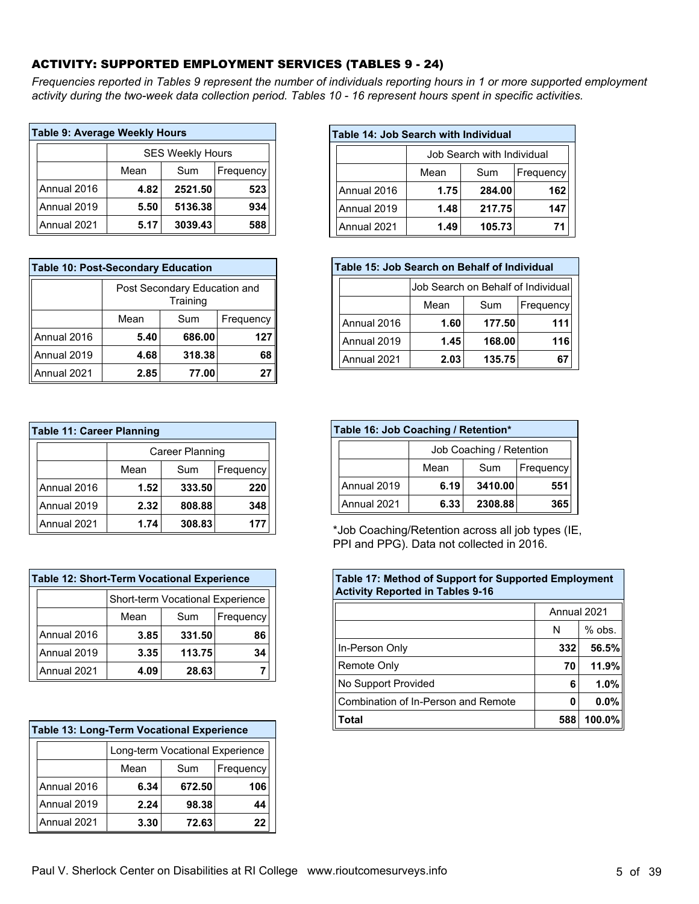### ACTIVITY: SUPPORTED EMPLOYMENT SERVICES (TABLES 9 - 24)

*Frequencies reported in Tables 9 represent the number of individuals reporting hours in 1 or more supported employment activity during the two-week data collection period. Tables 10 - 16 represent hours spent in specific activities.*

| <b>Table 9: Average Weekly Hours</b> |             |                         |         |           |  |  |  |  |
|--------------------------------------|-------------|-------------------------|---------|-----------|--|--|--|--|
|                                      |             | <b>SES Weekly Hours</b> |         |           |  |  |  |  |
|                                      |             | Mean                    | Sum     | Frequency |  |  |  |  |
|                                      | Annual 2016 | 4.82                    | 2521.50 | 523       |  |  |  |  |
|                                      | Annual 2019 | 5.50                    | 5136.38 | 934       |  |  |  |  |
|                                      | Annual 2021 | 588                     |         |           |  |  |  |  |

| <b>Table 10: Post-Secondary Education</b> |                                          |        |           |  |  |  |  |
|-------------------------------------------|------------------------------------------|--------|-----------|--|--|--|--|
|                                           | Post Secondary Education and<br>Training |        |           |  |  |  |  |
|                                           | Mean                                     | Sum    | Frequency |  |  |  |  |
| Annual 2016                               | 5.40                                     | 686.00 | 127       |  |  |  |  |
| Annual 2019                               | 4.68                                     | 318.38 | 68        |  |  |  |  |
| Annual 2021                               | 2.85                                     | 77.00  |           |  |  |  |  |

| <b>Table 11: Career Planning</b> |             |                 |        |           |  |  |  |  |
|----------------------------------|-------------|-----------------|--------|-----------|--|--|--|--|
|                                  |             | Career Planning |        |           |  |  |  |  |
|                                  |             | Mean            | Sum    | Frequency |  |  |  |  |
|                                  | Annual 2016 | 1.52            | 333.50 | 220       |  |  |  |  |
|                                  | Annual 2019 | 2.32            | 808.88 | 348       |  |  |  |  |
|                                  | Annual 2021 | 1.74            | 308.83 | 177       |  |  |  |  |

| <b>Table 12: Short-Term Vocational Experience</b> |                                  |        |           |  |  |  |  |
|---------------------------------------------------|----------------------------------|--------|-----------|--|--|--|--|
|                                                   | Short-term Vocational Experience |        |           |  |  |  |  |
|                                                   | Mean                             | Sum    | Frequency |  |  |  |  |
| Annual 2016                                       | 3.85                             | 331.50 | 86        |  |  |  |  |
| Annual 2019                                       | 3.35                             | 113.75 | 34        |  |  |  |  |
| Annual 2021                                       | 4.09                             | 28.63  |           |  |  |  |  |

|                          | <b>Table 13: Long-Term Vocational Experience</b> |      |                                 |     |  |  |  |
|--------------------------|--------------------------------------------------|------|---------------------------------|-----|--|--|--|
|                          |                                                  |      | Long-term Vocational Experience |     |  |  |  |
| Mean<br>Sum<br>Frequency |                                                  |      |                                 |     |  |  |  |
|                          | Annual 2016                                      | 6.34 | 672.50                          | 106 |  |  |  |
|                          | Annual 2019                                      | 2.24 | 98.38                           | 44  |  |  |  |
|                          | Annual 2021                                      | 3.30 | 72.63                           | 22  |  |  |  |
|                          |                                                  |      |                                 |     |  |  |  |

| Table 14: Job Search with Individual |           |        |     |  |  |  |
|--------------------------------------|-----------|--------|-----|--|--|--|
| Job Search with Individual           |           |        |     |  |  |  |
|                                      | Frequency |        |     |  |  |  |
| Annual 2016                          | 1.75      | 284.00 | 162 |  |  |  |
| Annual 2019                          | 1.48      | 217.75 | 147 |  |  |  |
| Annual 2021                          | 1.49      | 105.73 | 71  |  |  |  |

| Table 15: Job Search on Behalf of Individual |                                    |        |     |  |  |  |  |  |  |
|----------------------------------------------|------------------------------------|--------|-----|--|--|--|--|--|--|
|                                              | Job Search on Behalf of Individual |        |     |  |  |  |  |  |  |
| Mean<br>Sum<br>Frequency                     |                                    |        |     |  |  |  |  |  |  |
| Annual 2016                                  | 1.60                               | 177.50 | 111 |  |  |  |  |  |  |
| Annual 2019                                  | 1.45                               | 168.00 | 116 |  |  |  |  |  |  |
| Annual 2021                                  | 2.03<br>135.75<br>67               |        |     |  |  |  |  |  |  |

| Table 16: Job Coaching / Retention* |                          |           |         |     |  |  |
|-------------------------------------|--------------------------|-----------|---------|-----|--|--|
|                                     | Job Coaching / Retention |           |         |     |  |  |
|                                     |                          | Frequency |         |     |  |  |
|                                     | Annual 2019              | 6.19      | 3410.00 | 551 |  |  |
|                                     | Annual 2021              | 6.33      | 2308.88 | 365 |  |  |

\*Job Coaching/Retention across all job types (IE, PPI and PPG). Data not collected in 2016.

| <b>Table 17: Method of Support for Supported Employment</b><br><b>Activity Reported in Tables 9-16</b> |               |         |  |  |  |  |
|--------------------------------------------------------------------------------------------------------|---------------|---------|--|--|--|--|
| Annual 2021                                                                                            |               |         |  |  |  |  |
|                                                                                                        | $%$ obs.<br>N |         |  |  |  |  |
| In-Person Only                                                                                         | 332           | 56.5%   |  |  |  |  |
| Remote Only                                                                                            | 70            | 11.9%   |  |  |  |  |
| No Support Provided                                                                                    | 6             | $1.0\%$ |  |  |  |  |
| Combination of In-Person and Remote                                                                    | 0             | $0.0\%$ |  |  |  |  |
| Total                                                                                                  | 588           | 100.0%  |  |  |  |  |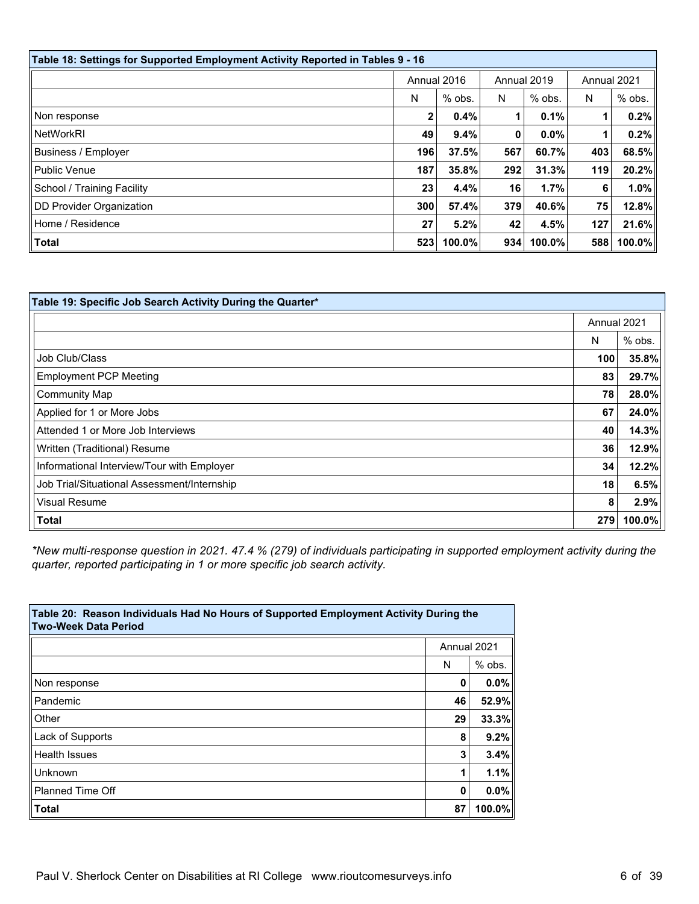| Table 18: Settings for Supported Employment Activity Reported in Tables 9 - 16 |             |          |             |          |             |           |
|--------------------------------------------------------------------------------|-------------|----------|-------------|----------|-------------|-----------|
|                                                                                | Annual 2016 |          | Annual 2019 |          | Annual 2021 |           |
|                                                                                | N           | $%$ obs. | N           | $%$ obs. | N           | $%$ obs.  |
| Non response                                                                   | 2           | 0.4%     |             | 0.1%     |             | 0.2%      |
| <b>NetWorkRI</b>                                                               | 49          | 9.4%     | 0           | $0.0\%$  |             | 0.2%      |
| Business / Employer                                                            | 196         | 37.5%    | 567         | 60.7%    | 403         | 68.5%     |
| Public Venue                                                                   | 187         | 35.8%    | 292         | 31.3%    | 119         | 20.2%     |
| School / Training Facility                                                     | 23          | 4.4%     | 16          | 1.7%     | 6           | $1.0\%$   |
| DD Provider Organization                                                       | 300         | 57.4%    | 379         | 40.6%    | 75          | 12.8%     |
| Home / Residence                                                               | 27          | 5.2%     | 42          | 4.5%     | 127         | 21.6%     |
| Total                                                                          | 523         | 100.0%   | 934         | 100.0%   | 588         | $100.0\%$ |

| Table 19: Specific Job Search Activity During the Quarter* |             |          |
|------------------------------------------------------------|-------------|----------|
|                                                            | Annual 2021 |          |
|                                                            | N           | $%$ obs. |
| Job Club/Class                                             | 100         | 35.8%    |
| <b>Employment PCP Meeting</b>                              | 83          | 29.7%    |
| <b>Community Map</b>                                       | 78          | 28.0%    |
| Applied for 1 or More Jobs                                 | 67          | 24.0%    |
| Attended 1 or More Job Interviews                          | 40          | 14.3%    |
| Written (Traditional) Resume                               | 36          | 12.9%    |
| Informational Interview/Tour with Employer                 | 34          | 12.2%    |
| Job Trial/Situational Assessment/Internship                | 18          | 6.5%     |
| <b>Visual Resume</b>                                       | 8           | 2.9%     |
| <b>Total</b>                                               | 279         | 100.0%   |

*\*New multi-response question in 2021. 47.4 % (279) of individuals participating in supported employment activity during the quarter, reported participating in 1 or more specific job search activity.*

| Table 20: Reason Individuals Had No Hours of Supported Employment Activity During the<br><b>Two-Week Data Period</b> |             |          |  |  |
|----------------------------------------------------------------------------------------------------------------------|-------------|----------|--|--|
|                                                                                                                      | Annual 2021 |          |  |  |
|                                                                                                                      | N           | $%$ obs. |  |  |
| Non response                                                                                                         | 0           | $0.0\%$  |  |  |
| Pandemic                                                                                                             | 46          | 52.9%    |  |  |
| Other                                                                                                                | 29          | 33.3%    |  |  |
| Lack of Supports                                                                                                     | 8           | 9.2%     |  |  |
| <b>Health Issues</b>                                                                                                 | 3           | 3.4%     |  |  |
| Unknown                                                                                                              |             | 1.1%     |  |  |
| <b>Planned Time Off</b>                                                                                              | O           | $0.0\%$  |  |  |
| <b>Total</b>                                                                                                         | 87          | 100.0%   |  |  |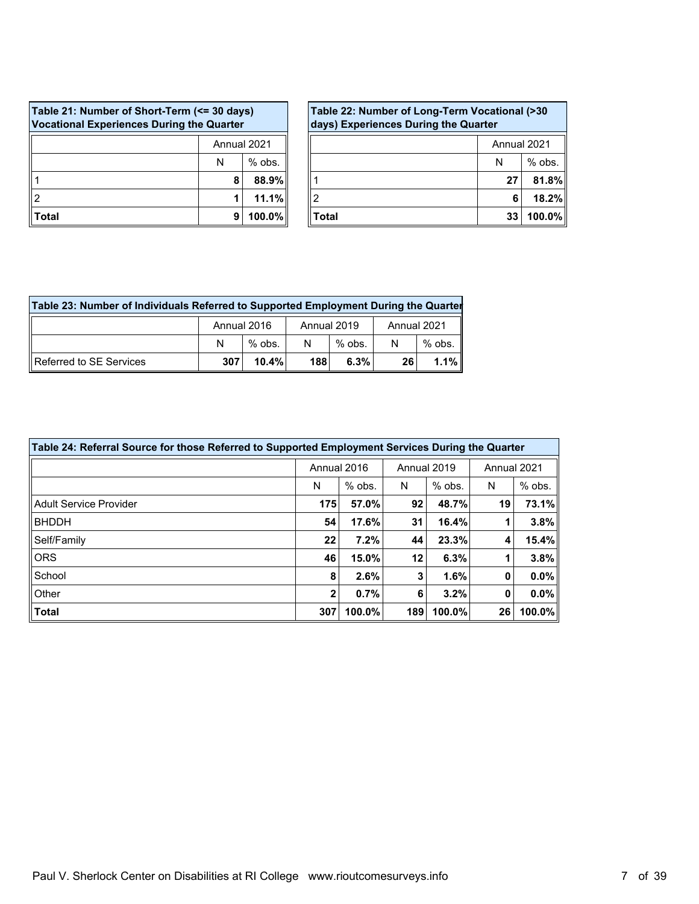| Table 21: Number of Short-Term (<= 30 days)<br><b>Vocational Experiences During the Quarter</b> |               |       |  |  |  |  |
|-------------------------------------------------------------------------------------------------|---------------|-------|--|--|--|--|
| Annual 2021                                                                                     |               |       |  |  |  |  |
|                                                                                                 | $%$ obs.<br>N |       |  |  |  |  |
|                                                                                                 | 8             | 88.9% |  |  |  |  |
|                                                                                                 | 1             | 11.1% |  |  |  |  |
| 100.0%<br>⊺otal<br>9                                                                            |               |       |  |  |  |  |

| Table 22: Number of Long-Term Vocational (>30<br>days) Experiences During the Quarter |               |  |  |  |  |  |
|---------------------------------------------------------------------------------------|---------------|--|--|--|--|--|
| Annual 2021                                                                           |               |  |  |  |  |  |
|                                                                                       | $%$ obs.<br>N |  |  |  |  |  |
|                                                                                       | 81.8%<br>27   |  |  |  |  |  |
|                                                                                       | 18.2%<br>6    |  |  |  |  |  |
| 100.0%<br>Total<br>33                                                                 |               |  |  |  |  |  |

| Table 23: Number of Individuals Referred to Supported Employment During the Quarter |     |          |     |          |                 |          |  |
|-------------------------------------------------------------------------------------|-----|----------|-----|----------|-----------------|----------|--|
| Annual 2016<br>Annual 2019<br>Annual 2021                                           |     |          |     |          |                 |          |  |
|                                                                                     | N   | $%$ obs. | N   | $%$ obs. | N               | $%$ obs. |  |
| I Referred to SE Services                                                           | 307 | 10.4%    | 188 | 6.3%     | 26 <sub>1</sub> | $1.1\%$  |  |

| Table 24: Referral Source for those Referred to Supported Employment Services During the Quarter |             |          |             |          |             |          |  |
|--------------------------------------------------------------------------------------------------|-------------|----------|-------------|----------|-------------|----------|--|
|                                                                                                  | Annual 2016 |          | Annual 2019 |          | Annual 2021 |          |  |
|                                                                                                  | N           | $%$ obs. | N           | $%$ obs. | N           | $%$ obs. |  |
| Adult Service Provider                                                                           | 175         | 57.0%    | 92          | 48.7%    | 19          | 73.1%    |  |
| <b>BHDDH</b>                                                                                     | 54          | 17.6%    | 31          | 16.4%    |             | 3.8%     |  |
| Self/Family                                                                                      | 22          | 7.2%     | 44          | 23.3%    | 4           | 15.4%    |  |
| <b>ORS</b>                                                                                       | 46          | 15.0%    | 12          | 6.3%     |             | 3.8%     |  |
| School                                                                                           | 8           | 2.6%     | 3           | $1.6\%$  | 0           | 0.0%     |  |
| Other                                                                                            | 2           | 0.7%     | 6           | 3.2%     | 0           | $0.0\%$  |  |
| Total                                                                                            | 307         | 100.0%   | 189         | 100.0%   | 26          | 100.0%   |  |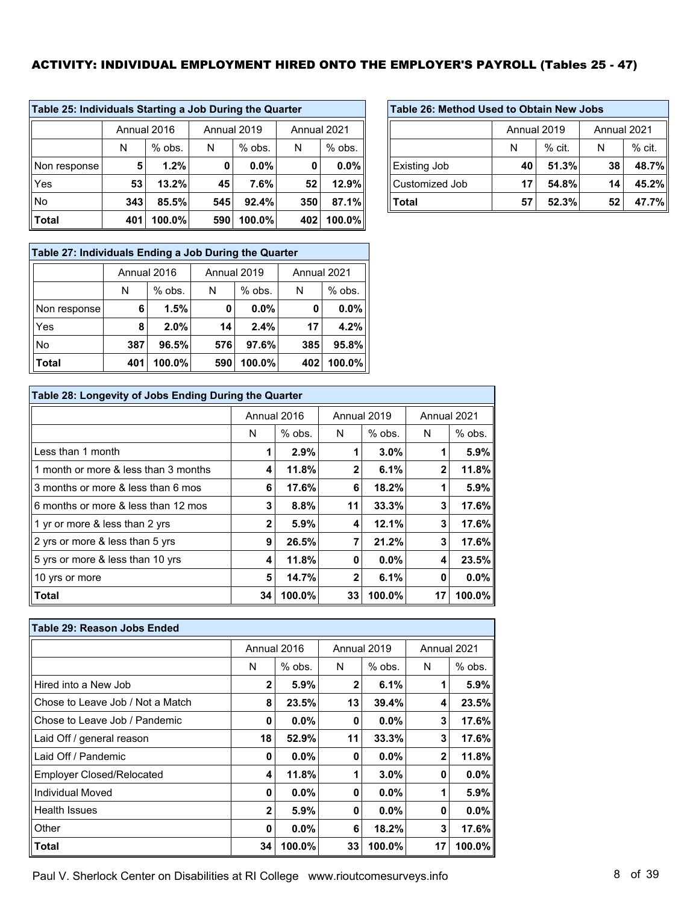# ACTIVITY: INDIVIDUAL EMPLOYMENT HIRED ONTO THE EMPLOYER'S PAYROLL (Tables 25 - 47)

r

| Table 25: Individuals Starting a Job During the Quarter |     |                                           |     |          |     |          |  |  |  |  |
|---------------------------------------------------------|-----|-------------------------------------------|-----|----------|-----|----------|--|--|--|--|
|                                                         |     | Annual 2016<br>Annual 2019<br>Annual 2021 |     |          |     |          |  |  |  |  |
|                                                         | N   | $%$ obs.                                  | N   | $%$ obs. | N   | $%$ obs. |  |  |  |  |
| Non response                                            | 5   | 1.2%                                      | 0   | $0.0\%$  | 0   | $0.0\%$  |  |  |  |  |
| Yes                                                     | 53  | 13.2%                                     | 45  | 7.6%     | 52  | 12.9%    |  |  |  |  |
| No                                                      | 343 | 85.5%                                     | 545 | 92.4%    | 350 | 87.1%    |  |  |  |  |
| <b>Total</b>                                            | 401 | 100.0%                                    | 590 | 100.0%   | 402 | 100.0%   |  |  |  |  |

| Table 27: Individuals Ending a Job During the Quarter |             |                            |     |          |     |          |  |  |  |  |
|-------------------------------------------------------|-------------|----------------------------|-----|----------|-----|----------|--|--|--|--|
|                                                       | Annual 2016 | Annual 2019<br>Annual 2021 |     |          |     |          |  |  |  |  |
|                                                       | N           | $%$ obs.                   | N   | $%$ obs. | N   | $%$ obs. |  |  |  |  |
| Non response                                          | 6           | 1.5%                       | 0   | 0.0%     | 0   | $0.0\%$  |  |  |  |  |
| Yes                                                   | 8           | 2.0%                       | 14  | 2.4%     | 17  | 4.2%     |  |  |  |  |
| No                                                    | 387         | 96.5%                      | 576 | 97.6%    | 385 | 95.8%    |  |  |  |  |
| <b>Total</b>                                          | 401         | 100.0%                     | 590 | 100.0%   | 402 | 100.0%   |  |  |  |  |

| Table 28: Longevity of Jobs Ending During the Quarter |              |             |              |             |              |           |  |  |  |  |  |
|-------------------------------------------------------|--------------|-------------|--------------|-------------|--------------|-----------|--|--|--|--|--|
|                                                       |              | Annual 2016 |              | Annual 2019 | Annual 2021  |           |  |  |  |  |  |
|                                                       | N            | $%$ obs.    | N            | $%$ obs.    | N            | $%$ obs.  |  |  |  |  |  |
| Less than 1 month                                     | 1            | 2.9%        |              | 3.0%        |              | 5.9%      |  |  |  |  |  |
| 1 month or more & less than 3 months                  | 4            | 11.8%       | $\mathbf{2}$ | 6.1%        | $\mathbf{2}$ | 11.8%     |  |  |  |  |  |
| 3 months or more & less than 6 mos                    | 6            | 17.6%       | 6            | 18.2%       |              | 5.9%      |  |  |  |  |  |
| 6 months or more & less than 12 mos                   | 3            | 8.8%        | 11           | 33.3%       | 3            | 17.6%     |  |  |  |  |  |
| 1 yr or more & less than 2 yrs                        | $\mathbf{2}$ | 5.9%        | 4            | 12.1%       | 3            | 17.6%     |  |  |  |  |  |
| 2 yrs or more & less than 5 yrs                       | 9            | 26.5%       | 7            | 21.2%       | 3            | 17.6%     |  |  |  |  |  |
| 5 yrs or more & less than 10 yrs                      | 4            | 11.8%       | 0            | 0.0%        | 4            | 23.5%     |  |  |  |  |  |
| 10 yrs or more                                        | 5            | 14.7%       | $\mathbf{2}$ | 6.1%        | 0            | $0.0\%$   |  |  |  |  |  |
| <b>Total</b>                                          | 34           | 100.0%      | 33           | 100.0%      | 17           | $100.0\%$ |  |  |  |  |  |

| Table 29: Reason Jobs Ended      |              |             |              |             |              |          |
|----------------------------------|--------------|-------------|--------------|-------------|--------------|----------|
|                                  |              | Annual 2016 |              | Annual 2019 | Annual 2021  |          |
|                                  | N            | $%$ obs.    | N            | $%$ obs.    | N            | $%$ obs. |
| Hired into a New Job             | $\mathbf{2}$ | $5.9\%$     | $\mathbf{2}$ | 6.1%        |              | $5.9\%$  |
| Chose to Leave Job / Not a Match | 8            | 23.5%       | 13           | 39.4%       | 4            | 23.5%    |
| Chose to Leave Job / Pandemic    | 0            | $0.0\%$     | 0            | $0.0\%$     | 3            | 17.6%    |
| Laid Off / general reason        | 18           | 52.9%       | 11           | 33.3%       | 3            | 17.6%    |
| Laid Off / Pandemic              | 0            | $0.0\%$     | 0            | 0.0%        | $\mathbf{2}$ | 11.8%    |
| <b>Employer Closed/Relocated</b> | 4            | 11.8%       |              | $3.0\%$     | 0            | $0.0\%$  |
| Individual Moved                 | 0            | $0.0\%$     | 0            | $0.0\%$     |              | 5.9%     |
| <b>Health Issues</b>             | $\mathbf{2}$ | $5.9\%$     | 0            | $0.0\%$     | 0            | $0.0\%$  |
| Other                            | 0            | $0.0\%$     | 6            | 18.2%       | 3            | 17.6%    |
| Total                            | 34           | 100.0%      | 33           | 100.0%      | 17           | 100.0%   |

| Table 26: Method Used to Obtain New Jobs |                            |       |    |       |  |  |  |  |  |
|------------------------------------------|----------------------------|-------|----|-------|--|--|--|--|--|
|                                          | Annual 2019<br>Annual 2021 |       |    |       |  |  |  |  |  |
|                                          | $%$ cit.<br>$%$ cit.<br>N  |       |    |       |  |  |  |  |  |
| <b>Existing Job</b>                      | 40                         | 51.3% | 38 | 48.7% |  |  |  |  |  |
| Customized Job                           | 17                         | 54.8% | 14 | 45.2% |  |  |  |  |  |
| Total                                    | 52.3%<br>47.7%<br>52<br>57 |       |    |       |  |  |  |  |  |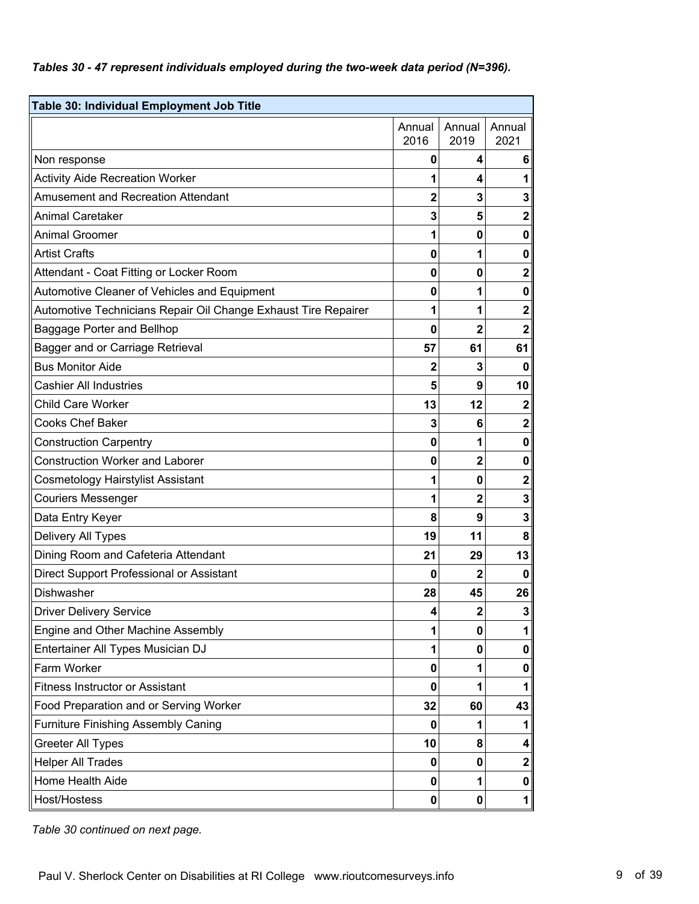#### *Tables 30 - 47 represent individuals employed during the two-week data period (N=396).*

| Table 30: Individual Employment Job Title                      |                |                         |                         |
|----------------------------------------------------------------|----------------|-------------------------|-------------------------|
|                                                                | Annual<br>2016 | Annual<br>2019          | Annual<br>2021          |
| Non response                                                   | 0              | 4                       | 6                       |
| <b>Activity Aide Recreation Worker</b>                         | 1              | 4                       | 1                       |
| <b>Amusement and Recreation Attendant</b>                      | 2              | 3                       | 3                       |
| <b>Animal Caretaker</b>                                        | 3              | 5                       | $\mathbf 2$             |
| <b>Animal Groomer</b>                                          | 1              | $\bf{0}$                | $\bf{0}$                |
| <b>Artist Crafts</b>                                           | 0              | 1                       | $\bf{0}$                |
| Attendant - Coat Fitting or Locker Room                        | 0              | $\bf{0}$                | $\mathbf 2$             |
| Automotive Cleaner of Vehicles and Equipment                   | 0              | 1                       | $\bf{0}$                |
| Automotive Technicians Repair Oil Change Exhaust Tire Repairer | 1              | 1                       | $\overline{\mathbf{2}}$ |
| Baggage Porter and Bellhop                                     | 0              | $\overline{2}$          | $\overline{2}$          |
| Bagger and or Carriage Retrieval                               | 57             | 61                      | 61                      |
| <b>Bus Monitor Aide</b>                                        | $\mathbf{2}$   | 3                       | $\mathbf 0$             |
| <b>Cashier All Industries</b>                                  | 5              | 9                       | 10                      |
| <b>Child Care Worker</b>                                       | 13             | 12                      | $\mathbf 2$             |
| <b>Cooks Chef Baker</b>                                        | 3              | 6                       | $\mathbf 2$             |
| <b>Construction Carpentry</b>                                  | 0              | 1                       | $\mathbf 0$             |
| <b>Construction Worker and Laborer</b>                         | 0              | $\overline{2}$          | $\bf{0}$                |
| <b>Cosmetology Hairstylist Assistant</b>                       | 1              | 0                       | $\mathbf 2$             |
| <b>Couriers Messenger</b>                                      | 1              | $\overline{\mathbf{2}}$ | 3                       |
| Data Entry Keyer                                               | 8              | 9                       | 3                       |
| Delivery All Types                                             | 19             | 11                      | 8                       |
| Dining Room and Cafeteria Attendant                            | 21             | 29                      | 13                      |
| Direct Support Professional or Assistant                       | 0              | $\overline{2}$          | $\mathbf 0$             |
| <b>Dishwasher</b>                                              | 28             | 45                      | 26                      |
| <b>Driver Delivery Service</b>                                 | 4              | $\mathbf{2}$            | ${\bf 3}$               |
| Engine and Other Machine Assembly                              | 1              | 0                       | 1                       |
| Entertainer All Types Musician DJ                              | 1              | 0                       | $\mathbf 0$             |
| Farm Worker                                                    | 0              | 1                       | 0                       |
| <b>Fitness Instructor or Assistant</b>                         | 0              | 1                       | 1                       |
| Food Preparation and or Serving Worker                         | 32             | 60                      | 43                      |
| <b>Furniture Finishing Assembly Caning</b>                     | 0              | 1                       | 1                       |
| <b>Greeter All Types</b>                                       | 10             | 8                       | 4                       |
| <b>Helper All Trades</b>                                       | 0              | 0                       | $\mathbf 2$             |
| Home Health Aide                                               | 0              | 1                       | 0                       |
| Host/Hostess                                                   | 0              | $\mathbf{0}$            | $\mathbf{1}$            |

*Table 30 continued on next page.*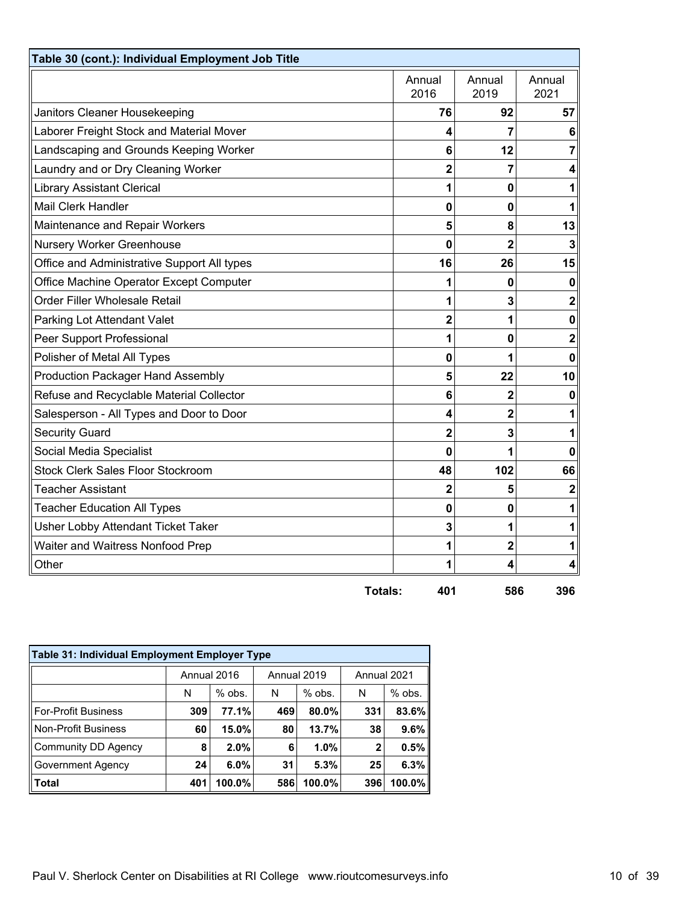| Table 30 (cont.): Individual Employment Job Title |                |                |                |
|---------------------------------------------------|----------------|----------------|----------------|
|                                                   | Annual<br>2016 | Annual<br>2019 | Annual<br>2021 |
| Janitors Cleaner Housekeeping                     | 76             | 92             | 57             |
| Laborer Freight Stock and Material Mover          | 4              | 7              | 6              |
| Landscaping and Grounds Keeping Worker            | 6              | 12             | 7              |
| Laundry and or Dry Cleaning Worker                | 2              | 7              | 4              |
| <b>Library Assistant Clerical</b>                 | 1              | 0              | 1              |
| <b>Mail Clerk Handler</b>                         | 0              | 0              | 1              |
| Maintenance and Repair Workers                    | 5              | 8              | 13             |
| Nursery Worker Greenhouse                         | 0              | 2              | 3              |
| Office and Administrative Support All types       | 16             | 26             | 15             |
| Office Machine Operator Except Computer           |                | 0              | 0              |
| Order Filler Wholesale Retail                     | 1              | 3              | $\mathbf 2$    |
| Parking Lot Attendant Valet                       | $\overline{2}$ | 1              | $\mathbf 0$    |
| Peer Support Professional                         | 1              | 0              | $\mathbf 2$    |
| Polisher of Metal All Types                       | 0              |                | 0              |
| <b>Production Packager Hand Assembly</b>          | 5              | 22             | 10             |
| Refuse and Recyclable Material Collector          | 6              | 2              | 0              |
| Salesperson - All Types and Door to Door          | 4              | 2              | 1              |
| <b>Security Guard</b>                             | $\overline{2}$ | 3              | 1              |
| Social Media Specialist                           | 0              |                | 0              |
| <b>Stock Clerk Sales Floor Stockroom</b>          | 48             | 102            | 66             |
| <b>Teacher Assistant</b>                          | 2              | 5              | $\mathbf 2$    |
| <b>Teacher Education All Types</b>                | 0              | 0              | 1              |
| Usher Lobby Attendant Ticket Taker                | 3              | 1              |                |
| Waiter and Waitress Nonfood Prep                  | 1              | $\overline{2}$ | 1              |
| Other                                             | 1              | 4              | 4              |
| <b>Totals:</b>                                    | 401            | 586            | 396            |

| Table 31: Individual Employment Employer Type |             |          |     |             |             |           |  |  |  |  |
|-----------------------------------------------|-------------|----------|-----|-------------|-------------|-----------|--|--|--|--|
|                                               | Annual 2016 |          |     | Annual 2019 | Annual 2021 |           |  |  |  |  |
|                                               | N           | $%$ obs. | N   | $%$ obs.    | N           | $%$ obs.  |  |  |  |  |
| <b>For-Profit Business</b>                    | 309         | 77.1%    | 469 | 80.0%       | 331         | 83.6%     |  |  |  |  |
| <b>Non-Profit Business</b>                    | 60          | 15.0%    | 80  | 13.7%       | 38          | 9.6%      |  |  |  |  |
| Community DD Agency                           | 8           | 2.0%     | 6   | 1.0%        | 2           | 0.5%      |  |  |  |  |
| Government Agency                             | 24          | 6.0%     | 31  | 5.3%        | 25          | 6.3%      |  |  |  |  |
| <b>Total</b>                                  | 401         | 100.0%   | 586 | 100.0%      | 396         | $100.0\%$ |  |  |  |  |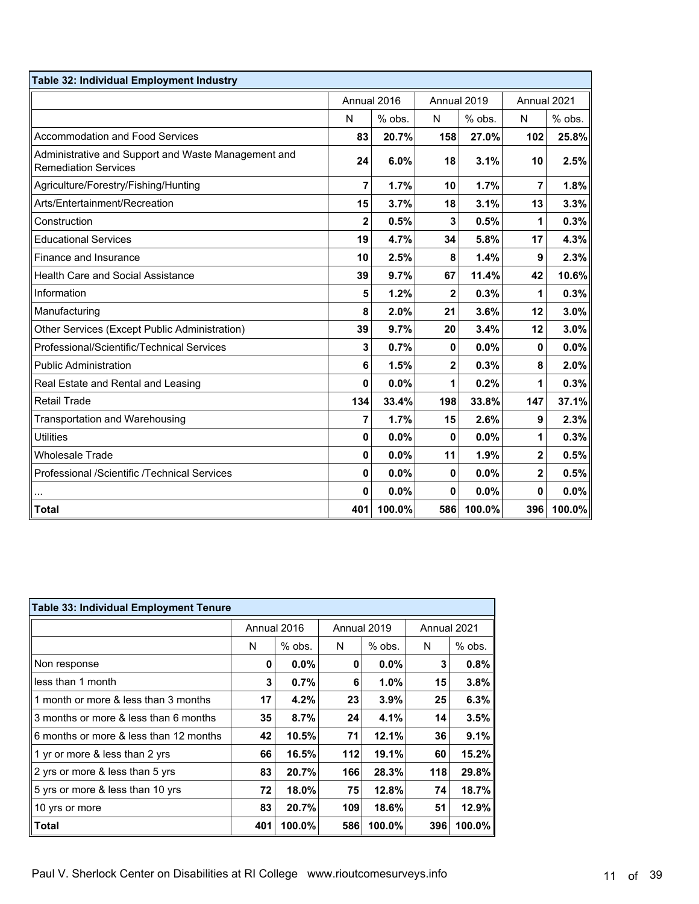| Table 32: Individual Employment Industry                                           |              |          |             |         |             |             |  |
|------------------------------------------------------------------------------------|--------------|----------|-------------|---------|-------------|-------------|--|
|                                                                                    | Annual 2016  |          | Annual 2019 |         |             | Annual 2021 |  |
|                                                                                    | N            | $%$ obs. | N           | % obs.  | N           | $%$ obs.    |  |
| <b>Accommodation and Food Services</b>                                             | 83           | 20.7%    | 158         | 27.0%   | 102         | 25.8%       |  |
| Administrative and Support and Waste Management and<br><b>Remediation Services</b> | 24           | 6.0%     | 18          | 3.1%    | 10          | 2.5%        |  |
| Agriculture/Forestry/Fishing/Hunting                                               | 7            | 1.7%     | 10          | 1.7%    | 7           | 1.8%        |  |
| Arts/Entertainment/Recreation                                                      | 15           | 3.7%     | 18          | 3.1%    | 13          | 3.3%        |  |
| Construction                                                                       | 2            | 0.5%     | 3           | 0.5%    | 1           | 0.3%        |  |
| <b>Educational Services</b>                                                        | 19           | 4.7%     | 34          | 5.8%    | 17          | 4.3%        |  |
| Finance and Insurance                                                              | 10           | 2.5%     | 8           | 1.4%    | 9           | 2.3%        |  |
| <b>Health Care and Social Assistance</b>                                           | 39           | 9.7%     | 67          | 11.4%   | 42          | 10.6%       |  |
| Information                                                                        | 5            | 1.2%     | 2           | 0.3%    | 1           | 0.3%        |  |
| Manufacturing                                                                      | 8            | 2.0%     | 21          | 3.6%    | 12          | 3.0%        |  |
| Other Services (Except Public Administration)                                      | 39           | 9.7%     | 20          | 3.4%    | 12          | 3.0%        |  |
| Professional/Scientific/Technical Services                                         | 3            | 0.7%     | 0           | $0.0\%$ | 0           | 0.0%        |  |
| <b>Public Administration</b>                                                       | 6            | 1.5%     | 2           | 0.3%    | 8           | 2.0%        |  |
| Real Estate and Rental and Leasing                                                 | 0            | 0.0%     | 1           | 0.2%    | 1           | 0.3%        |  |
| <b>Retail Trade</b>                                                                | 134          | 33.4%    | 198         | 33.8%   | 147         | 37.1%       |  |
| Transportation and Warehousing                                                     | 7            | 1.7%     | 15          | 2.6%    | 9           | 2.3%        |  |
| <b>Utilities</b>                                                                   | $\bf{0}$     | 0.0%     | 0           | 0.0%    | 1           | 0.3%        |  |
| <b>Wholesale Trade</b>                                                             | $\mathbf{0}$ | 0.0%     | 11          | 1.9%    | 2           | 0.5%        |  |
| Professional /Scientific /Technical Services                                       | $\mathbf{0}$ | 0.0%     | 0           | 0.0%    | $\mathbf 2$ | 0.5%        |  |
|                                                                                    | 0            | 0.0%     | 0           | 0.0%    | 0           | 0.0%        |  |
| <b>Total</b>                                                                       | 401          | 100.0%   | 586         | 100.0%  | 396         | 100.0%      |  |

| <b>Table 33: Individual Employment Tenure</b> |     |             |     |             |             |        |  |  |  |  |
|-----------------------------------------------|-----|-------------|-----|-------------|-------------|--------|--|--|--|--|
|                                               |     | Annual 2016 |     | Annual 2019 | Annual 2021 |        |  |  |  |  |
|                                               | N   | $%$ obs.    | N   | $%$ obs.    | N           | % obs. |  |  |  |  |
| Non response                                  | 0   | $0.0\%$     | 0   | $0.0\%$     | 3           | 0.8%   |  |  |  |  |
| less than 1 month                             | 3   | 0.7%        | 6   | $1.0\%$     | 15          | 3.8%   |  |  |  |  |
| 1 month or more & less than 3 months          | 17  | 4.2%        | 23  | $3.9\%$     | 25          | 6.3%   |  |  |  |  |
| 3 months or more & less than 6 months         | 35  | 8.7%        | 24  | 4.1%        | 14          | 3.5%   |  |  |  |  |
| 6 months or more & less than 12 months        | 42  | 10.5%       | 71  | 12.1%       | 36          | 9.1%   |  |  |  |  |
| 1 yr or more & less than 2 yrs                | 66  | 16.5%       | 112 | 19.1%       | 60          | 15.2%  |  |  |  |  |
| 2 yrs or more & less than 5 yrs               | 83  | 20.7%       | 166 | 28.3%       | 118         | 29.8%  |  |  |  |  |
| 5 yrs or more & less than 10 yrs              | 72  | 18.0%       | 75  | 12.8%       | 74          | 18.7%  |  |  |  |  |
| 10 yrs or more                                | 83  | 20.7%       | 109 | 18.6%       | 51          | 12.9%  |  |  |  |  |
| Total                                         | 401 | 100.0%      | 586 | 100.0%      | 396         | 100.0% |  |  |  |  |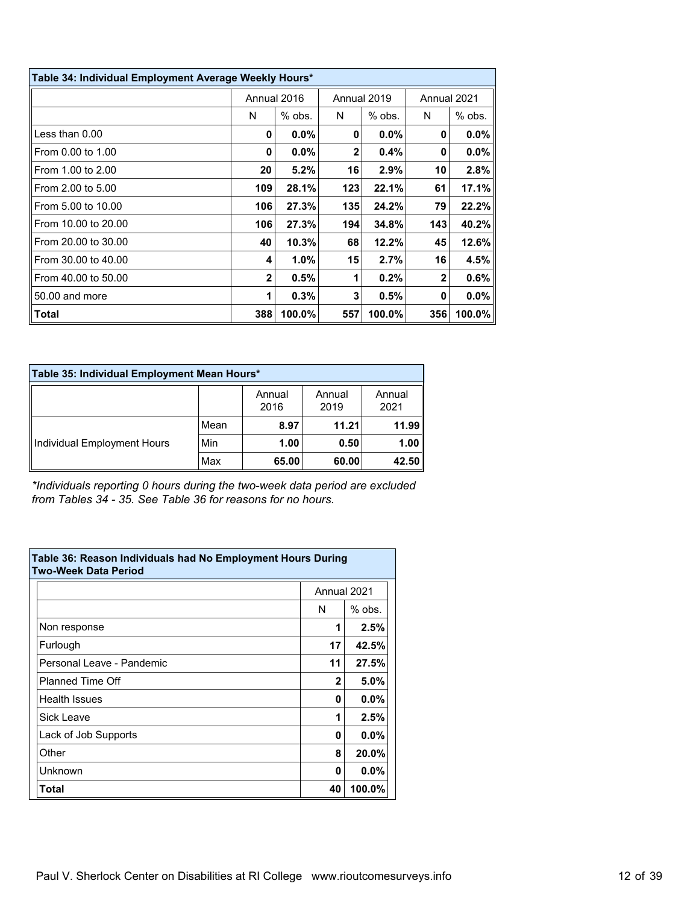| Table 34: Individual Employment Average Weekly Hours* |                |             |              |             |                |          |  |  |  |  |
|-------------------------------------------------------|----------------|-------------|--------------|-------------|----------------|----------|--|--|--|--|
|                                                       |                | Annual 2016 |              | Annual 2019 | Annual 2021    |          |  |  |  |  |
|                                                       | N              | $%$ obs.    | N            | $%$ obs.    | N              | $%$ obs. |  |  |  |  |
| Less than $0.00$                                      | 0              | $0.0\%$     | 0            | $0.0\%$     | 0              | $0.0\%$  |  |  |  |  |
| From 0.00 to 1.00                                     | 0              | 0.0%        | $\mathbf{2}$ | 0.4%        | 0              | $0.0\%$  |  |  |  |  |
| From 1.00 to 2.00                                     | 20             | 5.2%        | 16           | 2.9%        | 10             | 2.8%     |  |  |  |  |
| From 2.00 to 5.00                                     | 109            | 28.1%       | 123          | 22.1%       | 61             | 17.1%    |  |  |  |  |
| From 5.00 to 10.00                                    | 106            | 27.3%       | 135          | 24.2%       | 79             | 22.2%    |  |  |  |  |
| From 10.00 to 20.00                                   | 106            | 27.3%       | 194          | 34.8%       | 143            | 40.2%    |  |  |  |  |
| From 20.00 to 30.00                                   | 40             | 10.3%       | 68           | 12.2%       | 45             | 12.6%    |  |  |  |  |
| From 30.00 to 40.00                                   | 4              | 1.0%        | 15           | 2.7%        | 16             | 4.5%     |  |  |  |  |
| From 40.00 to 50.00                                   | $\overline{2}$ | 0.5%        | 1            | 0.2%        | $\overline{2}$ | 0.6%     |  |  |  |  |
| 50.00 and more                                        | 1              | 0.3%        | 3            | 0.5%        | 0              | $0.0\%$  |  |  |  |  |
| Total                                                 | 388            | 100.0%      | 557          | 100.0%      | 356            | 100.0%   |  |  |  |  |

| Table 35: Individual Employment Mean Hours* |      |                |                |                |  |  |  |  |  |
|---------------------------------------------|------|----------------|----------------|----------------|--|--|--|--|--|
|                                             |      | Annual<br>2016 | Annual<br>2019 | Annual<br>2021 |  |  |  |  |  |
|                                             | Mean | 8.97           | 11.21          | 11.99          |  |  |  |  |  |
| Individual Employment Hours                 | Min  | 1.00           | 0.50           | 1.00           |  |  |  |  |  |
|                                             | Max  | 65.00          | 60.00          | 42.50          |  |  |  |  |  |

*\*Individuals reporting 0 hours during the two-week data period are excluded from Tables 34 - 35. See Table 36 for reasons for no hours.*

| Table 36: Reason Individuals had No Employment Hours During<br><b>Two-Week Data Period</b> |             |          |  |  |  |  |  |
|--------------------------------------------------------------------------------------------|-------------|----------|--|--|--|--|--|
|                                                                                            | Annual 2021 |          |  |  |  |  |  |
|                                                                                            | N           | $%$ obs. |  |  |  |  |  |
| Non response                                                                               | 1           | 2.5%     |  |  |  |  |  |
| Furlough                                                                                   | 17          | 42.5%    |  |  |  |  |  |
| Personal Leave - Pandemic                                                                  | 11          | 27.5%    |  |  |  |  |  |
| <b>Planned Time Off</b>                                                                    | 2           | 5.0%     |  |  |  |  |  |
| <b>Health Issues</b>                                                                       | 0           | $0.0\%$  |  |  |  |  |  |
| Sick Leave                                                                                 | 1           | 2.5%     |  |  |  |  |  |
| Lack of Job Supports                                                                       | 0           | $0.0\%$  |  |  |  |  |  |
| Other                                                                                      | 8           | 20.0%    |  |  |  |  |  |
| Unknown                                                                                    | 0           | $0.0\%$  |  |  |  |  |  |
| Total                                                                                      | 40          | 100.0%   |  |  |  |  |  |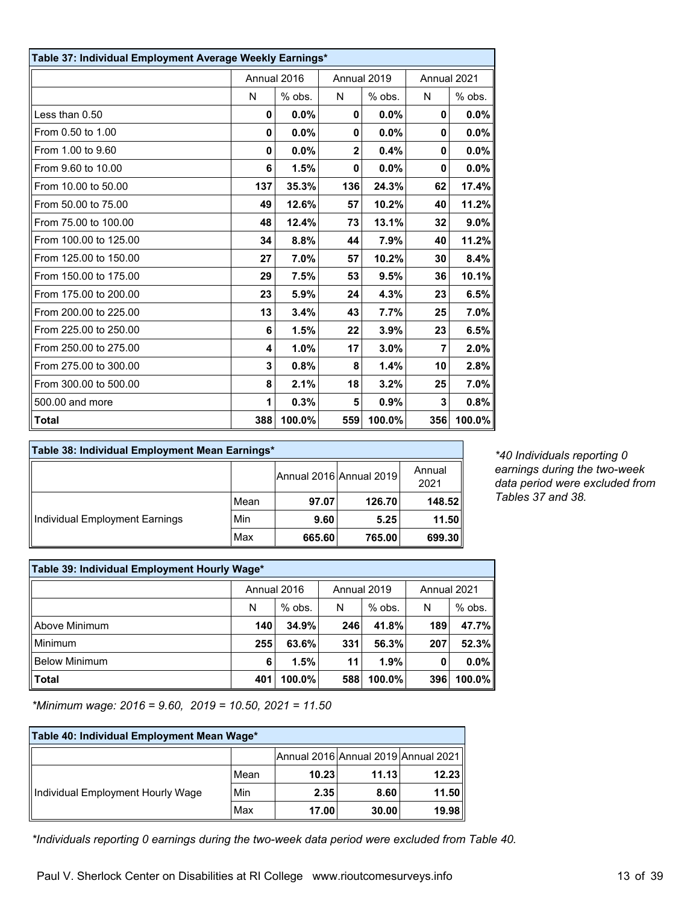| Table 37: Individual Employment Average Weekly Earnings* |             |        |                |        |                |         |  |  |
|----------------------------------------------------------|-------------|--------|----------------|--------|----------------|---------|--|--|
|                                                          | Annual 2016 |        | Annual 2019    |        | Annual 2021    |         |  |  |
|                                                          | N           | % obs. | N              | % obs. | N              | % obs.  |  |  |
| Less than 0.50                                           | 0           | 0.0%   | $\bf{0}$       | 0.0%   | $\bf{0}$       | 0.0%    |  |  |
| From 0.50 to 1.00                                        | 0           | 0.0%   | 0              | 0.0%   | 0              | $0.0\%$ |  |  |
| From 1.00 to 9.60                                        | 0           | 0.0%   | $\overline{2}$ | 0.4%   | 0              | 0.0%    |  |  |
| From 9.60 to 10.00                                       | 6           | 1.5%   | $\mathbf{0}$   | 0.0%   | $\mathbf{0}$   | $0.0\%$ |  |  |
| From 10.00 to 50.00                                      | 137         | 35.3%  | 136            | 24.3%  | 62             | 17.4%   |  |  |
| From 50.00 to 75.00                                      | 49          | 12.6%  | 57             | 10.2%  | 40             | 11.2%   |  |  |
| From 75.00 to 100.00                                     | 48          | 12.4%  | 73             | 13.1%  | 32             | 9.0%    |  |  |
| From 100.00 to 125.00                                    | 34          | 8.8%   | 44             | 7.9%   | 40             | 11.2%   |  |  |
| From 125.00 to 150.00                                    | 27          | 7.0%   | 57             | 10.2%  | 30             | 8.4%    |  |  |
| From 150.00 to 175.00                                    | 29          | 7.5%   | 53             | 9.5%   | 36             | 10.1%   |  |  |
| From 175.00 to 200.00                                    | 23          | 5.9%   | 24             | 4.3%   | 23             | 6.5%    |  |  |
| From 200.00 to 225.00                                    | 13          | 3.4%   | 43             | 7.7%   | 25             | 7.0%    |  |  |
| From 225.00 to 250.00                                    | 6           | 1.5%   | 22             | 3.9%   | 23             | 6.5%    |  |  |
| From 250.00 to 275.00                                    | 4           | 1.0%   | 17             | 3.0%   | $\overline{7}$ | 2.0%    |  |  |
| From 275.00 to 300.00                                    | 3           | 0.8%   | 8              | 1.4%   | 10             | 2.8%    |  |  |
| From 300.00 to 500.00                                    | 8           | 2.1%   | 18             | 3.2%   | 25             | 7.0%    |  |  |
| 500,00 and more                                          | 1           | 0.3%   | 5              | 0.9%   | 3              | 0.8%    |  |  |
| Total                                                    | 388         | 100.0% | 559            | 100.0% | 356            | 100.0%  |  |  |

| Table 38: Individual Employment Mean Earnings* |      |        |                         |                |
|------------------------------------------------|------|--------|-------------------------|----------------|
|                                                |      |        | Annual 2016 Annual 2019 | Annual<br>2021 |
|                                                | Mean | 97.07  | 126.70                  | 148.52         |
| Individual Employment Earnings                 | Min  | 9.60   | 5.25                    | 11.50          |
|                                                | Max  | 665.60 | 765.00                  | 699.30         |

*\*40 Individuals reporting 0 earnings during the two-week data period were excluded from Tables 37 and 38.*

| Table 39: Individual Employment Hourly Wage* |             |           |             |           |             |          |  |  |  |
|----------------------------------------------|-------------|-----------|-------------|-----------|-------------|----------|--|--|--|
|                                              | Annual 2016 |           | Annual 2019 |           | Annual 2021 |          |  |  |  |
|                                              | N           | $%$ obs.  | N           | % obs.    | N           | $%$ obs. |  |  |  |
| ll Above Minimum                             | 140         | 34.9%     | 246         | 41.8%     | 189         | 47.7%    |  |  |  |
| ll Minimum                                   | 255         | 63.6%     | 331         | 56.3%     | 207         | 52.3%    |  |  |  |
| Below Minimum                                | 6           | 1.5%      | 11          | 1.9%      | 0           | $0.0\%$  |  |  |  |
| Total                                        | 401         | $100.0\%$ | 588         | $100.0\%$ | 396         | 100.0%   |  |  |  |

*\*Minimum wage: 2016 = 9.60, 2019 = 10.50, 2021 = 11.50*

| Table 40: Individual Employment Mean Wage* |      |       |       |                                     |  |  |  |  |
|--------------------------------------------|------|-------|-------|-------------------------------------|--|--|--|--|
|                                            |      |       |       | Annual 2016 Annual 2019 Annual 2021 |  |  |  |  |
|                                            | Mean | 10.23 | 11.13 | 12.23                               |  |  |  |  |
| Individual Employment Hourly Wage          | Min  | 2.35  | 8.60  | 11.50                               |  |  |  |  |
|                                            | Max  | 17.00 | 30.00 | 19.98                               |  |  |  |  |

*\*Individuals reporting 0 earnings during the two-week data period were excluded from Table 40.*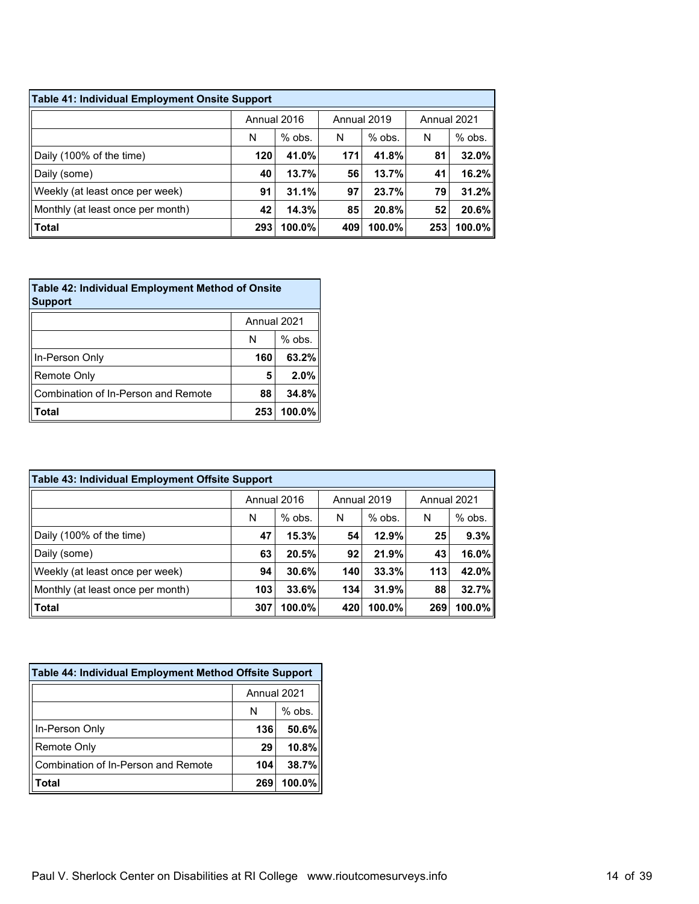| Table 41: Individual Employment Onsite Support |             |          |             |          |             |           |  |  |  |
|------------------------------------------------|-------------|----------|-------------|----------|-------------|-----------|--|--|--|
|                                                | Annual 2016 |          | Annual 2019 |          | Annual 2021 |           |  |  |  |
|                                                | N           | $%$ obs. | N           | $%$ obs. | N           | % obs.    |  |  |  |
| Daily (100% of the time)                       | 120         | 41.0%    | 171         | 41.8%    | 81          | 32.0%     |  |  |  |
| Daily (some)                                   | 40          | 13.7%    | 56          | 13.7%    | 41          | 16.2%     |  |  |  |
| Weekly (at least once per week)                | 91          | 31.1%    | 97          | 23.7%    | 79          | 31.2%     |  |  |  |
| Monthly (at least once per month)              | 42          | 14.3%    | 85          | 20.8%    | 52          | 20.6%     |  |  |  |
| Total                                          | 293         | 100.0%   | 409         | 100.0%   | 253         | $100.0\%$ |  |  |  |

| <b>Table 42: Individual Employment Method of Onsite</b><br><b>Support</b> |             |          |  |  |  |  |
|---------------------------------------------------------------------------|-------------|----------|--|--|--|--|
|                                                                           | Annual 2021 |          |  |  |  |  |
|                                                                           | N           | $%$ obs. |  |  |  |  |
| In-Person Only                                                            | 160         | 63.2%    |  |  |  |  |
| Remote Only                                                               | 5           | 2.0%     |  |  |  |  |
| Combination of In-Person and Remote                                       | 88          | 34.8%    |  |  |  |  |
| Total                                                                     | 253         | 100.0%   |  |  |  |  |

| Table 43: Individual Employment Offsite Support |             |           |             |           |             |          |  |  |  |
|-------------------------------------------------|-------------|-----------|-------------|-----------|-------------|----------|--|--|--|
|                                                 | Annual 2016 |           | Annual 2019 |           | Annual 2021 |          |  |  |  |
|                                                 | N           | $%$ obs.  | N           | $%$ obs.  | N           | $%$ obs. |  |  |  |
| Daily (100% of the time)                        | 47          | 15.3%     | 54          | 12.9%     | 25          | 9.3%     |  |  |  |
| Daily (some)                                    | 63          | 20.5%     | 92          | 21.9%     | 43          | 16.0%    |  |  |  |
| Weekly (at least once per week)                 | 94          | 30.6%     | 140         | 33.3%     | 113         | 42.0%    |  |  |  |
| Monthly (at least once per month)               | 103         | 33.6%     | 134         | 31.9%     | 88          | 32.7%    |  |  |  |
| Total                                           | 307         | $100.0\%$ | 420         | $100.0\%$ | 269         | 100.0%   |  |  |  |

| Table 44: Individual Employment Method Offsite Support |             |          |  |  |  |  |
|--------------------------------------------------------|-------------|----------|--|--|--|--|
|                                                        | Annual 2021 |          |  |  |  |  |
|                                                        | N           | $%$ obs. |  |  |  |  |
| In-Person Only                                         | 136         | 50.6%    |  |  |  |  |
| Remote Only                                            | 29          | 10.8%    |  |  |  |  |
| Combination of In-Person and Remote                    | 104         | 38.7%    |  |  |  |  |
| Total                                                  | 269         | 100.0%   |  |  |  |  |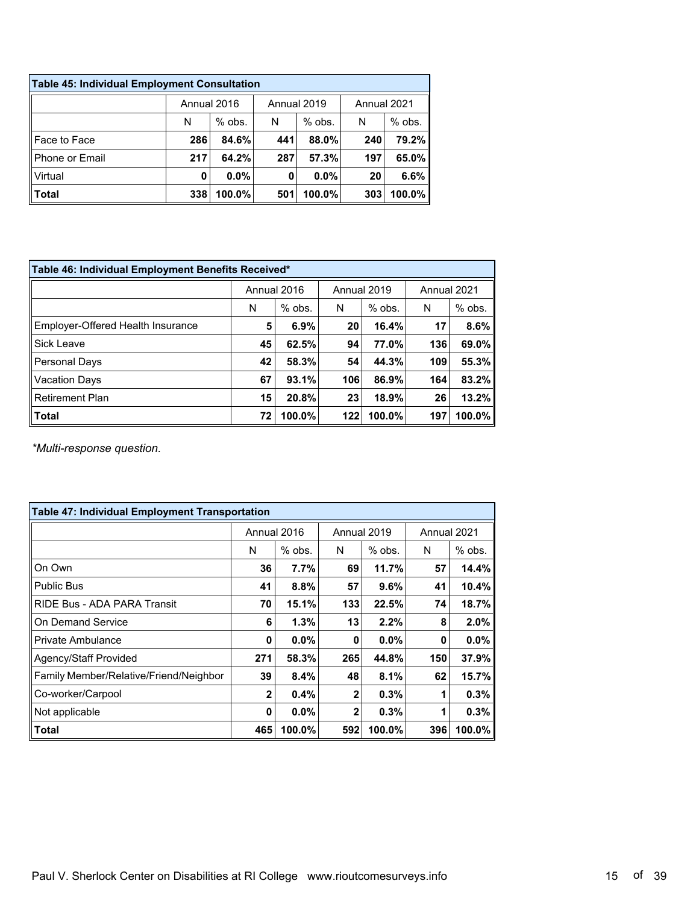| Table 45: Individual Employment Consultation |             |          |             |           |             |           |  |  |  |
|----------------------------------------------|-------------|----------|-------------|-----------|-------------|-----------|--|--|--|
|                                              | Annual 2016 |          | Annual 2019 |           | Annual 2021 |           |  |  |  |
|                                              | N           | $%$ obs. | N           | $%$ obs.  | N           | $%$ obs.  |  |  |  |
| Face to Face                                 | 286         | 84.6%    | 441         | 88.0%     | 240         | 79.2%     |  |  |  |
| <b>Phone or Email</b>                        | 217         | 64.2%    | 287         | 57.3%     | 197         | 65.0%     |  |  |  |
| Virtual                                      | 0           | $0.0\%$  | 0           | $0.0\%$   | 20          | 6.6%      |  |  |  |
| Total                                        | 338         | 100.0%   | 501         | $100.0\%$ | 303         | $100.0\%$ |  |  |  |

| Table 46: Individual Employment Benefits Received* |             |          |             |           |             |          |  |  |  |
|----------------------------------------------------|-------------|----------|-------------|-----------|-------------|----------|--|--|--|
|                                                    | Annual 2016 |          | Annual 2019 |           | Annual 2021 |          |  |  |  |
|                                                    | N           | $%$ obs. | N           | $%$ obs.  | N           | $%$ obs. |  |  |  |
| Employer-Offered Health Insurance                  | 5           | 6.9%     | 20          | 16.4%     | 17          | 8.6%     |  |  |  |
| Sick Leave                                         | 45          | 62.5%    | 94          | 77.0%     | 136         | 69.0%    |  |  |  |
| Personal Days                                      | 42          | 58.3%    | 54          | 44.3%     | 109         | 55.3%    |  |  |  |
| <b>Vacation Days</b>                               | 67          | 93.1%    | 106         | 86.9%     | 164         | 83.2%    |  |  |  |
| Retirement Plan                                    | 15          | 20.8%    | 23          | 18.9%     | 26          | 13.2%    |  |  |  |
| <b>Total</b>                                       | 72          | 100.0%   | 122         | $100.0\%$ | 197         | 100.0%   |  |  |  |

*\*Multi-response question.*

| <b>Table 47: Individual Employment Transportation</b> |              |             |              |             |             |          |  |  |
|-------------------------------------------------------|--------------|-------------|--------------|-------------|-------------|----------|--|--|
|                                                       |              | Annual 2016 |              | Annual 2019 | Annual 2021 |          |  |  |
|                                                       | N            | $%$ obs.    | N            | $%$ obs.    | N           | $%$ obs. |  |  |
| On Own                                                | 36           | $7.7\%$     | 69           | 11.7%       | 57          | 14.4%    |  |  |
| <b>Public Bus</b>                                     | 41           | 8.8%        | 57           | 9.6%        | 41          | 10.4%    |  |  |
| RIDE Bus - ADA PARA Transit                           | 70           | 15.1%       | 133          | 22.5%       | 74          | 18.7%    |  |  |
| On Demand Service                                     | 6            | 1.3%        | 13           | 2.2%        | 8           | 2.0%     |  |  |
| Private Ambulance                                     | 0            | $0.0\%$     | 0            | $0.0\%$     | 0           | $0.0\%$  |  |  |
| Agency/Staff Provided                                 | 271          | 58.3%       | 265          | 44.8%       | 150         | 37.9%    |  |  |
| Family Member/Relative/Friend/Neighbor                | 39           | 8.4%        | 48           | 8.1%        | 62          | 15.7%    |  |  |
| Co-worker/Carpool                                     | $\mathbf{2}$ | 0.4%        | $\mathbf{2}$ | 0.3%        |             | 0.3%     |  |  |
| Not applicable                                        | 0            | $0.0\%$     | $\mathbf{2}$ | 0.3%        | 1           | 0.3%     |  |  |
| Total                                                 | 465          | 100.0%      | 592          | 100.0%      | 396         | 100.0%   |  |  |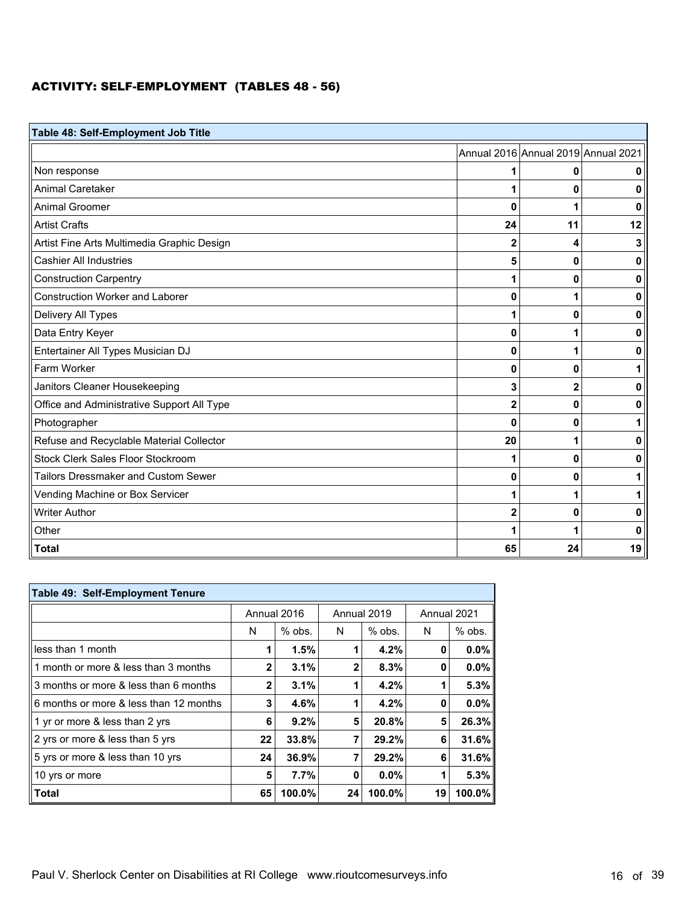### ACTIVITY: SELF-EMPLOYMENT (TABLES 48 - 56)

| Table 48: Self-Employment Job Title        |                |                                     |    |  |  |  |  |
|--------------------------------------------|----------------|-------------------------------------|----|--|--|--|--|
|                                            |                | Annual 2016 Annual 2019 Annual 2021 |    |  |  |  |  |
| Non response                               |                | 0                                   | 0  |  |  |  |  |
| <b>Animal Caretaker</b>                    |                | 0                                   | 0  |  |  |  |  |
| <b>Animal Groomer</b>                      | 0              | 1                                   | 0  |  |  |  |  |
| <b>Artist Crafts</b>                       | 24             | 11                                  | 12 |  |  |  |  |
| Artist Fine Arts Multimedia Graphic Design | 2              | 4                                   | 3  |  |  |  |  |
| <b>Cashier All Industries</b>              | 5              | 0                                   | 0  |  |  |  |  |
| <b>Construction Carpentry</b>              |                | 0                                   | 0  |  |  |  |  |
| <b>Construction Worker and Laborer</b>     | 0              | 1                                   | 0  |  |  |  |  |
| Delivery All Types                         | 1              | 0                                   | 0  |  |  |  |  |
| Data Entry Keyer                           | 0              | 1                                   | 0  |  |  |  |  |
| Entertainer All Types Musician DJ          | 0              | 1                                   | 0  |  |  |  |  |
| Farm Worker                                | 0              | $\bf{0}$                            |    |  |  |  |  |
| Janitors Cleaner Housekeeping              | 3              | $\mathbf 2$                         | 0  |  |  |  |  |
| Office and Administrative Support All Type | $\mathbf{2}$   | $\mathbf 0$                         | 0  |  |  |  |  |
| Photographer                               | 0              | 0                                   |    |  |  |  |  |
| Refuse and Recyclable Material Collector   | 20             | 1                                   | 0  |  |  |  |  |
| Stock Clerk Sales Floor Stockroom          |                | $\bf{0}$                            | 0  |  |  |  |  |
| <b>Tailors Dressmaker and Custom Sewer</b> | 0              | 0                                   |    |  |  |  |  |
| Vending Machine or Box Servicer            |                | 1                                   |    |  |  |  |  |
| <b>Writer Author</b>                       | $\overline{2}$ | 0                                   | 0  |  |  |  |  |
| Other                                      |                | 1                                   | 0  |  |  |  |  |
| <b>Total</b>                               | 65             | 24                                  | 19 |  |  |  |  |

| Table 49: Self-Employment Tenure       |             |          |    |             |             |          |  |  |
|----------------------------------------|-------------|----------|----|-------------|-------------|----------|--|--|
|                                        | Annual 2016 |          |    | Annual 2019 | Annual 2021 |          |  |  |
|                                        | N           | $%$ obs. | N  | $%$ obs.    | N           | $%$ obs. |  |  |
| less than 1 month                      |             | 1.5%     |    | $4.2\%$     | 0           | $0.0\%$  |  |  |
| 1 month or more & less than 3 months   | 2           | 3.1%     | 2  | 8.3%        | 0           | $0.0\%$  |  |  |
| 3 months or more & less than 6 months  |             | 3.1%     |    | 4.2%        |             | 5.3%     |  |  |
| 6 months or more & less than 12 months | 3           | 4.6%     |    | 4.2%        | 0           | $0.0\%$  |  |  |
| 1 yr or more & less than 2 yrs         | 6           | 9.2%     | 5  | 20.8%       | 5           | 26.3%    |  |  |
| 2 yrs or more & less than 5 yrs        | 22          | 33.8%    |    | 29.2%       | 6           | 31.6%    |  |  |
| 5 yrs or more & less than 10 yrs       | 24          | 36.9%    |    | 29.2%       | 6           | 31.6%    |  |  |
| 10 yrs or more                         | 5           | 7.7%     | 0  | $0.0\%$     |             | 5.3%     |  |  |
| Total                                  | 65          | 100.0%   | 24 | 100.0%      | 19          | 100.0%   |  |  |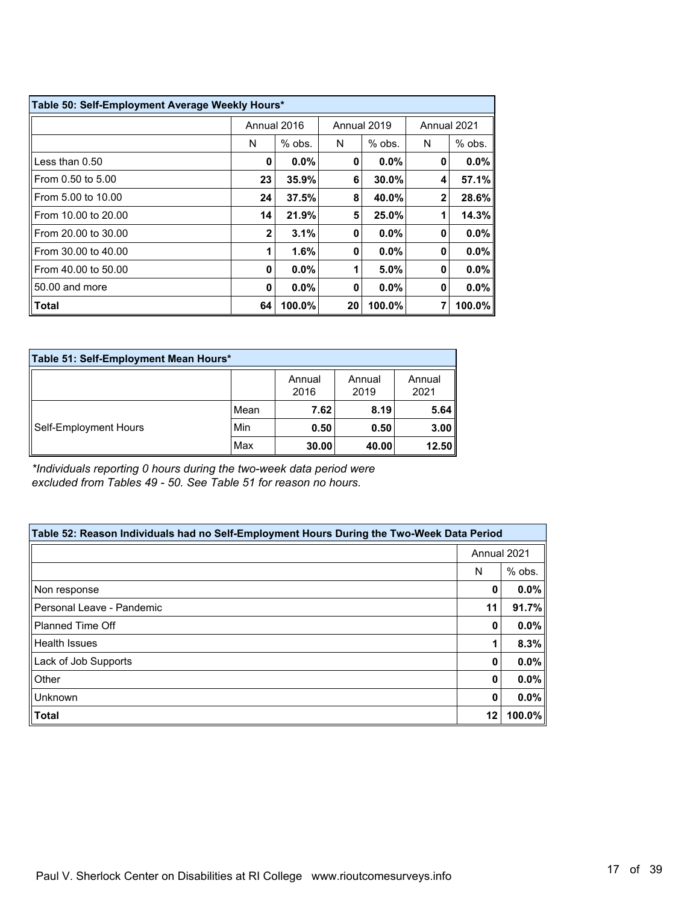| Table 50: Self-Employment Average Weekly Hours* |              |          |    |             |              |           |  |
|-------------------------------------------------|--------------|----------|----|-------------|--------------|-----------|--|
|                                                 | Annual 2016  |          |    | Annual 2019 | Annual 2021  |           |  |
|                                                 | N            | $%$ obs. | N  | $%$ obs.    | N            | $%$ obs.  |  |
| Less than 0.50                                  | 0            | 0.0%     | 0  | 0.0%        | 0            | $0.0\%$   |  |
| From 0.50 to 5.00                               | 23           | 35.9%    | 6  | 30.0%       | 4            | 57.1%     |  |
| From 5.00 to 10.00                              | 24           | 37.5%    | 8  | 40.0%       | $\mathbf{2}$ | 28.6%     |  |
| From 10.00 to 20.00                             | 14           | 21.9%    | 5  | 25.0%       |              | 14.3%     |  |
| From 20.00 to 30.00                             | $\mathbf{2}$ | 3.1%     | 0  | 0.0%        | 0            | $0.0\%$   |  |
| From 30.00 to 40.00                             |              | 1.6%     | 0  | 0.0%        | 0            | $0.0\%$   |  |
| From 40.00 to 50.00                             | 0            | 0.0%     | 1  | 5.0%        | 0            | $0.0\%$   |  |
| 50.00 and more                                  | 0            | 0.0%     | 0  | 0.0%        | 0            | $0.0\%$   |  |
| <b>Total</b>                                    | 64           | 100.0%   | 20 | 100.0%      | 7            | $100.0\%$ |  |

| Table 51: Self-Employment Mean Hours* |      |                |                |                |  |  |  |
|---------------------------------------|------|----------------|----------------|----------------|--|--|--|
|                                       |      | Annual<br>2016 | Annual<br>2019 | Annual<br>2021 |  |  |  |
| Self-Employment Hours                 | Mean | 7.62           | 8.19           | 5.64           |  |  |  |
|                                       | Min  | 0.50           | 0.50           | 3.00           |  |  |  |
|                                       | Max  | 30.00          | 40.00          | 12.50          |  |  |  |

*\*Individuals reporting 0 hours during the two-week data period were excluded from Tables 49 - 50. See Table 51 for reason no hours.*

| Table 52: Reason Individuals had no Self-Employment Hours During the Two-Week Data Period |             |         |  |  |  |
|-------------------------------------------------------------------------------------------|-------------|---------|--|--|--|
|                                                                                           | Annual 2021 |         |  |  |  |
|                                                                                           | N           | % obs.  |  |  |  |
| Non response                                                                              | 0           | $0.0\%$ |  |  |  |
| Personal Leave - Pandemic                                                                 | 11          | 91.7%   |  |  |  |
| l Planned Time Off                                                                        | 0           | $0.0\%$ |  |  |  |
| Health Issues                                                                             |             | 8.3%    |  |  |  |
| Lack of Job Supports                                                                      | 0           | $0.0\%$ |  |  |  |
| Other                                                                                     | 0           | 0.0%    |  |  |  |
| Unknown                                                                                   | 0           | 0.0%    |  |  |  |
| <b>Total</b>                                                                              | 12          | 100.0%  |  |  |  |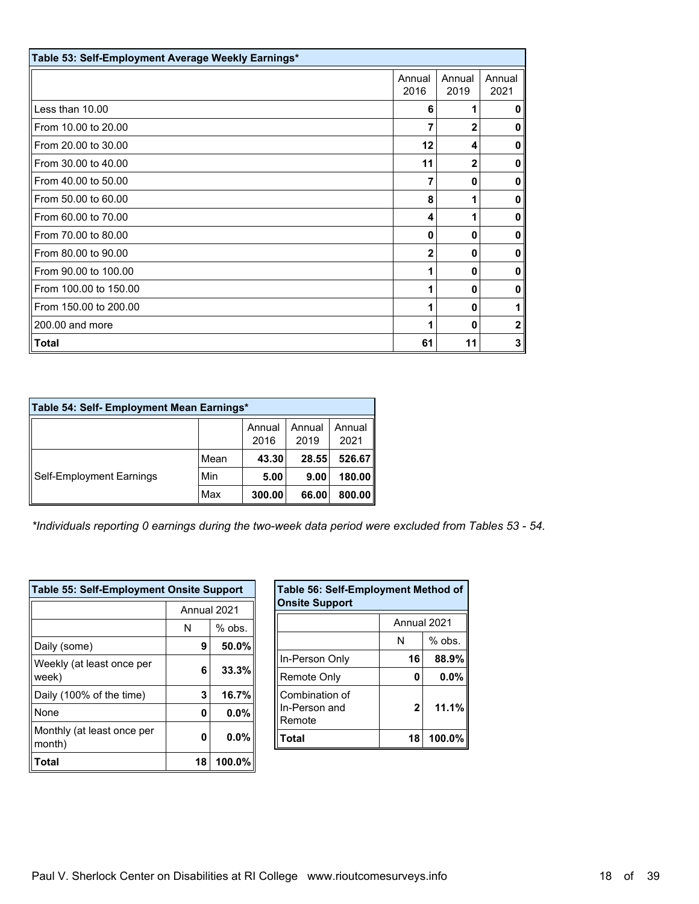| Table 53: Self-Employment Average Weekly Earnings* |                |                |                |  |  |  |
|----------------------------------------------------|----------------|----------------|----------------|--|--|--|
|                                                    | Annual<br>2016 | Annual<br>2019 | Annual<br>2021 |  |  |  |
| Less than 10.00                                    | 6              |                | 0              |  |  |  |
| From 10.00 to 20.00                                | 7              | $\mathbf{2}$   | 0              |  |  |  |
| From 20.00 to 30.00                                | 12             | 4              | 0              |  |  |  |
| From 30.00 to 40.00                                | 11             | $\mathbf{2}$   | 0              |  |  |  |
| From 40.00 to 50.00                                | 7              | $\mathbf{0}$   | 0              |  |  |  |
| From 50.00 to 60.00                                | 8              |                | $\mathbf{0}$   |  |  |  |
| From 60.00 to 70.00                                | 4              |                | 0              |  |  |  |
| From 70.00 to 80.00                                | 0              | 0              | 0              |  |  |  |
| From 80.00 to 90.00                                | $\overline{2}$ | $\mathbf{0}$   | 0              |  |  |  |
| From 90.00 to 100.00                               | 1              | 0              | 0              |  |  |  |
| From 100.00 to 150.00                              | 1              | $\mathbf{0}$   | 0              |  |  |  |
| From 150.00 to 200.00                              | 1              | $\Omega$       | 1              |  |  |  |
| 200.00 and more                                    | 1              | 0              | $\mathbf{2}$   |  |  |  |
| Total                                              | 61             | 11             | 3              |  |  |  |

| Table 54: Self- Employment Mean Earnings* |      |                |                |                |  |  |  |
|-------------------------------------------|------|----------------|----------------|----------------|--|--|--|
|                                           |      | Annual<br>2016 | Annual<br>2019 | Annual<br>2021 |  |  |  |
| Self-Employment Earnings                  | Mean | 43.30          | 28.55          | 526.67         |  |  |  |
|                                           | Min  | 5.00           | 9.00           | 180.00         |  |  |  |
|                                           | Max  | 300.00         | 66.00          | 800.00         |  |  |  |

*\*Individuals reporting 0 earnings during the two-week data period were excluded from Tables 53 - 54.*

| <b>Table 55: Self-Employment Onsite Support</b> |               |        |  |  |  |
|-------------------------------------------------|---------------|--------|--|--|--|
|                                                 | Annual 2021   |        |  |  |  |
|                                                 | $%$ obs.<br>N |        |  |  |  |
| Daily (some)                                    | 9             | 50.0%  |  |  |  |
| Weekly (at least once per<br>week)              | 6             | 33.3%  |  |  |  |
| Daily (100% of the time)                        | 3             | 16.7%  |  |  |  |
| None                                            | 0             | 0.0%   |  |  |  |
| Monthly (at least once per<br>month)            | 0             | 0.0%   |  |  |  |
| Total                                           | 18            | 100.0% |  |  |  |

| Table 56: Self-Employment Method of<br><b>Onsite Support</b> |              |          |  |  |  |
|--------------------------------------------------------------|--------------|----------|--|--|--|
|                                                              | Annual 2021  |          |  |  |  |
|                                                              | N            | $%$ obs. |  |  |  |
| In-Person Only                                               | 16           | 88.9%    |  |  |  |
| Remote Only                                                  | 0            | 0.0%     |  |  |  |
| Combination of<br>In-Person and<br>Remote                    | $\mathbf{2}$ | 11.1%    |  |  |  |
| Total                                                        | 18           | 100.0%   |  |  |  |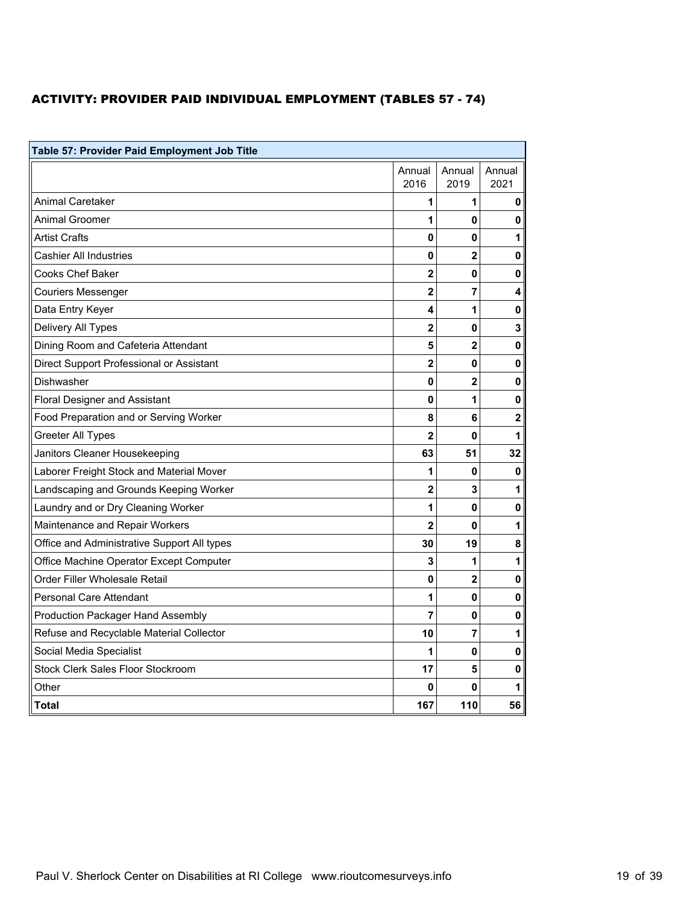### ACTIVITY: PROVIDER PAID INDIVIDUAL EMPLOYMENT (TABLES 57 - 74)

| Table 57: Provider Paid Employment Job Title |                |                |                |  |  |
|----------------------------------------------|----------------|----------------|----------------|--|--|
|                                              | Annual<br>2016 | Annual<br>2019 | Annual<br>2021 |  |  |
| <b>Animal Caretaker</b>                      | 1              | 1              | 0              |  |  |
| <b>Animal Groomer</b>                        | 1              | 0              | 0              |  |  |
| <b>Artist Crafts</b>                         | 0              | 0              | 1              |  |  |
| <b>Cashier All Industries</b>                | 0              | $\overline{2}$ | 0              |  |  |
| Cooks Chef Baker                             | $\mathbf{2}$   | $\bf{0}$       | 0              |  |  |
| <b>Couriers Messenger</b>                    | $\overline{2}$ | 7              | 4              |  |  |
| Data Entry Keyer                             | 4              | 1              | $\pmb{0}$      |  |  |
| Delivery All Types                           | $\overline{2}$ | 0              | 3              |  |  |
| Dining Room and Cafeteria Attendant          | 5              | $\overline{2}$ | 0              |  |  |
| Direct Support Professional or Assistant     | $\overline{2}$ | $\mathbf{0}$   | 0              |  |  |
| Dishwasher                                   | 0              | $\mathbf{2}$   | 0              |  |  |
| <b>Floral Designer and Assistant</b>         | 0              | 1              | $\mathbf 0$    |  |  |
| Food Preparation and or Serving Worker       | 8              | 6              | $\overline{2}$ |  |  |
| <b>Greeter All Types</b>                     | $\overline{2}$ | $\mathbf 0$    | 1              |  |  |
| Janitors Cleaner Housekeeping                | 63             | 51             | 32             |  |  |
| Laborer Freight Stock and Material Mover     | 1              | 0              | $\mathbf 0$    |  |  |
| Landscaping and Grounds Keeping Worker       | $\overline{2}$ | 3              | 1              |  |  |
| Laundry and or Dry Cleaning Worker           | 1              | 0              | 0              |  |  |
| Maintenance and Repair Workers               | $\overline{2}$ | $\mathbf{0}$   | 1              |  |  |
| Office and Administrative Support All types  | 30             | 19             | 8              |  |  |
| Office Machine Operator Except Computer      | 3              | 1              | 1              |  |  |
| Order Filler Wholesale Retail                | 0              | $\mathbf{2}$   | 0              |  |  |
| <b>Personal Care Attendant</b>               | 1              | $\mathbf{0}$   | 0              |  |  |
| <b>Production Packager Hand Assembly</b>     | 7              | 0              | 0              |  |  |
| Refuse and Recyclable Material Collector     | 10             | $\overline{7}$ | $\mathbf{1}$   |  |  |
| Social Media Specialist                      | 1              | 0              | 0              |  |  |
| Stock Clerk Sales Floor Stockroom            | 17             | 5              | 0              |  |  |
| Other                                        | 0              | 0              | 1              |  |  |
| Total                                        | 167            | 110            | 56             |  |  |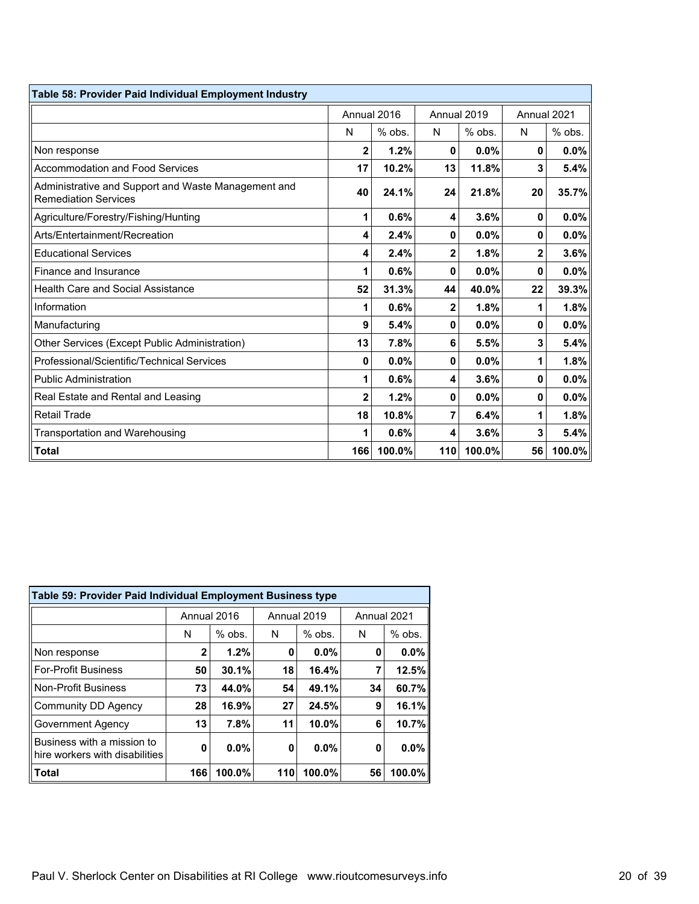| Table 58: Provider Paid Individual Employment Industry                             |                |             |     |             |              |             |
|------------------------------------------------------------------------------------|----------------|-------------|-----|-------------|--------------|-------------|
|                                                                                    |                | Annual 2016 |     | Annual 2019 |              | Annual 2021 |
|                                                                                    | N              | $%$ obs.    | N   | $%$ obs.    | N            | % obs.      |
| Non response                                                                       | $\overline{2}$ | 1.2%        | 0   | 0.0%        | $\mathbf{0}$ | 0.0%        |
| <b>Accommodation and Food Services</b>                                             | 17             | 10.2%       | 13  | 11.8%       | 3            | 5.4%        |
| Administrative and Support and Waste Management and<br><b>Remediation Services</b> | 40             | 24.1%       | 24  | 21.8%       | 20           | 35.7%       |
| Agriculture/Forestry/Fishing/Hunting                                               | 1              | 0.6%        | 4   | 3.6%        | 0            | 0.0%        |
| Arts/Entertainment/Recreation                                                      | 4              | 2.4%        | 0   | 0.0%        | $\mathbf 0$  | 0.0%        |
| <b>Educational Services</b>                                                        | 4              | 2.4%        | 2   | 1.8%        | 2            | 3.6%        |
| Finance and Insurance                                                              |                | 0.6%        | 0   | 0.0%        | 0            | 0.0%        |
| <b>Health Care and Social Assistance</b>                                           | 52             | 31.3%       | 44  | 40.0%       | 22           | 39.3%       |
| Information                                                                        |                | 0.6%        | 2   | 1.8%        | 1            | 1.8%        |
| Manufacturing                                                                      | 9              | 5.4%        | 0   | 0.0%        | $\mathbf{0}$ | 0.0%        |
| Other Services (Except Public Administration)                                      | 13             | 7.8%        | 6   | 5.5%        | 3            | 5.4%        |
| Professional/Scientific/Technical Services                                         | 0              | 0.0%        | 0   | 0.0%        | 1            | 1.8%        |
| <b>Public Administration</b>                                                       | 1              | 0.6%        | 4   | 3.6%        | $\mathbf 0$  | 0.0%        |
| Real Estate and Rental and Leasing                                                 | 2              | 1.2%        | 0   | 0.0%        | $\mathbf{0}$ | 0.0%        |
| <b>Retail Trade</b>                                                                | 18             | 10.8%       | 7   | 6.4%        | 1            | 1.8%        |
| <b>Transportation and Warehousing</b>                                              |                | 0.6%        | 4   | 3.6%        | 3            | 5.4%        |
| <b>Total</b>                                                                       | 166            | 100.0%      | 110 | 100.0%      | 56           | 100.0%      |

| Table 59: Provider Paid Individual Employment Business type  |              |             |     |             |    |             |  |  |
|--------------------------------------------------------------|--------------|-------------|-----|-------------|----|-------------|--|--|
|                                                              |              | Annual 2016 |     | Annual 2019 |    | Annual 2021 |  |  |
|                                                              | N            | $%$ obs.    | N   | $%$ obs.    | N  | $%$ obs.    |  |  |
| Non response                                                 | $\mathbf{2}$ | 1.2%        | 0   | 0.0%        | 0  | $0.0\%$     |  |  |
| <b>For-Profit Business</b>                                   | 50           | 30.1%       | 18  | 16.4%       | 7  | 12.5%       |  |  |
| <b>Non-Profit Business</b>                                   | 73           | 44.0%       | 54  | 49.1%       | 34 | 60.7%       |  |  |
| <b>Community DD Agency</b>                                   | 28           | 16.9%       | 27  | 24.5%       | 9  | 16.1%       |  |  |
| Government Agency                                            | 13           | 7.8%        | 11  | 10.0%       | 6  | 10.7%       |  |  |
| Business with a mission to<br>hire workers with disabilities | 0            | $0.0\%$     | 0   | $0.0\%$     | 0  | 0.0%        |  |  |
| Total                                                        | 166          | 100.0%      | 110 | 100.0%      | 56 | 100.0%      |  |  |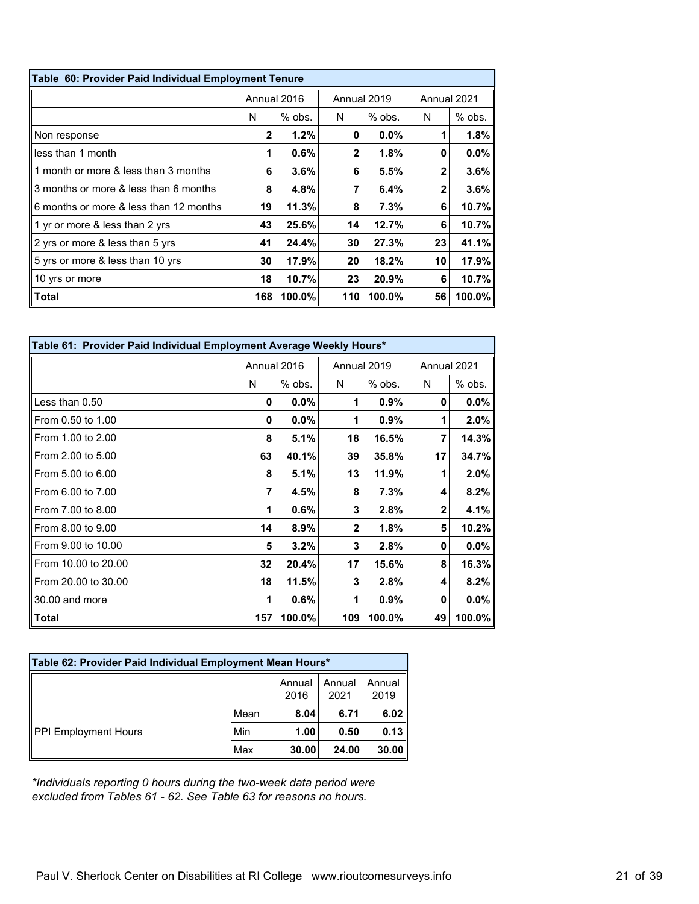| Table 60: Provider Paid Individual Employment Tenure |                            |          |     |             |    |          |
|------------------------------------------------------|----------------------------|----------|-----|-------------|----|----------|
|                                                      | Annual 2016<br>Annual 2019 |          |     | Annual 2021 |    |          |
|                                                      | N                          | $%$ obs. | N   | $%$ obs.    | N  | $%$ obs. |
| Non response                                         | $\mathbf{2}$               | 1.2%     | 0   | $0.0\%$     |    | 1.8%     |
| less than 1 month                                    | 1                          | 0.6%     | 2   | 1.8%        | 0  | $0.0\%$  |
| 1 month or more & less than 3 months                 | 6                          | $3.6\%$  | 6   | 5.5%        | 2  | 3.6%     |
| 3 months or more & less than 6 months                | 8                          | 4.8%     | 7   | 6.4%        | 2  | 3.6%     |
| 6 months or more & less than 12 months               | 19                         | 11.3%    | 8   | 7.3%        | 6  | 10.7%    |
| 1 yr or more & less than 2 yrs                       | 43                         | 25.6%    | 14  | 12.7%       | 6  | 10.7%    |
| 2 yrs or more & less than 5 yrs                      | 41                         | 24.4%    | 30  | 27.3%       | 23 | 41.1%    |
| 5 yrs or more & less than 10 yrs                     | 30                         | 17.9%    | 20  | 18.2%       | 10 | 17.9%    |
| 10 yrs or more                                       | 18                         | 10.7%    | 23  | 20.9%       | 6  | 10.7%    |
| Total                                                | 168                        | 100.0%   | 110 | 100.0%      | 56 | 100.0%   |

| Table 61: Provider Paid Individual Employment Average Weekly Hours* |     |             |                |             |                |           |
|---------------------------------------------------------------------|-----|-------------|----------------|-------------|----------------|-----------|
|                                                                     |     | Annual 2016 |                | Annual 2019 | Annual 2021    |           |
|                                                                     | N   | $%$ obs.    | N              | $%$ obs.    | N              | % obs.    |
| Less than 0.50                                                      | 0   | $0.0\%$     | 1              | 0.9%        | 0              | $0.0\%$   |
| From 0.50 to 1.00                                                   | 0   | $0.0\%$     | 1              | 0.9%        | 1              | 2.0%      |
| From 1.00 to 2.00                                                   | 8   | 5.1%        | 18             | 16.5%       | 7              | 14.3%     |
| From 2.00 to 5.00                                                   | 63  | 40.1%       | 39             | 35.8%       | 17             | 34.7%     |
| From 5.00 to 6.00                                                   | 8   | 5.1%        | 13             | 11.9%       | 1              | 2.0%      |
| From 6.00 to 7.00                                                   | 7   | 4.5%        | 8              | 7.3%        | 4              | 8.2%      |
| From 7.00 to 8.00                                                   | 1   | $0.6\%$     | 3              | 2.8%        | $\overline{2}$ | 4.1%      |
| From 8.00 to 9.00                                                   | 14  | 8.9%        | $\overline{2}$ | 1.8%        | 5              | 10.2%     |
| From 9.00 to 10.00                                                  | 5   | 3.2%        | 3              | 2.8%        | 0              | $0.0\%$   |
| From 10.00 to 20.00                                                 | 32  | 20.4%       | 17             | 15.6%       | 8              | 16.3%     |
| From 20.00 to 30.00                                                 | 18  | 11.5%       | 3              | 2.8%        | 4              | 8.2%      |
| 30.00 and more                                                      | 1   | $0.6\%$     | 1              | 0.9%        | 0              | $0.0\%$   |
| Total                                                               | 157 | 100.0%      | 109            | 100.0%      | 49             | $100.0\%$ |

| Table 62: Provider Paid Individual Employment Mean Hours* |      |                |                |                |  |
|-----------------------------------------------------------|------|----------------|----------------|----------------|--|
|                                                           |      | Annual<br>2016 | Annual<br>2021 | Annual<br>2019 |  |
|                                                           | Mean | 8.04           | 6.71           | 6.02           |  |
| <b>PPI Employment Hours</b>                               | Min  | 1.00           | 0.50           | 0.13           |  |
|                                                           | Max  | 30.00          | 24.00          | 30.00          |  |

*\*Individuals reporting 0 hours during the two-week data period were excluded from Tables 61 - 62. See Table 63 for reasons no hours.*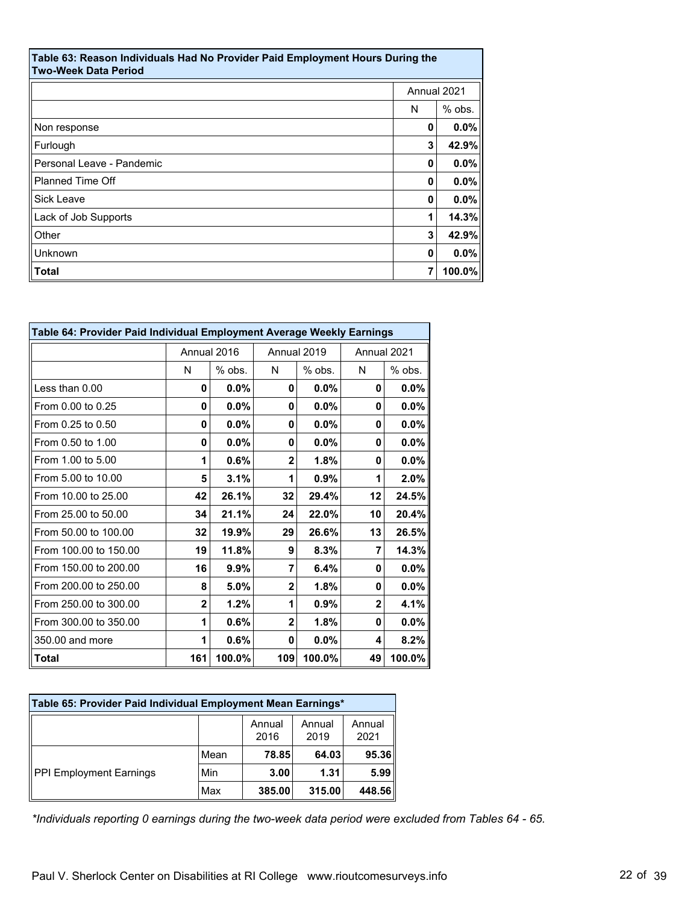| Table 63: Reason Individuals Had No Provider Paid Employment Hours During the<br><b>Two-Week Data Period</b> |             |         |  |  |
|--------------------------------------------------------------------------------------------------------------|-------------|---------|--|--|
|                                                                                                              | Annual 2021 |         |  |  |
|                                                                                                              | N           | % obs.  |  |  |
| Non response                                                                                                 | 0           | $0.0\%$ |  |  |
| Furlough                                                                                                     | 3           | 42.9%   |  |  |
| Personal Leave - Pandemic                                                                                    | 0           | 0.0%    |  |  |
| <b>Planned Time Off</b>                                                                                      | 0           | 0.0%    |  |  |
| Sick Leave                                                                                                   | 0           | 0.0%    |  |  |
| Lack of Job Supports                                                                                         | 1           | 14.3%   |  |  |
| Other                                                                                                        | 3           | 42.9%   |  |  |
| Unknown                                                                                                      | 0           | 0.0%    |  |  |
| Total                                                                                                        | 7           | 100.0%  |  |  |

| Table 64: Provider Paid Individual Employment Average Weekly Earnings |                |             |                |         |                |          |
|-----------------------------------------------------------------------|----------------|-------------|----------------|---------|----------------|----------|
|                                                                       |                | Annual 2016 | Annual 2019    |         | Annual 2021    |          |
|                                                                       | N              | $%$ obs.    | N              | % obs.  | N              | $%$ obs. |
| Less than 0.00                                                        | 0              | 0.0%        | 0              | $0.0\%$ | 0              | $0.0\%$  |
| From 0.00 to 0.25                                                     | 0              | 0.0%        | 0              | $0.0\%$ | 0              | $0.0\%$  |
| From 0.25 to 0.50                                                     | 0              | 0.0%        | 0              | $0.0\%$ | 0              | $0.0\%$  |
| From 0.50 to 1.00                                                     | 0              | $0.0\%$     | 0              | $0.0\%$ | 0              | $0.0\%$  |
| From 1.00 to 5.00                                                     | 1              | 0.6%        | 2              | 1.8%    | 0              | $0.0\%$  |
| From 5.00 to 10.00                                                    | 5              | 3.1%        | 1              | 0.9%    | 1              | $2.0\%$  |
| From 10.00 to 25.00                                                   | 42             | 26.1%       | 32             | 29.4%   | 12             | 24.5%    |
| From 25.00 to 50.00                                                   | 34             | 21.1%       | 24             | 22.0%   | 10             | 20.4%    |
| From 50.00 to 100.00                                                  | 32             | 19.9%       | 29             | 26.6%   | 13             | 26.5%    |
| From 100.00 to 150.00                                                 | 19             | 11.8%       | 9              | 8.3%    | 7              | 14.3%    |
| From 150.00 to 200.00                                                 | 16             | 9.9%        | 7              | 6.4%    | 0              | $0.0\%$  |
| From 200.00 to 250.00                                                 | 8              | 5.0%        | $\overline{2}$ | 1.8%    | 0              | $0.0\%$  |
| From 250,00 to 300,00                                                 | $\overline{2}$ | 1.2%        | 1              | 0.9%    | $\overline{2}$ | 4.1%     |
| From 300.00 to 350.00                                                 | 1              | 0.6%        | $\overline{2}$ | 1.8%    | 0              | $0.0\%$  |
| 350.00 and more                                                       | 1              | 0.6%        | 0              | $0.0\%$ | 4              | 8.2%     |
| $\blacksquare$ Total                                                  | 161            | 100.0%      | 109            | 100.0%  | 49             | 100.0%   |

| Table 65: Provider Paid Individual Employment Mean Earnings* |      |                |                |                |  |  |
|--------------------------------------------------------------|------|----------------|----------------|----------------|--|--|
|                                                              |      | Annual<br>2016 | Annual<br>2019 | Annual<br>2021 |  |  |
| PPI Employment Earnings                                      | Mean | 78.85          | 64.03          | 95.36          |  |  |
|                                                              | Min  | 3.00           | 1.31           | 5.99           |  |  |
|                                                              | Max  | 385.00         | 315.00         | 448.56         |  |  |

*\*Individuals reporting 0 earnings during the two-week data period were excluded from Tables 64 - 65.*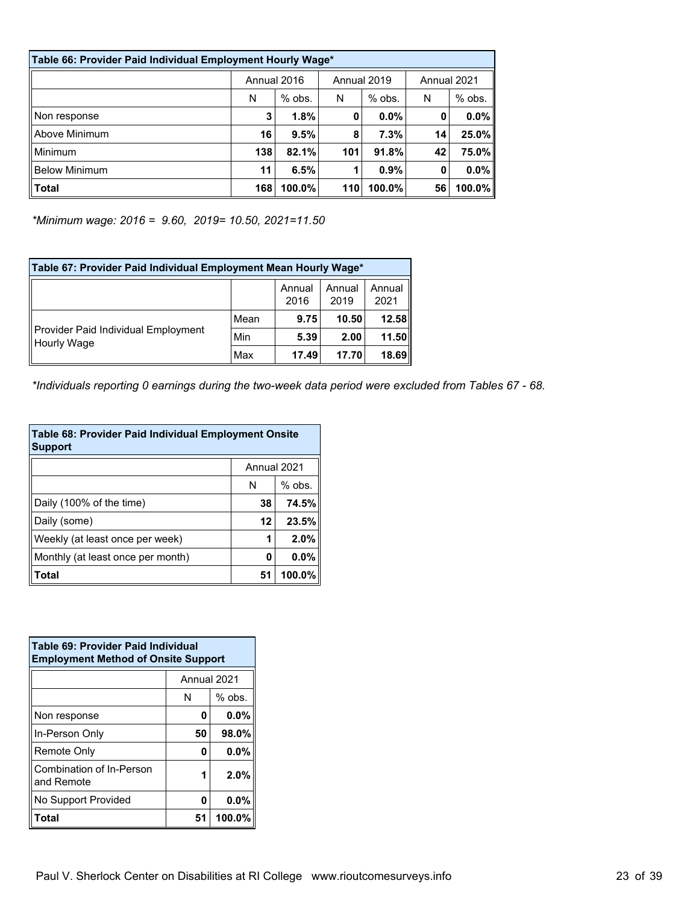| Table 66: Provider Paid Individual Employment Hourly Wage* |             |           |             |           |    |           |             |  |
|------------------------------------------------------------|-------------|-----------|-------------|-----------|----|-----------|-------------|--|
|                                                            | Annual 2016 |           | Annual 2019 |           |    |           | Annual 2021 |  |
|                                                            | N           | $%$ obs.  | N           | $%$ obs.  | N  | $%$ obs.  |             |  |
| Non response                                               | 3           | 1.8%      | 0           | $0.0\%$   | 0  | $0.0\%$   |             |  |
| Above Minimum                                              | 16          | 9.5%      | 8           | 7.3%      | 14 | 25.0%     |             |  |
| Minimum                                                    | 138         | 82.1%     | 101         | 91.8%     | 42 | 75.0%     |             |  |
| <b>Below Minimum</b>                                       | 11          | 6.5%      |             | 0.9%      | 0  | $0.0\%$   |             |  |
| <b>Total</b>                                               | 168         | $100.0\%$ | 110         | $100.0\%$ | 56 | $100.0\%$ |             |  |

*\*Minimum wage: 2016 = 9.60, 2019= 10.50, 2021=11.50*

| Table 67: Provider Paid Individual Employment Mean Hourly Wage* |      |                |                |                |  |  |
|-----------------------------------------------------------------|------|----------------|----------------|----------------|--|--|
|                                                                 |      | Annual<br>2016 | Annual<br>2019 | Annual<br>2021 |  |  |
| Provider Paid Individual Employment<br>Hourly Wage              | Mean | 9.75           | 10.50          | 12.58          |  |  |
|                                                                 | Min  | 5.39           | 2.00           | 11.50          |  |  |
|                                                                 | Max  | 17.49          | 17.70          | 18.69          |  |  |

*\*Individuals reporting 0 earnings during the two-week data period were excluded from Tables 67 - 68.*

| Table 68: Provider Paid Individual Employment Onsite<br><b>Support</b> |    |          |  |  |  |
|------------------------------------------------------------------------|----|----------|--|--|--|
| Annual 2021                                                            |    |          |  |  |  |
|                                                                        | N  | $%$ obs. |  |  |  |
| Daily (100% of the time)                                               | 38 | 74.5%    |  |  |  |
| Daily (some)                                                           | 12 | 23.5%    |  |  |  |
| Weekly (at least once per week)                                        | 1  | 2.0%     |  |  |  |
| Monthly (at least once per month)                                      | 0  | 0.0%     |  |  |  |
| <b>Total</b>                                                           | 51 | 100.0%   |  |  |  |

| Table 69: Provider Paid Individual<br><b>Employment Method of Onsite Support</b> |           |  |  |  |
|----------------------------------------------------------------------------------|-----------|--|--|--|
| Annual 2021                                                                      |           |  |  |  |
| N                                                                                | $%$ obs.  |  |  |  |
| 0                                                                                | $0.0\%$   |  |  |  |
| 50                                                                               | 98.0%     |  |  |  |
| 0                                                                                | $0.0\%$   |  |  |  |
| 1                                                                                | 2.0%      |  |  |  |
| 0                                                                                | $0.0\%$   |  |  |  |
| 51                                                                               | $100.0\%$ |  |  |  |
|                                                                                  |           |  |  |  |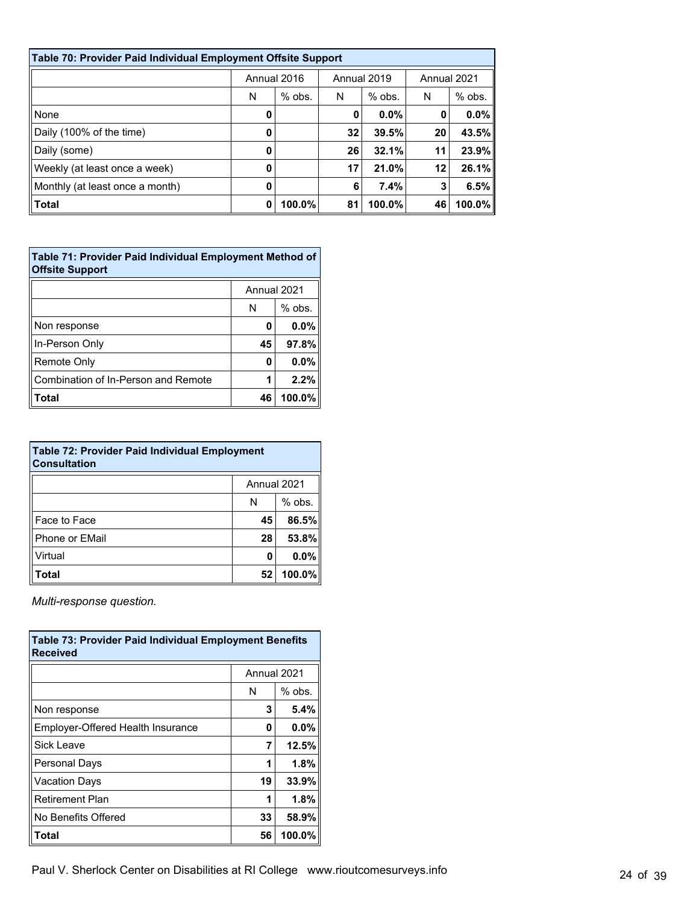| Table 70: Provider Paid Individual Employment Offsite Support |             |          |             |          |             |          |  |
|---------------------------------------------------------------|-------------|----------|-------------|----------|-------------|----------|--|
|                                                               | Annual 2016 |          | Annual 2019 |          | Annual 2021 |          |  |
|                                                               | N           | $%$ obs. | N           | $%$ obs. | N           | $%$ obs. |  |
| None                                                          | 0           |          | 0           | 0.0%     | 0           | $0.0\%$  |  |
| Daily (100% of the time)                                      | 0           |          | 32          | 39.5%    | 20          | 43.5%    |  |
| Daily (some)                                                  | 0           |          | 26          | 32.1%    | 11          | 23.9%    |  |
| Weekly (at least once a week)                                 | 0           |          | 17          | 21.0%    | 12          | 26.1%    |  |
| Monthly (at least once a month)                               | 0           |          | 6           | 7.4%     | 3           | 6.5%     |  |
| Total                                                         | 0           | 100.0%   | 81          | 100.0%   | 46          | 100.0%   |  |

| Table 71: Provider Paid Individual Employment Method of<br><b>Offsite Support</b> |    |          |  |  |
|-----------------------------------------------------------------------------------|----|----------|--|--|
| Annual 2021                                                                       |    |          |  |  |
|                                                                                   | N  | $%$ obs. |  |  |
| Non response                                                                      | 0  | 0.0%     |  |  |
| In-Person Only                                                                    | 45 | 97.8%    |  |  |
| <b>Remote Only</b>                                                                | Ω  | 0.0%     |  |  |
| Combination of In-Person and Remote                                               |    | 2.2%     |  |  |
| Total                                                                             | 46 | 100.0%   |  |  |

| <b>Table 72: Provider Paid Individual Employment</b><br><b>Consultation</b> |             |        |  |  |  |
|-----------------------------------------------------------------------------|-------------|--------|--|--|--|
|                                                                             | Annual 2021 |        |  |  |  |
| $%$ obs.<br>N                                                               |             |        |  |  |  |
| Face to Face                                                                | 45          | 86.5%  |  |  |  |
| <b>Phone or EMail</b>                                                       | 28          | 53.8%  |  |  |  |
| Virtual                                                                     | 0           | 0.0%   |  |  |  |
| <b>Total</b>                                                                | 52          | 100.0% |  |  |  |

*Multi-response question.*

| <b>Table 73: Provider Paid Individual Employment Benefits</b><br>Received |    |          |  |  |  |
|---------------------------------------------------------------------------|----|----------|--|--|--|
| Annual 2021                                                               |    |          |  |  |  |
|                                                                           | N  | $%$ obs. |  |  |  |
| Non response                                                              | 3  | 5.4%     |  |  |  |
| Employer-Offered Health Insurance                                         | 0  | 0.0%     |  |  |  |
| Sick Leave                                                                | 7  | 12.5%    |  |  |  |
| <b>Personal Days</b>                                                      |    | 1.8%     |  |  |  |
| Vacation Days                                                             | 19 | 33.9%    |  |  |  |
| <b>Retirement Plan</b>                                                    |    | 1.8%     |  |  |  |
| No Benefits Offered                                                       | 33 | 58.9%    |  |  |  |
| Total                                                                     | 56 | 100.0%   |  |  |  |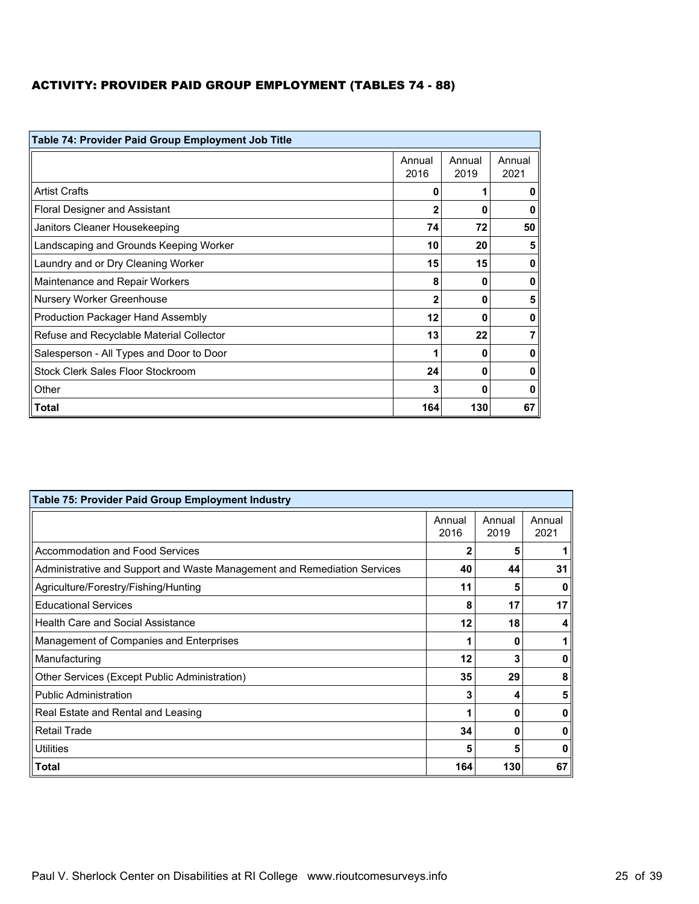# ACTIVITY: PROVIDER PAID GROUP EMPLOYMENT (TABLES 74 - 88)

| Table 74: Provider Paid Group Employment Job Title |                |                |                |  |  |
|----------------------------------------------------|----------------|----------------|----------------|--|--|
|                                                    | Annual<br>2016 | Annual<br>2019 | Annual<br>2021 |  |  |
| <b>Artist Crafts</b>                               | 0              |                | 0              |  |  |
| <b>Floral Designer and Assistant</b>               | 2              | 0              | 0              |  |  |
| Janitors Cleaner Housekeeping                      | 74             | 72             | 50             |  |  |
| Landscaping and Grounds Keeping Worker             | 10             | 20             | 5              |  |  |
| Laundry and or Dry Cleaning Worker                 | 15             | 15             | 0              |  |  |
| Maintenance and Repair Workers                     | 8              | O              | 0              |  |  |
| Nursery Worker Greenhouse                          | 2              | 0              | 5              |  |  |
| Production Packager Hand Assembly                  | 12             | 0              | 0              |  |  |
| Refuse and Recyclable Material Collector           | 13             | 22             | 7              |  |  |
| Salesperson - All Types and Door to Door           |                | 0              | 0              |  |  |
| Stock Clerk Sales Floor Stockroom                  | 24             | 0              | 0              |  |  |
| Other                                              | 3              | Ω              | 0              |  |  |
| Total                                              | 164            | 130            | 67             |  |  |

| Table 75: Provider Paid Group Employment Industry                        |                |                |                |  |  |
|--------------------------------------------------------------------------|----------------|----------------|----------------|--|--|
|                                                                          | Annual<br>2016 | Annual<br>2019 | Annual<br>2021 |  |  |
| Accommodation and Food Services                                          | 2              | 5              |                |  |  |
| Administrative and Support and Waste Management and Remediation Services | 40             | 44             | 31             |  |  |
| Agriculture/Forestry/Fishing/Hunting                                     | 11             | 5              | O              |  |  |
| <b>Educational Services</b>                                              | 8              | 17             | 17             |  |  |
| <b>Health Care and Social Assistance</b>                                 | 12             | 18             | 4              |  |  |
| Management of Companies and Enterprises                                  |                | 0              |                |  |  |
| Manufacturing                                                            | 12             | 3              | 0              |  |  |
| Other Services (Except Public Administration)                            | 35             | 29             | 8              |  |  |
| <b>Public Administration</b>                                             | 3              |                | 5              |  |  |
| Real Estate and Rental and Leasing                                       |                | Ω              | O              |  |  |
| <b>Retail Trade</b>                                                      | 34             | 0              | O              |  |  |
| Utilities                                                                | 5              | 5              | 0              |  |  |
| ∣Total                                                                   | 164            | 130            | 67             |  |  |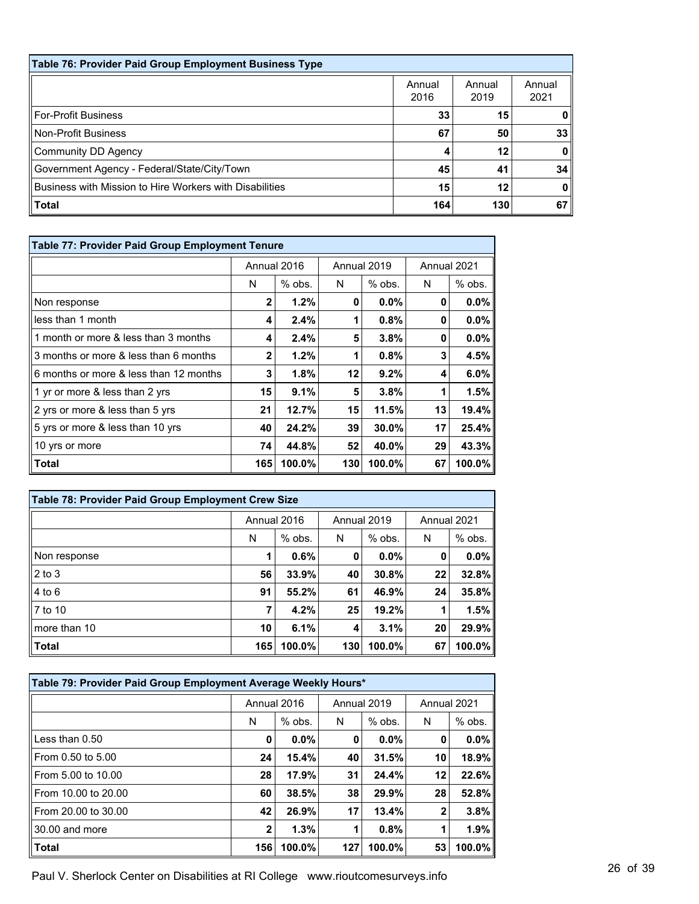| Table 76: Provider Paid Group Employment Business Type  |                |                |                |  |  |  |
|---------------------------------------------------------|----------------|----------------|----------------|--|--|--|
|                                                         | Annual<br>2016 | Annual<br>2019 | Annual<br>2021 |  |  |  |
| For-Profit Business                                     | 33             | 15             |                |  |  |  |
| Non-Profit Business                                     | 67             | 50             | 33             |  |  |  |
| Community DD Agency                                     |                | 12             | 0              |  |  |  |
| Government Agency - Federal/State/City/Town             | 45             | 41             | 34             |  |  |  |
| Business with Mission to Hire Workers with Disabilities | 15             | 12             | 0              |  |  |  |
| Total                                                   | 164            | 130            | 67             |  |  |  |

| Table 77: Provider Paid Group Employment Tenure |              |             |     |             |             |          |
|-------------------------------------------------|--------------|-------------|-----|-------------|-------------|----------|
|                                                 |              | Annual 2016 |     | Annual 2019 | Annual 2021 |          |
|                                                 | N            | $%$ obs.    | N   | $%$ obs.    | N           | $%$ obs. |
| Non response                                    | $\mathbf 2$  | 1.2%        | 0   | $0.0\%$     | 0           | $0.0\%$  |
| less than 1 month                               | 4            | 2.4%        |     | 0.8%        | 0           | $0.0\%$  |
| 1 month or more & less than 3 months            | 4            | 2.4%        | 5   | $3.8\%$     | 0           | $0.0\%$  |
| 3 months or more & less than 6 months           | $\mathbf{2}$ | 1.2%        | 1   | 0.8%        | 3           | 4.5%     |
| 6 months or more & less than 12 months          | 3            | 1.8%        | 12  | 9.2%        | 4           | $6.0\%$  |
| 1 yr or more & less than 2 yrs                  | 15           | 9.1%        | 5   | 3.8%        | 1           | 1.5%     |
| 2 yrs or more & less than 5 yrs                 | 21           | 12.7%       | 15  | 11.5%       | 13          | 19.4%    |
| 5 yrs or more & less than 10 yrs                | 40           | 24.2%       | 39  | 30.0%       | 17          | 25.4%    |
| 10 yrs or more                                  | 74           | 44.8%       | 52  | 40.0%       | 29          | 43.3%    |
| Total                                           | 165          | 100.0%      | 130 | 100.0%      | 67          | 100.0%   |

| Table 78: Provider Paid Group Employment Crew Size |             |          |     |             |             |         |
|----------------------------------------------------|-------------|----------|-----|-------------|-------------|---------|
|                                                    | Annual 2016 |          |     | Annual 2019 | Annual 2021 |         |
|                                                    | N           | $%$ obs. | N   | $%$ obs.    | N           | % obs.  |
| Non response                                       |             | 0.6%     | 0   | $0.0\%$     | 0           | $0.0\%$ |
| $\vert$ 2 to 3                                     | 56          | 33.9%    | 40  | 30.8%       | 22          | 32.8%   |
| $ 4 \text{ to } 6$                                 | 91          | 55.2%    | 61  | 46.9%       | 24          | 35.8%   |
| $\vert$ 7 to 10                                    | 7           | 4.2%     | 25  | 19.2%       |             | 1.5%    |
| $\ln$ ore than 10                                  | 10          | 6.1%     | 4   | 3.1%        | 20          | 29.9%   |
| Total                                              | 165         | 100.0%   | 130 | 100.0%      | 67          | 100.0%  |

| Table 79: Provider Paid Group Employment Average Weekly Hours* |              |                            |     |          |             |          |
|----------------------------------------------------------------|--------------|----------------------------|-----|----------|-------------|----------|
|                                                                |              | Annual 2016<br>Annual 2019 |     |          | Annual 2021 |          |
|                                                                | N            | $%$ obs.                   | N   | $%$ obs. | N           | $%$ obs. |
| Less than $0.50$                                               | 0            | $0.0\%$                    | 0   | 0.0%     | 0           | $0.0\%$  |
| From 0.50 to 5.00                                              | 24           | 15.4%                      | 40  | 31.5%    | 10          | 18.9%    |
| From 5.00 to 10.00                                             | 28           | 17.9%                      | 31  | 24.4%    | 12          | 22.6%    |
| From 10.00 to 20.00                                            | 60           | 38.5%                      | 38  | 29.9%    | 28          | 52.8%    |
| From 20.00 to 30.00                                            | 42           | 26.9%                      | 17  | 13.4%    | 2           | 3.8%     |
| 30.00 and more                                                 | $\mathbf{2}$ | 1.3%                       | 1   | 0.8%     | 1           | 1.9%     |
| <b>Total</b>                                                   | 156          | 100.0%                     | 127 | 100.0%   | 53          | 100.0%   |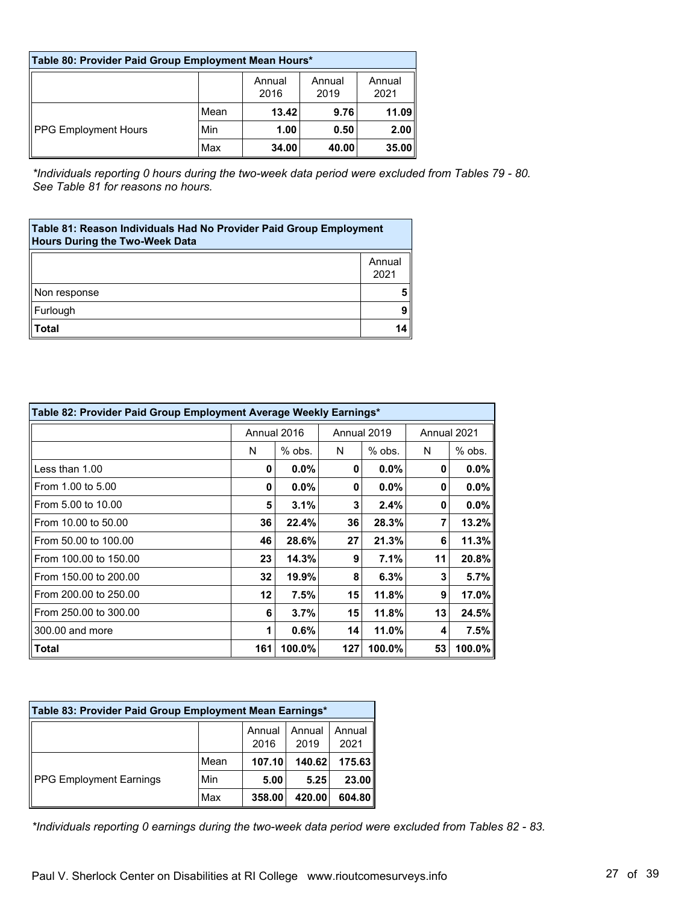| Table 80: Provider Paid Group Employment Mean Hours* |                                                    |       |       |       |  |  |  |
|------------------------------------------------------|----------------------------------------------------|-------|-------|-------|--|--|--|
|                                                      | Annual<br>Annual<br>Annual<br>2021<br>2016<br>2019 |       |       |       |  |  |  |
| PPG Employment Hours                                 | Mean                                               | 13.42 | 9.76  | 11.09 |  |  |  |
|                                                      | Min                                                | 1.00  | 0.50  | 2.00  |  |  |  |
|                                                      | Max                                                | 34.00 | 40.00 | 35.00 |  |  |  |

*\*Individuals reporting 0 hours during the two-week data period were excluded from Tables 79 - 80. See Table 81 for reasons no hours.*

| Table 81: Reason Individuals Had No Provider Paid Group Employment<br><b>Hours During the Two-Week Data</b> |                |  |  |  |
|-------------------------------------------------------------------------------------------------------------|----------------|--|--|--|
|                                                                                                             | Annual<br>2021 |  |  |  |
| Non response                                                                                                |                |  |  |  |
| Furlough                                                                                                    |                |  |  |  |
| Total                                                                                                       |                |  |  |  |

| Table 82: Provider Paid Group Employment Average Weekly Earnings* |             |          |     |             |             |         |
|-------------------------------------------------------------------|-------------|----------|-----|-------------|-------------|---------|
|                                                                   | Annual 2016 |          |     | Annual 2019 | Annual 2021 |         |
|                                                                   | N           | $%$ obs. | N   | % obs.      | N           | % obs.  |
| Less than 1.00                                                    | 0           | $0.0\%$  | 0   | $0.0\%$     | 0           | $0.0\%$ |
| From 1.00 to 5.00                                                 | 0           | 0.0%     | 0   | 0.0%        | 0           | 0.0%    |
| From 5.00 to 10.00                                                | 5           | 3.1%     | 3   | 2.4%        | 0           | $0.0\%$ |
| From 10.00 to 50.00                                               | 36          | 22.4%    | 36  | 28.3%       | 7           | 13.2%   |
| From 50.00 to 100.00                                              | 46          | 28.6%    | 27  | 21.3%       | 6           | 11.3%   |
| From 100.00 to 150.00                                             | 23          | 14.3%    | 9   | 7.1%        | 11          | 20.8%   |
| From 150.00 to 200.00                                             | 32          | 19.9%    | 8   | 6.3%        | 3           | 5.7%    |
| From 200.00 to 250.00                                             | 12          | 7.5%     | 15  | 11.8%       | 9           | 17.0%   |
| From 250.00 to 300.00                                             | 6           | 3.7%     | 15  | 11.8%       | 13          | 24.5%   |
| 300.00 and more                                                   | 1           | 0.6%     | 14  | 11.0%       | 4           | 7.5%    |
| Total                                                             | 161         | 100.0%   | 127 | 100.0%      | 53          | 100.0%  |

| Table 83: Provider Paid Group Employment Mean Earnings* |      |                |                |                |  |  |
|---------------------------------------------------------|------|----------------|----------------|----------------|--|--|
|                                                         |      | Annual<br>2016 | Annual<br>2019 | Annual<br>2021 |  |  |
| <b>PPG Employment Earnings</b>                          | Mean | 107.10         | 140.62         | 175.63         |  |  |
|                                                         | Min  | 5.00           | 5.25           | 23.00          |  |  |
|                                                         | Max  | 358.00         | 420.00         | 604.80         |  |  |

*\*Individuals reporting 0 earnings during the two-week data period were excluded from Tables 82 - 83.*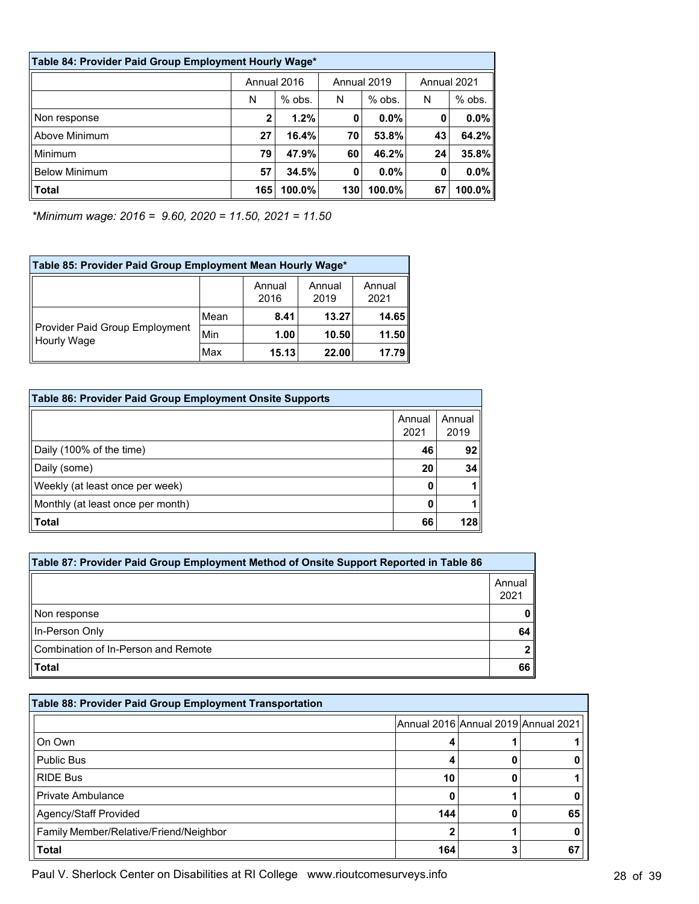| Table 84: Provider Paid Group Employment Hourly Wage* |     |             |             |          |             |          |
|-------------------------------------------------------|-----|-------------|-------------|----------|-------------|----------|
|                                                       |     | Annual 2016 | Annual 2019 |          | Annual 2021 |          |
|                                                       | N   | $%$ obs.    | N           | $%$ obs. | N           | $%$ obs. |
| Non response                                          | 2   | 1.2%        | 0           | $0.0\%$  | 0           | 0.0%     |
| Above Minimum                                         | 27  | 16.4%       | 70          | 53.8%    | 43          | 64.2%    |
| Minimum                                               | 79  | 47.9%       | 60          | 46.2%    | 24          | 35.8%    |
| <b>Below Minimum</b>                                  | 57  | 34.5%       | 0           | $0.0\%$  | 0           | 0.0%     |
| <b>Total</b>                                          | 165 | $100.0\%$   | 130         | 100.0%   | 67          | 100.0%   |

*\*Minimum wage: 2016 = 9.60, 2020 = 11.50, 2021 = 11.50*

| Table 85: Provider Paid Group Employment Mean Hourly Wage* |      |                |                |                |  |
|------------------------------------------------------------|------|----------------|----------------|----------------|--|
|                                                            |      | Annual<br>2016 | Annual<br>2019 | Annual<br>2021 |  |
| Provider Paid Group Employment<br>Hourly Wage              | Mean | 8.41           | 13.27          | 14.65          |  |
|                                                            | Min  | 1.00           | 10.50          | 11.50          |  |
|                                                            | Max  | 15.13          | 22.00          | 17.79          |  |

| Table 86: Provider Paid Group Employment Onsite Supports |                |                |
|----------------------------------------------------------|----------------|----------------|
|                                                          | Annual<br>2021 | Annual<br>2019 |
| Daily (100% of the time)                                 | 46             | 92             |
| Daily (some)                                             | 20             | 34             |
| Weekly (at least once per week)                          | 0              |                |
| Monthly (at least once per month)                        | 0              |                |
| <b>Total</b>                                             | 66             | 128            |

| Table 87: Provider Paid Group Employment Method of Onsite Support Reported in Table 86 |                |  |  |  |
|----------------------------------------------------------------------------------------|----------------|--|--|--|
|                                                                                        | Annual<br>2021 |  |  |  |
| Non response                                                                           |                |  |  |  |
| In-Person Only                                                                         | 64             |  |  |  |
| Combination of In-Person and Remote                                                    |                |  |  |  |
| <b>Total</b>                                                                           | 66             |  |  |  |

| Table 88: Provider Paid Group Employment Transportation |     |                                     |    |  |  |
|---------------------------------------------------------|-----|-------------------------------------|----|--|--|
|                                                         |     | Annual 2016 Annual 2019 Annual 2021 |    |  |  |
| ∩On Own                                                 |     |                                     |    |  |  |
| <b>Public Bus</b>                                       |     |                                     |    |  |  |
| <b>RIDE Bus</b>                                         | 10  |                                     |    |  |  |
| Private Ambulance                                       | 0   |                                     |    |  |  |
| Agency/Staff Provided                                   | 144 |                                     | 65 |  |  |
| Family Member/Relative/Friend/Neighbor                  | 2   |                                     |    |  |  |
| <b>Total</b>                                            | 164 |                                     | 67 |  |  |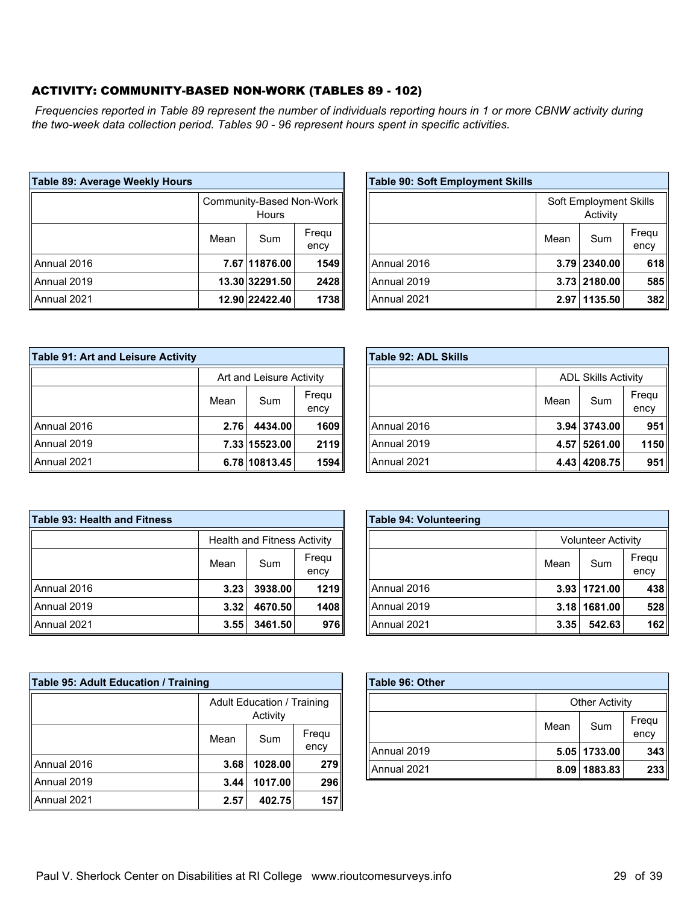#### ACTIVITY: COMMUNITY-BASED NON-WORK (TABLES 89 - 102)

*Frequencies reported in Table 89 represent the number of individuals reporting hours in 1 or more CBNW activity during the two-week data collection period. Tables 90 - 96 represent hours spent in specific activities.*

| Table 89: Average Weekly Hours |                                   |                |               |
|--------------------------------|-----------------------------------|----------------|---------------|
|                                | Community-Based Non-Work<br>Hours |                |               |
|                                | Mean                              | Sum            | Frequ<br>ency |
| Annual 2016                    |                                   | 7.67 11876.00  | 1549          |
| Annual 2019                    |                                   | 13.30 32291.50 | 2428          |
| Annual 2021                    |                                   | 12.90 22422.40 | 1738          |

| <b>Table 90: Soft Employment Skills</b> |      |                                    |               |
|-----------------------------------------|------|------------------------------------|---------------|
|                                         |      | Soft Employment Skills<br>Activity |               |
|                                         | Mean | Sum                                | Frequ<br>ency |
| Annual 2016                             |      | 3.79 2340.00                       | 618           |
| Annual 2019                             |      | 3.73 2180.00                       | 585           |
| Annual 2021                             | 2.97 | 1135.50                            | 382           |

| Table 91: Art and Leisure Activity |                              |               |      |  |
|------------------------------------|------------------------------|---------------|------|--|
|                                    | Art and Leisure Activity     |               |      |  |
|                                    | Frequ<br>Sum<br>Mean<br>ency |               |      |  |
| ll Annual 2016                     | 2.76                         | 4434.00       | 1609 |  |
| ll Annual 2019                     |                              | 7.33 15523.00 | 2119 |  |
| ll Annual 2021                     |                              | 6.78 10813.45 | 1594 |  |

| Table 92: ADL Skills |                              |                            |      |
|----------------------|------------------------------|----------------------------|------|
|                      |                              | <b>ADL Skills Activity</b> |      |
|                      | Frequ<br>Sum<br>Mean<br>ency |                            |      |
| Annual 2016          |                              | 3.94 3743.00               | 951  |
| Annual 2019          |                              | 4.57 5261.00               | 1150 |
| Annual 2021          |                              | 4.43 4208.75               | 951  |

| Table 93: Health and Fitness |                                    |         |      |  |
|------------------------------|------------------------------------|---------|------|--|
|                              | <b>Health and Fitness Activity</b> |         |      |  |
|                              | Frequ<br>Sum<br>Mean<br>ency       |         |      |  |
| ll Annual 2016               | 3.23                               | 3938.00 | 1219 |  |
| ll Annual 2019               | 3.32                               | 4670.50 | 1408 |  |
| Annual 2021                  | 3.55                               | 3461.50 | 976  |  |

|                 | Mean | Sum          | Frequ<br>ency |
|-----------------|------|--------------|---------------|
| Annual 2016     |      | 3.93 1721.00 | 438           |
| Annual 2019     | 3.18 | 1681.00      | 528           |
| Annual 2021     | 3.35 | 542.63       | 162           |
|                 |      |              |               |
| Table 96: Other |      |              |               |

**Table 94: Volunteering**

| <b>Table 95: Adult Education / Training</b> |                                               |                      |     |  |
|---------------------------------------------|-----------------------------------------------|----------------------|-----|--|
|                                             | <b>Adult Education / Training</b><br>Activity |                      |     |  |
|                                             | Mean                                          | Frequ<br>Sum<br>ency |     |  |
| Annual 2016                                 | 3.68                                          | 1028.00              | 279 |  |
| Annual 2019                                 | 3.44                                          | 1017.00              | 296 |  |
| Annual 2021                                 | 2.57                                          | 402.75               | 157 |  |

| Table 96: Other |                       |              |               |  |  |  |
|-----------------|-----------------------|--------------|---------------|--|--|--|
|                 | <b>Other Activity</b> |              |               |  |  |  |
|                 | Mean                  | Sum          | Frequ<br>ency |  |  |  |
| Annual 2019     |                       | 5.05 1733.00 | 343           |  |  |  |
| Annual 2021     |                       | 8.09 1883.83 | 233           |  |  |  |

Volunteer Activity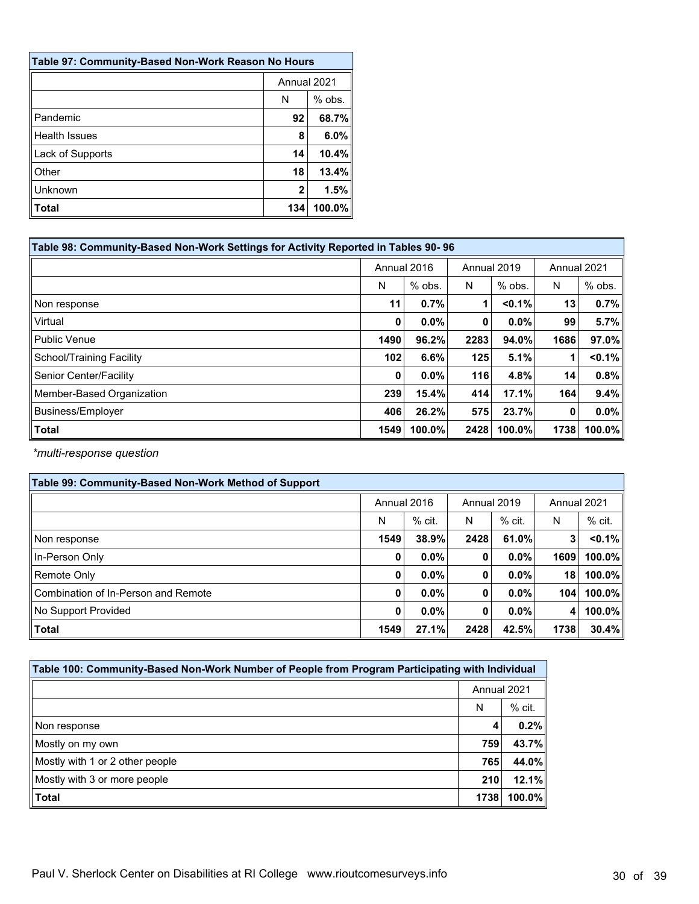| Table 97: Community-Based Non-Work Reason No Hours |             |           |  |  |
|----------------------------------------------------|-------------|-----------|--|--|
|                                                    | Annual 2021 |           |  |  |
|                                                    | N           | $%$ obs.  |  |  |
| Pandemic                                           | 92          | 68.7%     |  |  |
| <b>Health Issues</b>                               | 8           | $6.0\%$   |  |  |
| Lack of Supports                                   | 14          | 10.4%     |  |  |
| Other                                              | 18          | 13.4%     |  |  |
| Unknown                                            | 2           | 1.5%      |  |  |
| <b>Total</b>                                       | 134         | $100.0\%$ |  |  |

| Table 98: Community-Based Non-Work Settings for Activity Reported in Tables 90-96 |             |          |             |           |             |           |  |
|-----------------------------------------------------------------------------------|-------------|----------|-------------|-----------|-------------|-----------|--|
|                                                                                   | Annual 2016 |          | Annual 2019 |           | Annual 2021 |           |  |
|                                                                                   | N           | $%$ obs. | N           | $%$ obs.  | N           | % obs.    |  |
| Non response                                                                      | 11          | 0.7%     |             | $< 0.1\%$ | 13          | 0.7%      |  |
| Virtual                                                                           | 0           | $0.0\%$  | 0           | 0.0%      | 99          | 5.7%      |  |
| <b>Public Venue</b>                                                               | 1490        | 96.2%    | 2283        | 94.0%     | 1686        | $97.0\%$  |  |
| <b>School/Training Facility</b>                                                   | 102         | 6.6%     | 125         | 5.1%      | 1           | $< 0.1\%$ |  |
| Senior Center/Facility                                                            | $\mathbf 0$ | $0.0\%$  | 116         | 4.8%      | 14          | 0.8%      |  |
| Member-Based Organization                                                         | 239         | 15.4%    | 414         | 17.1%     | 164         | 9.4%      |  |
| <b>Business/Employer</b>                                                          | 406         | 26.2%    | 575         | 23.7%     | 0           | $0.0\%$   |  |
| <b>Total</b>                                                                      | 1549        | 100.0%   | 2428        | 100.0%    | 1738        | $100.0\%$ |  |

*\*multi-response question*

| Table 99: Community-Based Non-Work Method of Support |             |          |             |          |             |           |
|------------------------------------------------------|-------------|----------|-------------|----------|-------------|-----------|
|                                                      | Annual 2016 |          | Annual 2019 |          | Annual 2021 |           |
|                                                      | N           | $%$ cit. | N           | $%$ cit. | N           | $%$ cit.  |
| Non response                                         | 1549        | 38.9%    | 2428        | 61.0%    | 3           | $< 0.1\%$ |
| In-Person Only                                       | 0           | $0.0\%$  | 0           | $0.0\%$  | 1609        | 100.0%    |
| Remote Only                                          | 0           | $0.0\%$  | 0           | $0.0\%$  | 18          | 100.0%    |
| Combination of In-Person and Remote                  | $\mathbf 0$ | $0.0\%$  | 0           | $0.0\%$  | 104         | $100.0\%$ |
| No Support Provided                                  | 0           | $0.0\%$  | 0           | $0.0\%$  | 4           | 100.0%    |
| Total                                                | 1549        | 27.1%    | 2428        | 42.5%    | 1738        | 30.4%     |

| Table 100: Community-Based Non-Work Number of People from Program Participating with Individual |             |          |  |  |
|-------------------------------------------------------------------------------------------------|-------------|----------|--|--|
|                                                                                                 | Annual 2021 |          |  |  |
|                                                                                                 | N           | $%$ cit. |  |  |
| Non response                                                                                    |             | 0.2%     |  |  |
| Mostly on my own                                                                                | 759         | 43.7%    |  |  |
| Mostly with 1 or 2 other people                                                                 | 765         | 44.0%    |  |  |
| Mostly with 3 or more people                                                                    | 210         | 12.1%    |  |  |
| $\vert$ Total                                                                                   | 1738        | 100.0%   |  |  |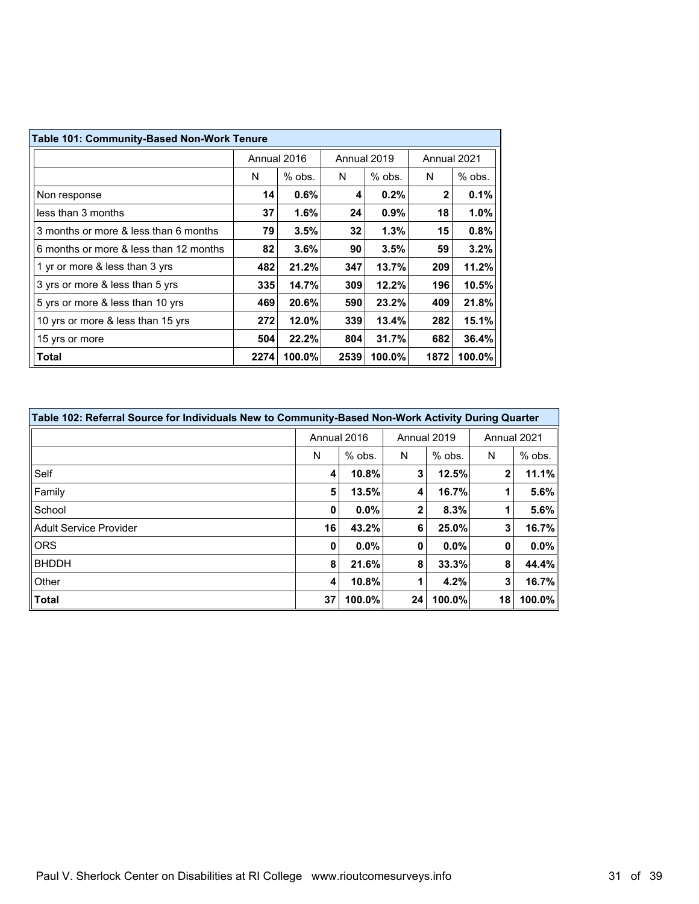| <b>Table 101: Community-Based Non-Work Tenure</b> |      |                            |      |             |      |          |  |
|---------------------------------------------------|------|----------------------------|------|-------------|------|----------|--|
|                                                   |      | Annual 2016<br>Annual 2019 |      | Annual 2021 |      |          |  |
|                                                   | N    | $%$ obs.                   | N    | $%$ obs.    | N    | $%$ obs. |  |
| Non response                                      | 14   | 0.6%                       | 4    | 0.2%        | 2    | 0.1%     |  |
| less than 3 months                                | 37   | 1.6%                       | 24   | 0.9%        | 18   | 1.0%     |  |
| 3 months or more & less than 6 months             | 79   | 3.5%                       | 32   | 1.3%        | 15   | 0.8%     |  |
| 6 months or more & less than 12 months            | 82   | 3.6%                       | 90   | 3.5%        | 59   | 3.2%     |  |
| 1 yr or more & less than 3 yrs                    | 482  | 21.2%                      | 347  | 13.7%       | 209  | 11.2%    |  |
| 3 yrs or more & less than 5 yrs                   | 335  | 14.7%                      | 309  | 12.2%       | 196  | 10.5%    |  |
| 5 yrs or more & less than 10 yrs                  | 469  | 20.6%                      | 590  | 23.2%       | 409  | 21.8%    |  |
| 10 yrs or more & less than 15 yrs                 | 272  | 12.0%                      | 339  | 13.4%       | 282  | 15.1%    |  |
| 15 yrs or more                                    | 504  | 22.2%                      | 804  | 31.7%       | 682  | 36.4%    |  |
| <b>Total</b>                                      | 2274 | 100.0%                     | 2539 | 100.0%      | 1872 | 100.0%   |  |

| Table 102: Referral Source for Individuals New to Community-Based Non-Work Activity During Quarter |    |             |              |          |             |           |  |
|----------------------------------------------------------------------------------------------------|----|-------------|--------------|----------|-------------|-----------|--|
|                                                                                                    |    | Annual 2016 | Annual 2019  |          | Annual 2021 |           |  |
|                                                                                                    | N  | $%$ obs.    | N            | $%$ obs. | N           | $%$ obs.  |  |
| Self                                                                                               | 4  | 10.8%       | 3            | 12.5%    | 2           | 11.1%     |  |
| Family                                                                                             | 5  | 13.5%       | 4            | 16.7%    |             | 5.6%      |  |
| School                                                                                             | 0  | $0.0\%$     | $\mathbf{2}$ | 8.3%     | 1           | 5.6%      |  |
| <b>Adult Service Provider</b>                                                                      | 16 | 43.2%       | 6            | 25.0%    | 3           | 16.7%     |  |
| <b>ORS</b>                                                                                         | 0  | $0.0\%$     | 0            | $0.0\%$  | 0           | $0.0\%$   |  |
| <b>BHDDH</b>                                                                                       | 8  | 21.6%       | 8            | 33.3%    | 8           | 44.4%     |  |
| Other                                                                                              | 4  | 10.8%       |              | 4.2%     | 3           | 16.7%     |  |
| <b>Total</b>                                                                                       | 37 | 100.0%      | 24           | 100.0%   | 18          | $100.0\%$ |  |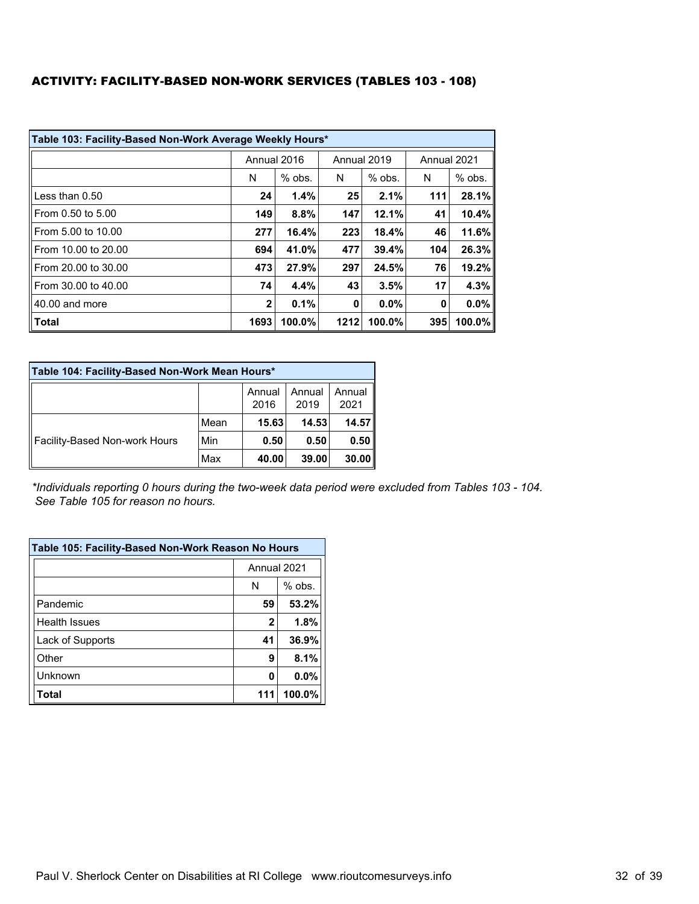#### ACTIVITY: FACILITY-BASED NON-WORK SERVICES (TABLES 103 - 108)

| Table 103: Facility-Based Non-Work Average Weekly Hours* |      |             |      |             |             |           |  |
|----------------------------------------------------------|------|-------------|------|-------------|-------------|-----------|--|
|                                                          |      | Annual 2016 |      | Annual 2019 | Annual 2021 |           |  |
|                                                          | N    | $%$ obs.    | N    | $%$ obs.    | N           | $%$ obs.  |  |
| Less than 0.50                                           | 24   | 1.4%        | 25   | 2.1%        | 111         | 28.1%     |  |
| From 0.50 to 5.00                                        | 149  | 8.8%        | 147  | 12.1%       | 41          | 10.4%     |  |
| From 5.00 to 10.00                                       | 277  | 16.4%       | 223  | 18.4%       | 46          | 11.6%     |  |
| From 10.00 to 20.00                                      | 694  | 41.0%       | 477  | 39.4%       | 104         | 26.3%     |  |
| From 20.00 to 30.00                                      | 473  | 27.9%       | 297  | 24.5%       | 76          | 19.2%     |  |
| From 30.00 to 40.00                                      | 74   | 4.4%        | 43   | 3.5%        | 17          | 4.3%      |  |
| 40.00 and more                                           | 2    | 0.1%        | 0    | 0.0%        | 0           | $0.0\%$   |  |
| <b>Total</b>                                             | 1693 | 100.0%      | 1212 | 100.0%      | 395         | $100.0\%$ |  |

| Table 104: Facility-Based Non-Work Mean Hours* |      |                |                |                |  |  |  |  |
|------------------------------------------------|------|----------------|----------------|----------------|--|--|--|--|
|                                                |      | Annual<br>2016 | Annual<br>2019 | Annual<br>2021 |  |  |  |  |
| Facility-Based Non-work Hours                  | Mean | 15.63          | 14.53          | 14.57          |  |  |  |  |
|                                                | Min  | 0.50           | 0.50           | 0.50           |  |  |  |  |
|                                                | Max  | 40.00          | 39.00          | 30.00          |  |  |  |  |

*\*Individuals reporting 0 hours during the two-week data period were excluded from Tables 103 - 104. See Table 105 for reason no hours.*

| Table 105: Facility-Based Non-Work Reason No Hours |             |          |  |  |  |
|----------------------------------------------------|-------------|----------|--|--|--|
|                                                    | Annual 2021 |          |  |  |  |
|                                                    | N           | $%$ obs. |  |  |  |
| Pandemic                                           | 59          | 53.2%    |  |  |  |
| <b>Health Issues</b>                               | 2           | 1.8%     |  |  |  |
| Lack of Supports                                   | 41          | 36.9%    |  |  |  |
| Other                                              | 9           | 8.1%     |  |  |  |
| Unknown                                            | 0           | 0.0%     |  |  |  |
| <b>Total</b>                                       | 111         | 100.0%   |  |  |  |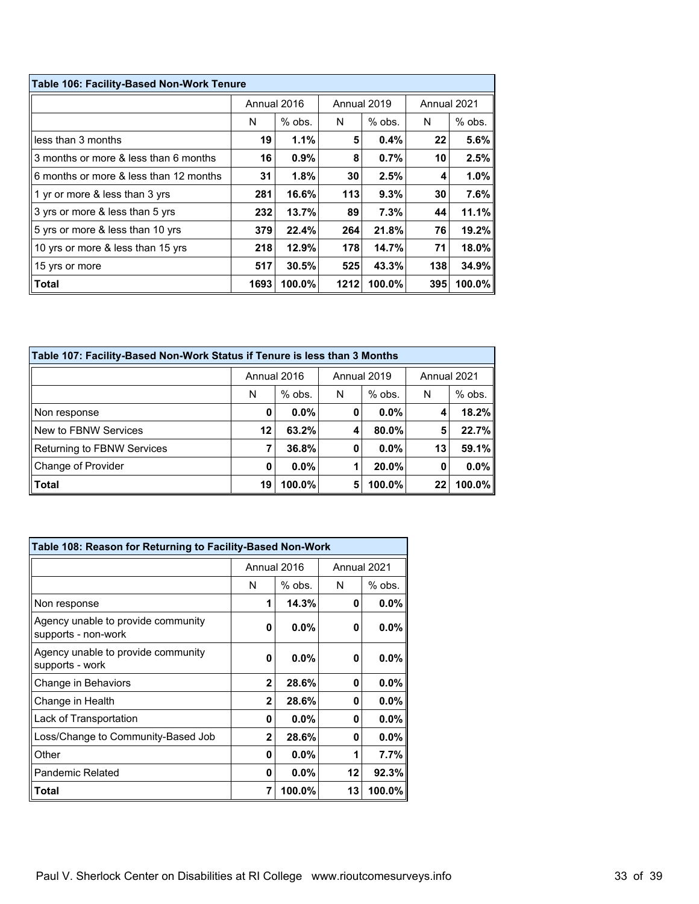| Table 106: Facility-Based Non-Work Tenure |      |             |      |             |             |          |  |
|-------------------------------------------|------|-------------|------|-------------|-------------|----------|--|
|                                           |      | Annual 2016 |      | Annual 2019 | Annual 2021 |          |  |
|                                           | N    | $%$ obs.    | N    | $%$ obs.    | N           | $%$ obs. |  |
| less than 3 months                        | 19   | 1.1%        | 5    | 0.4%        | 22          | 5.6%     |  |
| 3 months or more & less than 6 months     | 16   | 0.9%        | 8    | 0.7%        | 10          | 2.5%     |  |
| 6 months or more & less than 12 months    | 31   | 1.8%        | 30   | 2.5%        | 4           | 1.0%     |  |
| $\vert$ 1 yr or more & less than 3 yrs    | 281  | 16.6%       | 113  | 9.3%        | 30          | 7.6%     |  |
| 3 yrs or more & less than 5 yrs           | 232  | 13.7%       | 89   | 7.3%        | 44          | 11.1%    |  |
| 5 yrs or more & less than 10 yrs          | 379  | 22.4%       | 264  | 21.8%       | 76          | 19.2%    |  |
| 10 yrs or more & less than 15 yrs         | 218  | 12.9%       | 178  | 14.7%       | 71          | 18.0%    |  |
| 15 yrs or more                            | 517  | 30.5%       | 525  | 43.3%       | 138         | 34.9%    |  |
| <b>Total</b>                              | 1693 | 100.0%      | 1212 | 100.0%      | 395         | 100.0%   |  |

| Table 107: Facility-Based Non-Work Status if Tenure is less than 3 Months |             |          |             |          |    |             |  |  |
|---------------------------------------------------------------------------|-------------|----------|-------------|----------|----|-------------|--|--|
|                                                                           | Annual 2016 |          | Annual 2019 |          |    | Annual 2021 |  |  |
|                                                                           | N           | $%$ obs. | N           | $%$ obs. | N  | $%$ obs.    |  |  |
| Non response                                                              | 0           | $0.0\%$  | 0           | $0.0\%$  | 4  | 18.2%       |  |  |
| New to FBNW Services                                                      | 12          | 63.2%    | 4           | 80.0%    | 5  | 22.7%       |  |  |
| Returning to FBNW Services                                                | 7           | 36.8%    | 0           | $0.0\%$  | 13 | 59.1%       |  |  |
| Change of Provider                                                        | 0           | $0.0\%$  |             | 20.0%    | 0  | $0.0\%$     |  |  |
| Total                                                                     | 19          | 100.0%   | 5           | 100.0%   | 22 | $100.0\%$   |  |  |

| Table 108: Reason for Returning to Facility-Based Non-Work |                |             |             |          |  |
|------------------------------------------------------------|----------------|-------------|-------------|----------|--|
|                                                            |                | Annual 2016 | Annual 2021 |          |  |
|                                                            | N              | % obs.      | N           | $%$ obs. |  |
| Non response                                               | 1              | 14.3%       | 0           | $0.0\%$  |  |
| Agency unable to provide community<br>supports - non-work  | 0              | $0.0\%$     | 0           | $0.0\%$  |  |
| Agency unable to provide community<br>supports - work      | 0              | $0.0\%$     | 0           | $0.0\%$  |  |
| Change in Behaviors                                        | $\overline{2}$ | 28.6%       | 0           | $0.0\%$  |  |
| Change in Health                                           | $\overline{2}$ | 28.6%       | 0           | $0.0\%$  |  |
| Lack of Transportation                                     | 0              | 0.0%        | O           | $0.0\%$  |  |
| Loss/Change to Community-Based Job                         | $\overline{2}$ | 28.6%       | 0           | $0.0\%$  |  |
| Other                                                      | 0              | $0.0\%$     | 1           | $7.7\%$  |  |
| <b>Pandemic Related</b>                                    | 0              | $0.0\%$     | 12          | 92.3%    |  |
| Total                                                      | 7              | 100.0%      | 13          | 100.0%   |  |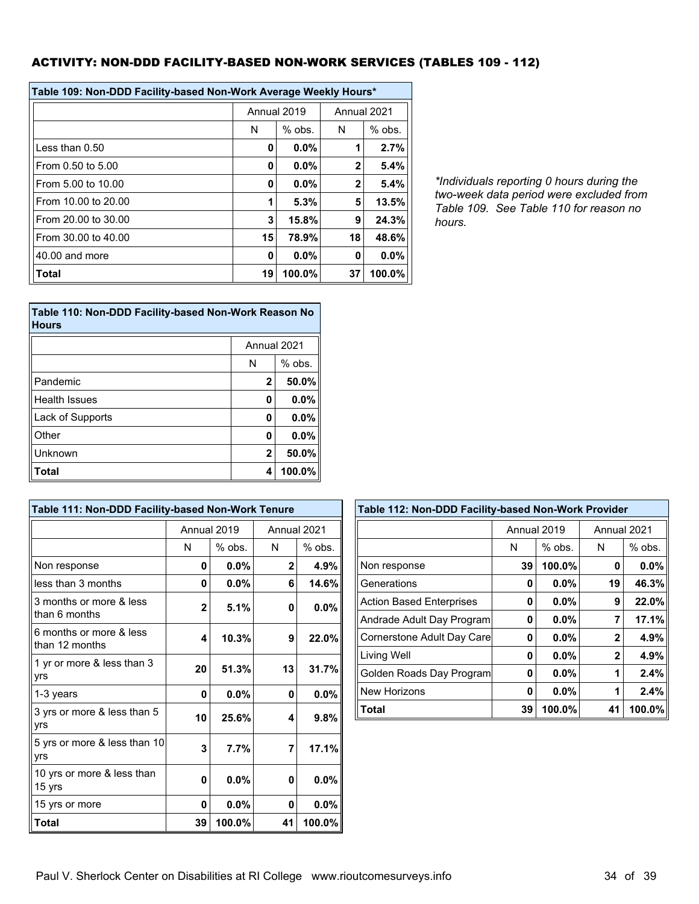#### ACTIVITY: NON-DDD FACILITY-BASED NON-WORK SERVICES (TABLES 109 - 112)

| Table 109: Non-DDD Facility-based Non-Work Average Weekly Hours* |    |             |              |          |  |  |
|------------------------------------------------------------------|----|-------------|--------------|----------|--|--|
|                                                                  |    | Annual 2019 | Annual 2021  |          |  |  |
|                                                                  | N  | $%$ obs.    | N            | $%$ obs. |  |  |
| $l$ ess than $0.50$                                              | 0  | $0.0\%$     | 1            | 2.7%     |  |  |
| From 0.50 to 5.00                                                | O  | 0.0%        | $\mathbf{2}$ | 5.4%     |  |  |
| From 5.00 to 10.00                                               | Ω  | $0.0\%$     | $\mathbf{2}$ | 5.4%     |  |  |
| From 10.00 to 20.00                                              | 1  | 5.3%        | 5            | 13.5%    |  |  |
| From 20.00 to 30.00                                              | 3  | 15.8%       | 9            | 24.3%    |  |  |
| From 30.00 to 40.00                                              | 15 | 78.9%       | 18           | 48.6%    |  |  |
| 40.00 and more                                                   | 0  | 0.0%        | 0            | 0.0%     |  |  |
| Total                                                            | 19 | 100.0%      | 37           | 100.0%   |  |  |

*\*Individuals reporting 0 hours during the two-week data period were excluded from Table 109. See Table 110 for reason no hours.*

| Table 110: Non-DDD Facility-based Non-Work Reason No<br><b>Hours</b> |             |          |  |  |  |
|----------------------------------------------------------------------|-------------|----------|--|--|--|
|                                                                      | Annual 2021 |          |  |  |  |
|                                                                      | N           | $%$ obs. |  |  |  |
| Pandemic                                                             | 2           | 50.0%    |  |  |  |
| Health Issues                                                        | 0           | 0.0%     |  |  |  |
| Lack of Supports                                                     | 0           | 0.0%     |  |  |  |
| Other                                                                | 0           | 0.0%     |  |  |  |
| Unknown                                                              | $\mathbf 2$ | 50.0%    |  |  |  |
| <b>Total</b>                                                         | 4           | 100.0%   |  |  |  |

| Table 111: Non-DDD Facility-based Non-Work Tenure |              |             |              |         |  |  |
|---------------------------------------------------|--------------|-------------|--------------|---------|--|--|
|                                                   |              | Annual 2019 | Annual 2021  |         |  |  |
|                                                   | N            | $%$ obs.    | N            | % obs.  |  |  |
| Non response                                      | 0            | 0.0%        | $\mathbf{2}$ | 4.9%    |  |  |
| less than 3 months                                | 0            | 0.0%        | 6            | 14.6%   |  |  |
| 3 months or more & less<br>than 6 months          | $\mathbf{2}$ | 5.1%        | 0            | $0.0\%$ |  |  |
| 6 months or more & less<br>than 12 months         | 4            | 10.3%       | 9            | 22.0%   |  |  |
| 1 yr or more & less than 3<br>yrs                 | 20           | 51.3%       | 13           | 31.7%   |  |  |
| 1-3 years                                         | 0            | 0.0%        | 0            | 0.0%    |  |  |
| 3 yrs or more & less than 5<br>yrs                | 10           | 25.6%       | 4            | 9.8%    |  |  |
| 5 yrs or more & less than 10<br>yrs               | 3            | 7.7%        | 7            | 17.1%   |  |  |
| 10 yrs or more & less than<br>15 yrs              | 0            | 0.0%        | 0            | $0.0\%$ |  |  |
| 15 yrs or more                                    | 0            | 0.0%        | 0            | 0.0%    |  |  |
| <b>Total</b>                                      | 39           | 100.0%      | 41           | 100.0%  |  |  |

| Table 112: Non-DDD Facility-based Non-Work Provider |    |             |             |          |  |  |
|-----------------------------------------------------|----|-------------|-------------|----------|--|--|
|                                                     |    | Annual 2019 | Annual 2021 |          |  |  |
|                                                     | N  | $%$ obs.    | N           | $%$ obs. |  |  |
| Non response                                        | 39 | 100.0%      | 0           | $0.0\%$  |  |  |
| Generations                                         | 0  | $0.0\%$     | 19          | 46.3%    |  |  |
| <b>Action Based Enterprises</b>                     | U  | $0.0\%$     | 9           | 22.0%    |  |  |
| Andrade Adult Day Program                           | 0  | $0.0\%$     | 7           | 17.1%    |  |  |
| Cornerstone Adult Day Care                          | 0  | 0.0%        | $\mathbf 2$ | 4.9%     |  |  |
| <b>Living Well</b>                                  | U  | 0.0%        | $\mathbf 2$ | 4.9%     |  |  |
| Golden Roads Day Program                            | 0  | $0.0\%$     | 1           | 2.4%     |  |  |
| <b>New Horizons</b>                                 | 0  | $0.0\%$     | 1           | 2.4%     |  |  |
| <b>Total</b>                                        | 39 | 100.0%      | 41          | 100.0%   |  |  |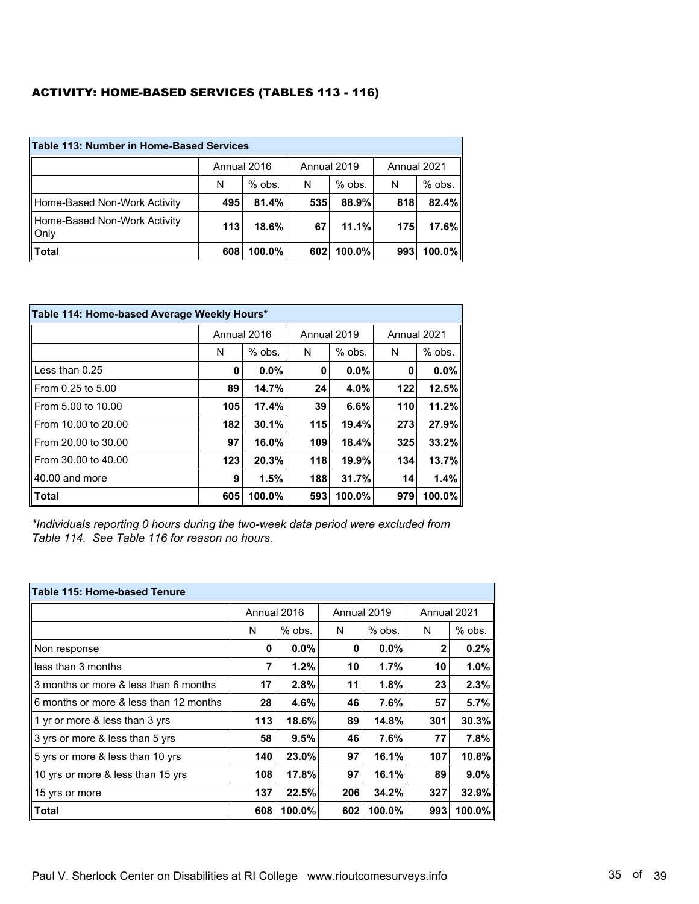### ACTIVITY: HOME-BASED SERVICES (TABLES 113 - 116)

| <b>Table 113: Number in Home-Based Services</b> |             |          |             |          |             |          |  |
|-------------------------------------------------|-------------|----------|-------------|----------|-------------|----------|--|
|                                                 | Annual 2016 |          | Annual 2019 |          | Annual 2021 |          |  |
|                                                 | N           | $%$ obs. | N           | $%$ obs. | N           | $%$ obs. |  |
| Home-Based Non-Work Activity                    | 495         | 81.4%    | 535         | 88.9%    | 818         | $82.4\%$ |  |
| Home-Based Non-Work Activity<br>Only            | 113         | 18.6%    | 67          | 11.1%    | 175         | 17.6%    |  |
| <b>Total</b>                                    | 608         | 100.0%   | 602         | 100.0%   | 993         | 100.0%   |  |

| Table 114: Home-based Average Weekly Hours* |             |         |     |             |     |             |  |
|---------------------------------------------|-------------|---------|-----|-------------|-----|-------------|--|
|                                             | Annual 2016 |         |     | Annual 2019 |     | Annual 2021 |  |
|                                             | N           | % obs.  | N   | $%$ obs.    | N   | $%$ obs.    |  |
| Less than 0.25                              | 0           | $0.0\%$ | 0   | $0.0\%$     | 0   | 0.0%        |  |
| From 0.25 to 5.00                           | 89          | 14.7%   | 24  | 4.0%        | 122 | 12.5%       |  |
| From 5.00 to 10.00                          | 105         | 17.4%   | 39  | 6.6%        | 110 | 11.2%       |  |
| From 10.00 to 20.00                         | 182         | 30.1%   | 115 | 19.4%       | 273 | 27.9%       |  |
| From 20.00 to 30.00                         | 97          | 16.0%   | 109 | 18.4%       | 325 | 33.2%       |  |
| From 30.00 to 40.00                         | 123         | 20.3%   | 118 | 19.9%       | 134 | 13.7%       |  |
| 40.00 and more                              | 9           | 1.5%    | 188 | 31.7%       | 14  | 1.4%        |  |
| <b>Total</b>                                | 605         | 100.0%  | 593 | 100.0%      | 979 | 100.0%      |  |

*\*Individuals reporting 0 hours during the two-week data period were excluded from Table 114. See Table 116 for reason no hours.*

| Table 115: Home-based Tenure           |     |             |     |             |             |        |  |
|----------------------------------------|-----|-------------|-----|-------------|-------------|--------|--|
|                                        |     | Annual 2016 |     | Annual 2019 | Annual 2021 |        |  |
|                                        | N   | $%$ obs.    | N   | $%$ obs.    | N           | % obs. |  |
| Non response                           | 0   | $0.0\%$     | 0   | $0.0\%$     | 2           | 0.2%   |  |
| less than 3 months                     | 7   | 1.2%        | 10  | 1.7%        | 10          | 1.0%   |  |
| 3 months or more & less than 6 months  | 17  | 2.8%        | 11  | 1.8%        | 23          | 2.3%   |  |
| 6 months or more & less than 12 months | 28  | 4.6%        | 46  | 7.6%        | 57          | 5.7%   |  |
| 1 yr or more & less than 3 yrs         | 113 | 18.6%       | 89  | 14.8%       | 301         | 30.3%  |  |
| 3 yrs or more & less than 5 yrs        | 58  | 9.5%        | 46  | 7.6%        | 77          | 7.8%   |  |
| 5 yrs or more & less than 10 yrs       | 140 | 23.0%       | 97  | 16.1%       | 107         | 10.8%  |  |
| 10 yrs or more & less than 15 yrs      | 108 | 17.8%       | 97  | 16.1%       | 89          | 9.0%   |  |
| 15 yrs or more                         | 137 | 22.5%       | 206 | 34.2%       | 327         | 32.9%  |  |
| <b>Total</b>                           | 608 | 100.0%      | 602 | 100.0%      | 993         | 100.0% |  |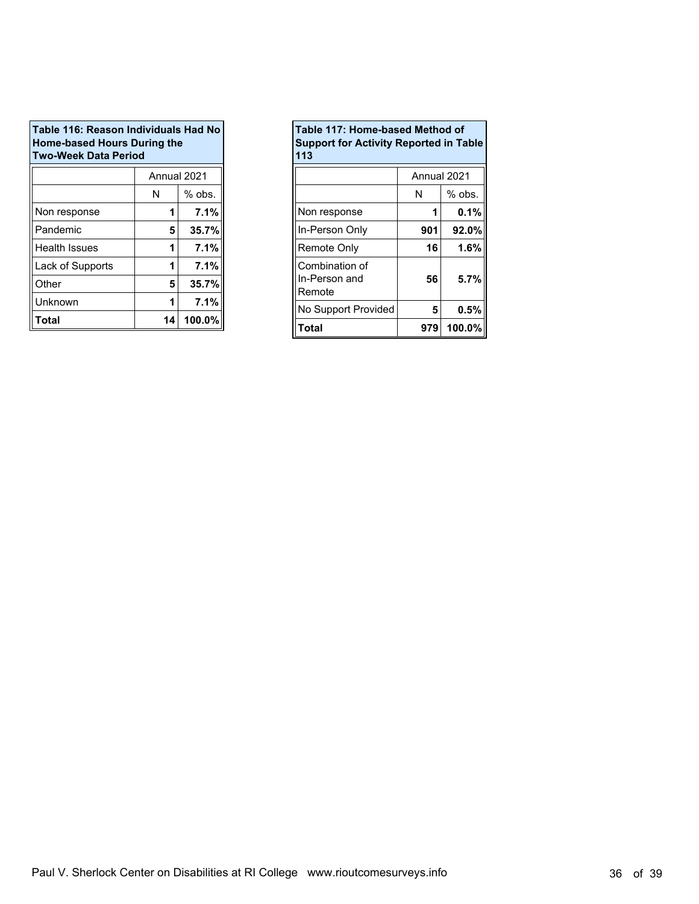| Table 116: Reason Individuals Had No<br><b>Home-based Hours During the</b><br><b>Two-Week Data Period</b> |    |          |  |  |  |
|-----------------------------------------------------------------------------------------------------------|----|----------|--|--|--|
| Annual 2021                                                                                               |    |          |  |  |  |
|                                                                                                           | N  | $%$ obs. |  |  |  |
| Non response                                                                                              | 1  | 7.1%     |  |  |  |
| Pandemic                                                                                                  | 5  | 35.7%    |  |  |  |
| Health Issues                                                                                             | 1  | 7.1%     |  |  |  |
| Lack of Supports                                                                                          |    | 7.1%     |  |  |  |
| Other                                                                                                     | 5  | 35.7%    |  |  |  |
| Unknown                                                                                                   | 1  | 7.1%     |  |  |  |
| Total                                                                                                     | 14 | 100.0%   |  |  |  |

| Table 117: Home-based Method of<br><b>Support for Activity Reported in Table</b><br>113 |             |          |  |  |
|-----------------------------------------------------------------------------------------|-------------|----------|--|--|
|                                                                                         | Annual 2021 |          |  |  |
|                                                                                         | N           | $%$ obs. |  |  |
| Non response                                                                            |             | $0.1\%$  |  |  |
| In-Person Only                                                                          | 901         | 92.0%    |  |  |
| Remote Only                                                                             | 16          | 1.6%     |  |  |
| Combination of<br>In-Person and<br>Remote                                               | 56          | 5.7%     |  |  |
| No Support Provided                                                                     | 5           | 0.5%     |  |  |
| Total                                                                                   | 979         | 100.0%   |  |  |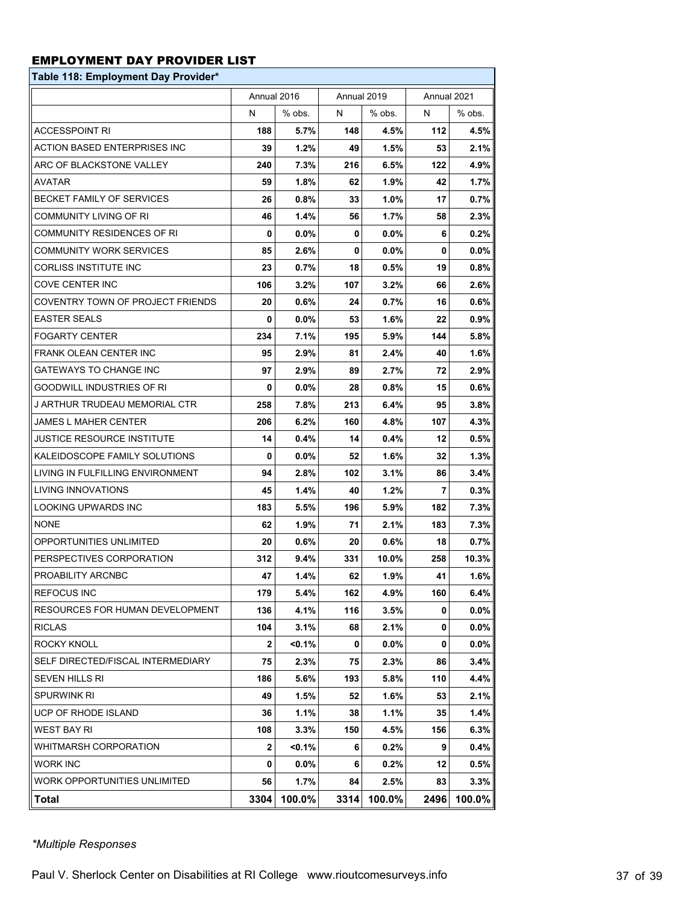### EMPLOYMENT DAY PROVIDER LIST

| Table 118: Employment Day Provider* |              |             |             |         |             |           |
|-------------------------------------|--------------|-------------|-------------|---------|-------------|-----------|
|                                     |              | Annual 2016 | Annual 2019 |         | Annual 2021 |           |
|                                     | N            | % obs.      | N           | % obs.  | N           | % obs.    |
| <b>ACCESSPOINT RI</b>               | 188          | 5.7%        | 148         | 4.5%    | 112         | 4.5%      |
| ACTION BASED ENTERPRISES INC        | 39           | 1.2%        | 49          | $1.5\%$ | 53          | $2.1\%$   |
| ARC OF BLACKSTONE VALLEY            | 240          | 7.3%        | 216         | 6.5%    | 122         | 4.9%      |
| <b>AVATAR</b>                       | 59           | $1.8\%$     | 62          | 1.9%    | 42          | 1.7%      |
| <b>BECKET FAMILY OF SERVICES</b>    | 26           | 0.8%        | 33          | 1.0%    | 17          | 0.7%      |
| <b>COMMUNITY LIVING OF RI</b>       | 46           | 1.4%        | 56          | 1.7%    | 58          | $2.3\%$   |
| COMMUNITY RESIDENCES OF RI          | 0            | $0.0\%$     | 0           | $0.0\%$ | 6           | $0.2\%$   |
| <b>COMMUNITY WORK SERVICES</b>      | 85           | 2.6%        | 0           | $0.0\%$ | 0           | $0.0\%$   |
| CORLISS INSTITUTE INC               | 23           | 0.7%        | 18          | 0.5%    | 19          | $0.8\%$   |
| COVE CENTER INC                     | 106          | 3.2%        | 107         | $3.2\%$ | 66          | 2.6%      |
| COVENTRY TOWN OF PROJECT FRIENDS    | 20           | 0.6%        | 24          | 0.7%    | 16          | $0.6\%$   |
| <b>EASTER SEALS</b>                 | 0            | $0.0\%$     | 53          | $1.6\%$ | 22          | 0.9%      |
| <b>FOGARTY CENTER</b>               | 234          | 7.1%        | 195         | 5.9%    | 144         | 5.8%      |
| FRANK OLEAN CENTER INC              | 95           | 2.9%        | 81          | $2.4\%$ | 40          | 1.6%      |
| <b>GATEWAYS TO CHANGE INC</b>       | 97           | 2.9%        | 89          | 2.7%    | 72          | 2.9%      |
| GOODWILL INDUSTRIES OF RI           | 0            | $0.0\%$     | 28          | 0.8%    | 15          | $0.6\%$   |
| J ARTHUR TRUDEAU MEMORIAL CTR       | 258          | 7.8%        | 213         | 6.4%    | 95          | $3.8\%$   |
| JAMES L MAHER CENTER                | 206          | 6.2%        | 160         | 4.8%    | 107         | 4.3%      |
| JUSTICE RESOURCE INSTITUTE          | 14           | 0.4%        | 14          | $0.4\%$ | 12          | $0.5\%$   |
| KALEIDOSCOPE FAMILY SOLUTIONS       | 0            | $0.0\%$     | 52          | $1.6\%$ | 32          | $1.3\%$   |
| LIVING IN FULFILLING ENVIRONMENT    | 94           | 2.8%        | 102         | 3.1%    | 86          | $3.4\%$   |
| LIVING INNOVATIONS                  | 45           | 1.4%        | 40          | $1.2\%$ | 7           | $0.3\%$   |
| LOOKING UPWARDS INC                 | 183          | 5.5%        | 196         | 5.9%    | 182         | 7.3%      |
| <b>NONE</b>                         | 62           | 1.9%        | 71          | 2.1%    | 183         | $7.3\%$   |
| OPPORTUNITIES UNLIMITED             | 20           | 0.6%        | 20          | $0.6\%$ | 18          | 0.7%      |
| PERSPECTIVES CORPORATION            | 312          | 9.4%        | 331         | 10.0%   | 258         | 10.3%     |
| PROABILITY ARCNBC                   | 47           | 1.4%        | 62          | 1.9%    | 41          | 1.6%      |
| <b>REFOCUS INC</b>                  | 179          | 5.4%        | 162         | 4.9%    | 160         | 6.4%      |
| RESOURCES FOR HUMAN DEVELOPMENT     | 136          | 4.1%        | 116         | 3.5%    | 0           | $0.0\%$   |
| <b>RICLAS</b>                       | 104          | 3.1%        | 68          | $2.1\%$ | 0           | $0.0\%$   |
| ROCKY KNOLL                         | $\mathbf{2}$ | $< 0.1\%$   | 0           | $0.0\%$ | 0           | $0.0\%$   |
| SELF DIRECTED/FISCAL INTERMEDIARY   | 75           | 2.3%        | 75          | $2.3\%$ | 86          | $3.4\%$   |
| <b>SEVEN HILLS RI</b>               | 186          | $5.6\%$     | 193         | 5.8%    | 110         | 4.4%      |
| <b>SPURWINK RI</b>                  | 49           | 1.5%        | 52          | 1.6%    | 53          | 2.1%      |
| <b>UCP OF RHODE ISLAND</b>          | 36           | 1.1%        | 38          | 1.1%    | 35          | 1.4%      |
| WEST BAY RI                         | 108          | 3.3%        | 150         | 4.5%    | 156         | $6.3\%$   |
| WHITMARSH CORPORATION               | $\mathbf{2}$ | <0.1%       | 6           | $0.2\%$ | 9           | 0.4%      |
| <b>WORK INC</b>                     | 0            | $0.0\%$     | 6           | $0.2\%$ | 12          | $0.5\%$   |
| WORK OPPORTUNITIES UNLIMITED        | 56           | $1.7\%$     | 84          | $2.5\%$ | 83          | $3.3\%$   |
| Total                               | 3304         | 100.0%      | 3314        | 100.0%  | 2496        | $100.0\%$ |

*\*Multiple Responses*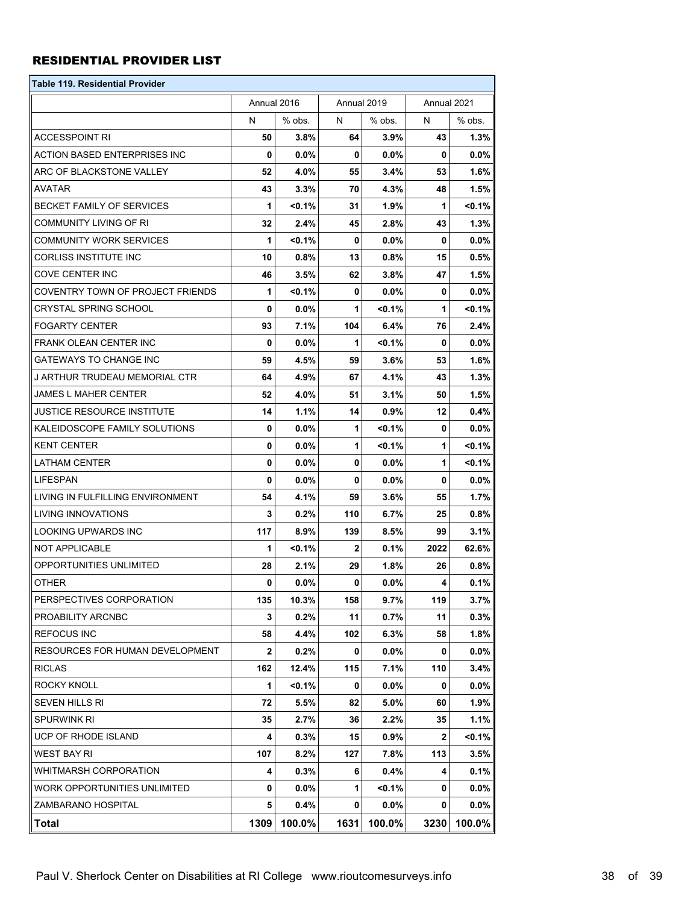#### RESIDENTIAL PROVIDER LIST

| Table 119. Residential Provider  |              |           |              |           |              |           |
|----------------------------------|--------------|-----------|--------------|-----------|--------------|-----------|
|                                  | Annual 2016  |           | Annual 2019  |           | Annual 2021  |           |
|                                  | N            | % obs.    | N            | % obs.    | N            | % obs.    |
| <b>ACCESSPOINT RI</b>            | 50           | 3.8%      | 64           | 3.9%      | 43           | $1.3\%$   |
| ACTION BASED ENTERPRISES INC     | 0            | $0.0\%$   | 0            | 0.0%      | 0            | $0.0\%$   |
| ARC OF BLACKSTONE VALLEY         | 52           | 4.0%      | 55           | $3.4\%$   | 53           | $1.6\%$   |
| AVATAR                           | 43           | 3.3%      | 70           | 4.3%      | 48           | $1.5\%$   |
| BECKET FAMILY OF SERVICES        | 1            | $< 0.1\%$ | 31           | 1.9%      | 1            | $< 0.1\%$ |
| COMMUNITY LIVING OF RI           | 32           | 2.4%      | 45           | 2.8%      | 43           | $1.3\%$   |
| <b>COMMUNITY WORK SERVICES</b>   | 1            | $< 0.1\%$ | 0            | $0.0\%$   | 0            | $0.0\%$   |
| CORLISS INSTITUTE INC            | 10           | 0.8%      | 13           | 0.8%      | 15           | 0.5%      |
| COVE CENTER INC                  | 46           | 3.5%      | 62           | 3.8%      | 47           | $1.5\%$   |
| COVENTRY TOWN OF PROJECT FRIENDS | 1            | <0.1%     | 0            | $0.0\%$   | 0            | $0.0\%$   |
| CRYSTAL SPRING SCHOOL            | $\mathbf{0}$ | $0.0\%$   | 1            | $< 0.1\%$ | 1            | $< 0.1\%$ |
| <b>FOGARTY CENTER</b>            | 93           | 7.1%      | 104          | 6.4%      | 76           | $2.4\%$   |
| FRANK OLEAN CENTER INC           | 0            | $0.0\%$   | 1            | < 0.1%    | 0            | $0.0\%$   |
| <b>GATEWAYS TO CHANGE INC</b>    | 59           | 4.5%      | 59           | $3.6\%$   | 53           | $1.6\%$   |
| J ARTHUR TRUDEAU MEMORIAL CTR    | 64           | 4.9%      | 67           | 4.1%      | 43           | $1.3\%$   |
| JAMES L MAHER CENTER             | 52           | 4.0%      | 51           | 3.1%      | 50           | $1.5\%$   |
| JUSTICE RESOURCE INSTITUTE       | 14           | 1.1%      | 14           | 0.9%      | 12           | $0.4\%$   |
| KALEIDOSCOPE FAMILY SOLUTIONS    | 0            | $0.0\%$   | 1            | <0.1%     | 0            | $0.0\%$   |
| KENT CENTER                      | $\mathbf{0}$ | $0.0\%$   | 1            | $< 0.1\%$ | 1            | $< 0.1\%$ |
| LATHAM CENTER                    | 0            | $0.0\%$   | 0            | $0.0\%$   | 1            | $< 0.1\%$ |
| LIFESPAN                         | 0            | 0.0%      | 0            | $0.0\%$   | 0            | $0.0\%$   |
| LIVING IN FULFILLING ENVIRONMENT | 54           | 4.1%      | 59           | $3.6\%$   | 55           | $1.7\%$   |
| LIVING INNOVATIONS               | 3            | $0.2\%$   | 110          | 6.7%      | 25           | $0.8\%$   |
| <b>LOOKING UPWARDS INC</b>       | 117          | 8.9%      | 139          | 8.5%      | 99           | $3.1\%$   |
| NOT APPLICABLE                   | 1            | $< 0.1\%$ | $\mathbf{2}$ | 0.1%      | 2022         | 62.6%     |
| OPPORTUNITIES UNLIMITED          | 28           | 2.1%      | 29           | $1.8\%$   | 26           | $0.8\%$   |
| <b>OTHER</b>                     | 0            | $0.0\%$   | 0            | $0.0\%$   | 4            | 0.1%      |
| PERSPECTIVES CORPORATION         | 135          | 10.3%     | 158          | 9.7%      | 119          | 3.7%      |
| PROABILITY ARCNBC                | 3            | $0.2\%$   | 11           | 0.7%      | 11           | $0.3\%$   |
| <b>REFOCUS INC</b>               | 58           | 4.4%      | 102          | 6.3%      | 58           | 1.8%      |
| RESOURCES FOR HUMAN DEVELOPMENT  | $\mathbf{2}$ | $0.2\%$   | 0            | $0.0\%$   | 0            | $0.0\%$   |
| <b>RICLAS</b>                    | 162          | 12.4%     | 115          | 7.1%      | 110          | $3.4\%$   |
| ROCKY KNOLL                      | 1            | $< 0.1\%$ | 0            | $0.0\%$   | 0            | $0.0\%$   |
| SEVEN HILLS RI                   | 72           | 5.5%      | 82           | 5.0%      | 60           | 1.9%      |
| SPURWINK RI                      | 35           | 2.7%      | 36           | 2.2%      | 35           | 1.1%      |
| UCP OF RHODE ISLAND              | 4            | $0.3\%$   | 15           | $0.9\%$   | $\mathbf{2}$ | $< 0.1\%$ |
| WEST BAY RI                      | 107          | $8.2\%$   | 127          | 7.8%      | 113          | $3.5\%$   |
| WHITMARSH CORPORATION            | 4            | 0.3%      | 6            | 0.4%      | 4            | 0.1%      |
| WORK OPPORTUNITIES UNLIMITED     | 0            | $0.0\%$   | 1            | $< 0.1\%$ | 0            | $0.0\%$   |
| ZAMBARANO HOSPITAL               | 5            | $0.4\%$   | 0            | $0.0\%$   | 0            | $0.0\%$   |
| Total                            | 1309         | 100.0%    | 1631         | 100.0%    | 3230         | 100.0%    |